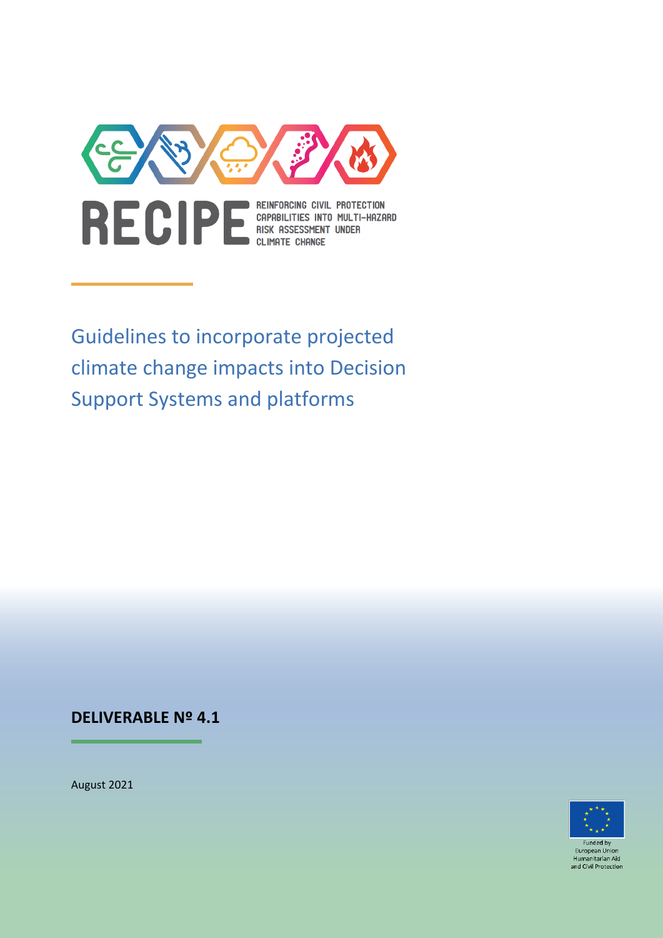

Guidelines to incorporate projected climate change impacts into Decision Support Systems and platforms

## **DELIVERABLE Nº 4.1**

August 2021



**Funded by** European Unio Humanitarian Aid and Civil Protection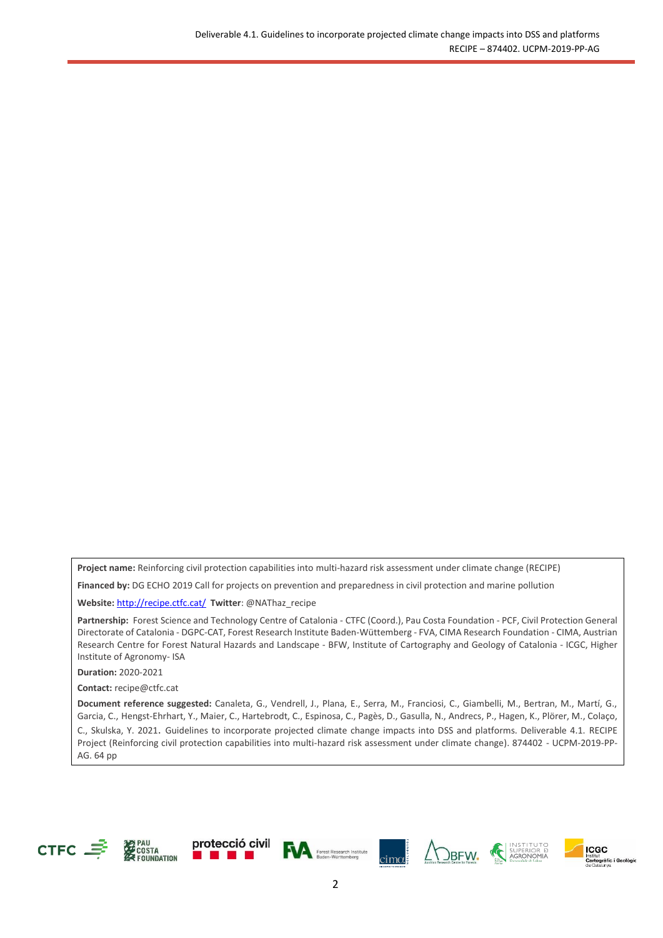**Project name:** Reinforcing civil protection capabilities into multi-hazard risk assessment under climate change (RECIPE)

**Financed by:** DG ECHO 2019 Call for projects on prevention and preparedness in civil protection and marine pollution

**Website:** <http://recipe.ctfc.cat/> **Twitter**: @NAThaz\_recipe

**Partnership:** Forest Science and Technology Centre of Catalonia - CTFC (Coord.), Pau Costa Foundation - PCF, Civil Protection General Directorate of Catalonia - DGPC-CAT, Forest Research Institute Baden-Wüttemberg - FVA, CIMA Research Foundation - CIMA, Austrian Research Centre for Forest Natural Hazards and Landscape - BFW, Institute of Cartography and Geology of Catalonia - ICGC, Higher Institute of Agronomy- ISA

**Duration:** 2020-2021

**Contact:** [recipe@ctfc.cat](mailto:recipe@ctfc.cat)

**Document reference suggested:** Canaleta, G., Vendrell, J., Plana, E., Serra, M., Franciosi, C., Giambelli, M., Bertran, M., Martí, G., Garcia, C., Hengst-Ehrhart, Y., Maier, C., Hartebrodt, C., Espinosa, C., Pagès, D., Gasulla, N., Andrecs, P., Hagen, K., Plörer, M., Colaço, C., Skulska, Y. 2021. Guidelines to incorporate projected climate change impacts into DSS and platforms. Deliverable 4.1. RECIPE Project (Reinforcing civil protection capabilities into multi-hazard risk assessment under climate change). 874402 - UCPM-2019-PP-AG. 64 pp













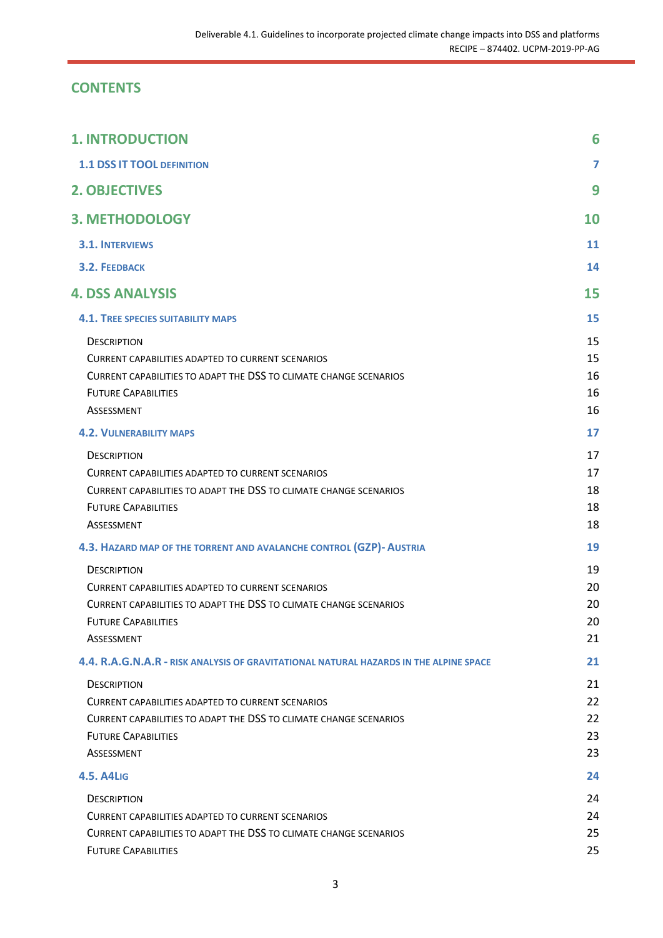## **CONTENTS**

| <b>1. INTRODUCTION</b>                                                                                                                                                                          | 6                          |
|-------------------------------------------------------------------------------------------------------------------------------------------------------------------------------------------------|----------------------------|
| <b>1.1 DSS IT TOOL DEFINITION</b>                                                                                                                                                               | 7                          |
| <b>2. OBJECTIVES</b>                                                                                                                                                                            | 9                          |
| <b>3. METHODOLOGY</b>                                                                                                                                                                           | 10                         |
| <b>3.1. INTERVIEWS</b>                                                                                                                                                                          | 11                         |
| <b>3.2. FEEDBACK</b>                                                                                                                                                                            | 14                         |
| <b>4. DSS ANALYSIS</b>                                                                                                                                                                          | 15                         |
| <b>4.1. TREE SPECIES SUITABILITY MAPS</b>                                                                                                                                                       | 15                         |
| <b>DESCRIPTION</b><br><b>CURRENT CAPABILITIES ADAPTED TO CURRENT SCENARIOS</b><br>CURRENT CAPABILITIES TO ADAPT THE DSS TO CLIMATE CHANGE SCENARIOS<br><b>FUTURE CAPABILITIES</b><br>ASSESSMENT | 15<br>15<br>16<br>16<br>16 |
| <b>4.2. VULNERABILITY MAPS</b>                                                                                                                                                                  | 17                         |
| <b>DESCRIPTION</b><br><b>CURRENT CAPABILITIES ADAPTED TO CURRENT SCENARIOS</b><br>CURRENT CAPABILITIES TO ADAPT THE DSS TO CLIMATE CHANGE SCENARIOS<br><b>FUTURE CAPABILITIES</b><br>ASSESSMENT | 17<br>17<br>18<br>18<br>18 |
| 4.3. HAZARD MAP OF THE TORRENT AND AVALANCHE CONTROL (GZP)- AUSTRIA                                                                                                                             | 19                         |
| <b>DESCRIPTION</b><br><b>CURRENT CAPABILITIES ADAPTED TO CURRENT SCENARIOS</b><br>CURRENT CAPABILITIES TO ADAPT THE DSS TO CLIMATE CHANGE SCENARIOS<br><b>FUTURE CAPABILITIES</b><br>ASSESSMENT | 19<br>20<br>20<br>20<br>21 |
| 4.4. R.A.G.N.A.R - RISK ANALYSIS OF GRAVITATIONAL NATURAL HAZARDS IN THE ALPINE SPACE                                                                                                           | 21                         |
| <b>DESCRIPTION</b><br>CURRENT CAPABILITIES ADAPTED TO CURRENT SCENARIOS<br>CURRENT CAPABILITIES TO ADAPT THE DSS TO CLIMATE CHANGE SCENARIOS<br><b>FUTURE CAPABILITIES</b><br>ASSESSMENT        | 21<br>22<br>22<br>23<br>23 |
| <b>4.5. A4LIG</b>                                                                                                                                                                               | 24                         |
| <b>DESCRIPTION</b><br><b>CURRENT CAPABILITIES ADAPTED TO CURRENT SCENARIOS</b><br>CURRENT CAPABILITIES TO ADAPT THE DSS TO CLIMATE CHANGE SCENARIOS<br><b>FUTURE CAPABILITIES</b>               | 24<br>24<br>25<br>25       |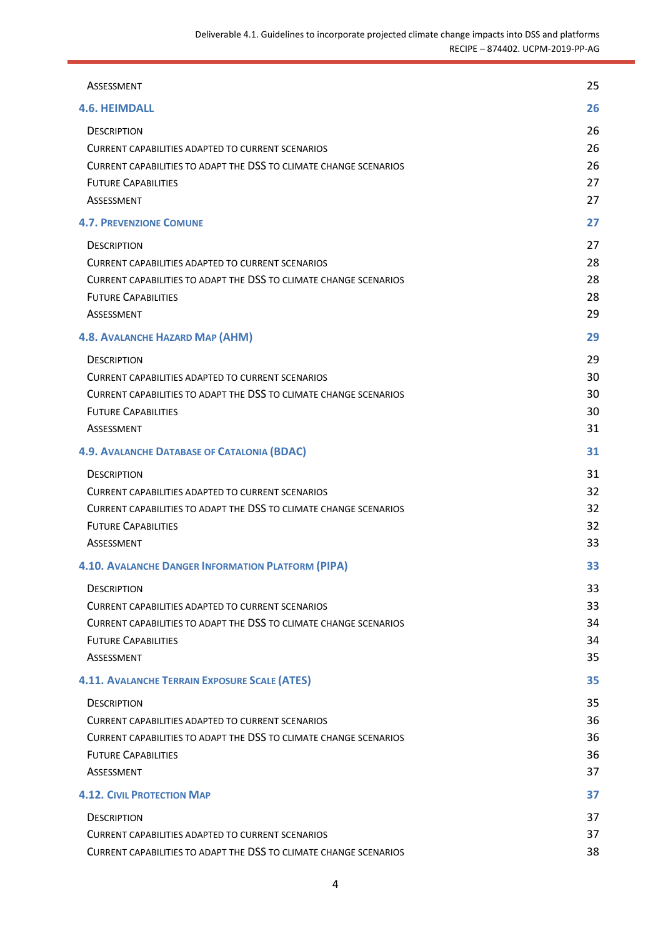| ASSESSMENT                                                                                                                    | 25       |
|-------------------------------------------------------------------------------------------------------------------------------|----------|
| <b>4.6. HEIMDALL</b>                                                                                                          | 26       |
| <b>DESCRIPTION</b>                                                                                                            | 26<br>26 |
| <b>CURRENT CAPABILITIES ADAPTED TO CURRENT SCENARIOS</b><br>CURRENT CAPABILITIES TO ADAPT THE DSS TO CLIMATE CHANGE SCENARIOS | 26       |
| <b>FUTURE CAPABILITIES</b>                                                                                                    | 27       |
| ASSESSMENT                                                                                                                    | 27       |
| <b>4.7. PREVENZIONE COMUNE</b>                                                                                                | 27       |
| <b>DESCRIPTION</b>                                                                                                            | 27       |
| <b>CURRENT CAPABILITIES ADAPTED TO CURRENT SCENARIOS</b>                                                                      | 28       |
| CURRENT CAPABILITIES TO ADAPT THE DSS TO CLIMATE CHANGE SCENARIOS                                                             | 28       |
| <b>FUTURE CAPABILITIES</b>                                                                                                    | 28       |
| ASSESSMENT                                                                                                                    | 29       |
| <b>4.8. AVALANCHE HAZARD MAP (AHM)</b>                                                                                        | 29       |
| <b>DESCRIPTION</b>                                                                                                            | 29       |
| <b>CURRENT CAPABILITIES ADAPTED TO CURRENT SCENARIOS</b>                                                                      | 30       |
| CURRENT CAPABILITIES TO ADAPT THE DSS TO CLIMATE CHANGE SCENARIOS                                                             | 30       |
| <b>FUTURE CAPABILITIES</b>                                                                                                    | 30       |
| ASSESSMENT                                                                                                                    | 31       |
| <b>4.9. AVALANCHE DATABASE OF CATALONIA (BDAC)</b>                                                                            | 31       |
| <b>DESCRIPTION</b>                                                                                                            | 31       |
| <b>CURRENT CAPABILITIES ADAPTED TO CURRENT SCENARIOS</b>                                                                      | 32       |
| CURRENT CAPABILITIES TO ADAPT THE DSS TO CLIMATE CHANGE SCENARIOS                                                             | 32       |
| <b>FUTURE CAPABILITIES</b>                                                                                                    | 32       |
| ASSESSMENT                                                                                                                    | 33       |
| <b>4.10. AVALANCHE DANGER INFORMATION PLATFORM (PIPA)</b>                                                                     | 33       |
| <b>DESCRIPTION</b>                                                                                                            | 33       |
| CURRENT CAPABILITIES ADAPTED TO CURRENT SCENARIOS                                                                             | 33       |
| CURRENT CAPABILITIES TO ADAPT THE DSS TO CLIMATE CHANGE SCENARIOS<br><b>FUTURE CAPABILITIES</b>                               | 34<br>34 |
| ASSESSMENT                                                                                                                    | 35       |
| <b>4.11. AVALANCHE TERRAIN EXPOSURE SCALE (ATES)</b>                                                                          | 35       |
| <b>DESCRIPTION</b>                                                                                                            | 35       |
| <b>CURRENT CAPABILITIES ADAPTED TO CURRENT SCENARIOS</b>                                                                      | 36       |
| CURRENT CAPABILITIES TO ADAPT THE DSS TO CLIMATE CHANGE SCENARIOS                                                             | 36       |
| <b>FUTURE CAPABILITIES</b>                                                                                                    | 36       |
| ASSESSMENT                                                                                                                    | 37       |
| <b>4.12. CIVIL PROTECTION MAP</b>                                                                                             | 37       |
| <b>DESCRIPTION</b>                                                                                                            | 37       |
| CURRENT CAPABILITIES ADAPTED TO CURRENT SCENARIOS                                                                             | 37       |
| CURRENT CAPABILITIES TO ADAPT THE DSS TO CLIMATE CHANGE SCENARIOS                                                             | 38       |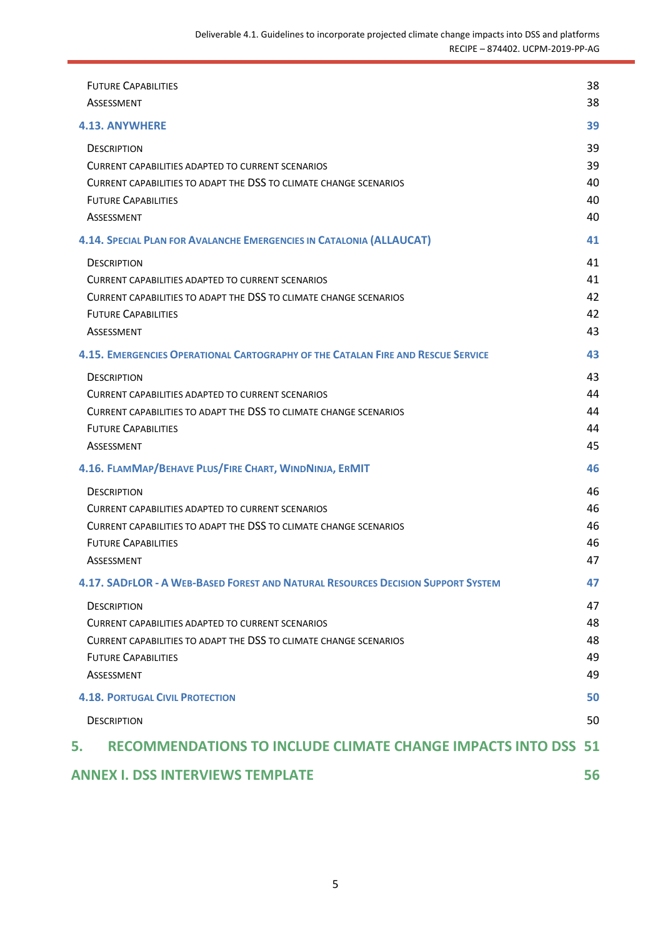|    | <b>FUTURE CAPABILITIES</b><br>ASSESSMENT                                                                                                                                                 | 38<br>38                   |
|----|------------------------------------------------------------------------------------------------------------------------------------------------------------------------------------------|----------------------------|
|    | <b>4.13. ANYWHERE</b>                                                                                                                                                                    | 39                         |
|    | <b>DESCRIPTION</b><br>CURRENT CAPABILITIES ADAPTED TO CURRENT SCENARIOS<br>CURRENT CAPABILITIES TO ADAPT THE DSS TO CLIMATE CHANGE SCENARIOS<br><b>FUTURE CAPABILITIES</b><br>ASSESSMENT | 39<br>39<br>40<br>40<br>40 |
|    | 4.14. SPECIAL PLAN FOR AVALANCHE EMERGENCIES IN CATALONIA (ALLAUCAT)                                                                                                                     | 41                         |
|    | <b>DESCRIPTION</b><br>CURRENT CAPABILITIES ADAPTED TO CURRENT SCENARIOS<br>CURRENT CAPABILITIES TO ADAPT THE DSS TO CLIMATE CHANGE SCENARIOS<br><b>FUTURE CAPABILITIES</b><br>ASSESSMENT | 41<br>41<br>42<br>42<br>43 |
|    | <b>4.15. EMERGENCIES OPERATIONAL CARTOGRAPHY OF THE CATALAN FIRE AND RESCUE SERVICE</b>                                                                                                  | 43                         |
|    | <b>DESCRIPTION</b><br>CURRENT CAPABILITIES ADAPTED TO CURRENT SCENARIOS<br>CURRENT CAPABILITIES TO ADAPT THE DSS TO CLIMATE CHANGE SCENARIOS<br><b>FUTURE CAPABILITIES</b><br>ASSESSMENT | 43<br>44<br>44<br>44<br>45 |
|    | 4.16. FLAMMAP/BEHAVE PLUS/FIRE CHART, WINDNINJA, ERMIT                                                                                                                                   | 46                         |
|    | <b>DESCRIPTION</b><br>CURRENT CAPABILITIES ADAPTED TO CURRENT SCENARIOS<br>CURRENT CAPABILITIES TO ADAPT THE DSS TO CLIMATE CHANGE SCENARIOS<br><b>FUTURE CAPABILITIES</b><br>ASSESSMENT | 46<br>46<br>46<br>46<br>47 |
|    | 4.17. SADFLOR - A WEB-BASED FOREST AND NATURAL RESOURCES DECISION SUPPORT SYSTEM                                                                                                         | 47                         |
|    | <b>DESCRIPTION</b><br>CURRENT CAPABILITIES ADAPTED TO CURRENT SCENARIOS<br>CURRENT CAPABILITIES TO ADAPT THE DSS TO CLIMATE CHANGE SCENARIOS<br><b>FUTURE CAPABILITIES</b><br>ASSESSMENT | 47<br>48<br>48<br>49<br>49 |
|    | <b>4.18. PORTUGAL CIVIL PROTECTION</b>                                                                                                                                                   | 50                         |
|    | <b>DESCRIPTION</b>                                                                                                                                                                       | 50                         |
| 5. | <b>RECOMMENDATIONS TO INCLUDE CLIMATE CHANGE IMPACTS INTO DSS</b>                                                                                                                        | 51                         |
|    | <b>ANNEX I. DSS INTERVIEWS TEMPLATE</b>                                                                                                                                                  | 56                         |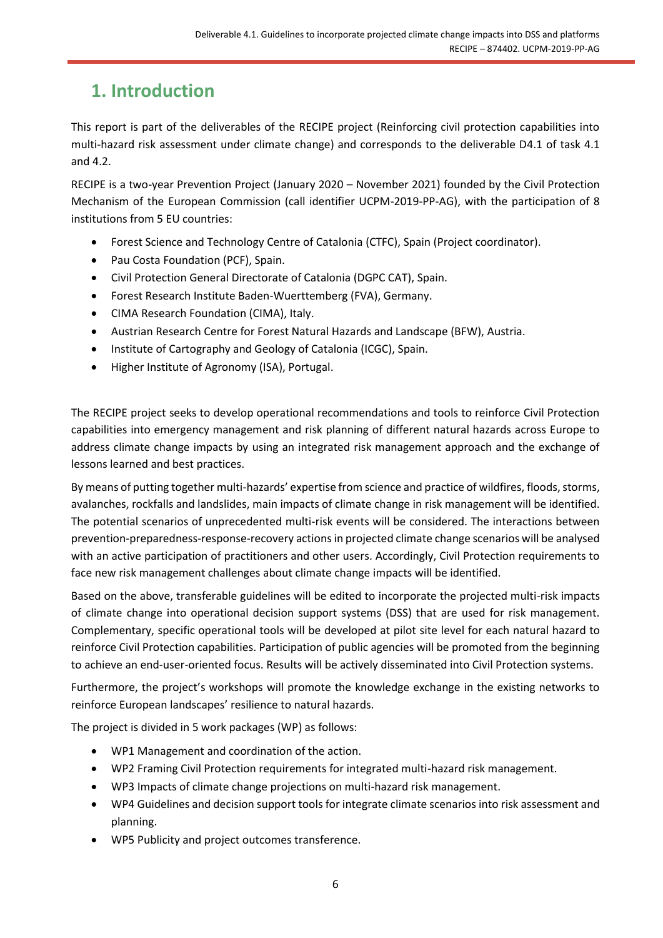# <span id="page-5-0"></span>**1. Introduction**

This report is part of the deliverables of the RECIPE project (Reinforcing civil protection capabilities into multi-hazard risk assessment under climate change) and corresponds to the deliverable D4.1 of task 4.1 and 4.2.

RECIPE is a two-year Prevention Project (January 2020 – November 2021) founded by the Civil Protection Mechanism of the European Commission (call identifier UCPM-2019-PP-AG), with the participation of 8 institutions from 5 EU countries:

- Forest Science and Technology Centre of Catalonia (CTFC), Spain (Project coordinator).
- Pau Costa Foundation (PCF), Spain.
- Civil Protection General Directorate of Catalonia (DGPC CAT), Spain.
- Forest Research Institute Baden-Wuerttemberg (FVA), Germany.
- CIMA Research Foundation (CIMA), Italy.
- Austrian Research Centre for Forest Natural Hazards and Landscape (BFW), Austria.
- Institute of Cartography and Geology of Catalonia (ICGC), Spain.
- Higher Institute of Agronomy (ISA), Portugal.

The RECIPE project seeks to develop operational recommendations and tools to reinforce Civil Protection capabilities into emergency management and risk planning of different natural hazards across Europe to address climate change impacts by using an integrated risk management approach and the exchange of lessons learned and best practices.

By means of putting together multi-hazards' expertise from science and practice of wildfires, floods, storms, avalanches, rockfalls and landslides, main impacts of climate change in risk management will be identified. The potential scenarios of unprecedented multi-risk events will be considered. The interactions between prevention-preparedness-response-recovery actions in projected climate change scenarios will be analysed with an active participation of practitioners and other users. Accordingly, Civil Protection requirements to face new risk management challenges about climate change impacts will be identified.

Based on the above, transferable guidelines will be edited to incorporate the projected multi-risk impacts of climate change into operational decision support systems (DSS) that are used for risk management. Complementary, specific operational tools will be developed at pilot site level for each natural hazard to reinforce Civil Protection capabilities. Participation of public agencies will be promoted from the beginning to achieve an end-user-oriented focus. Results will be actively disseminated into Civil Protection systems.

Furthermore, the project's workshops will promote the knowledge exchange in the existing networks to reinforce European landscapes' resilience to natural hazards.

The project is divided in 5 work packages (WP) as follows:

- WP1 Management and coordination of the action.
- WP2 Framing Civil Protection requirements for integrated multi-hazard risk management.
- WP3 Impacts of climate change projections on multi-hazard risk management.
- WP4 Guidelines and decision support tools for integrate climate scenarios into risk assessment and planning.
- WP5 Publicity and project outcomes transference.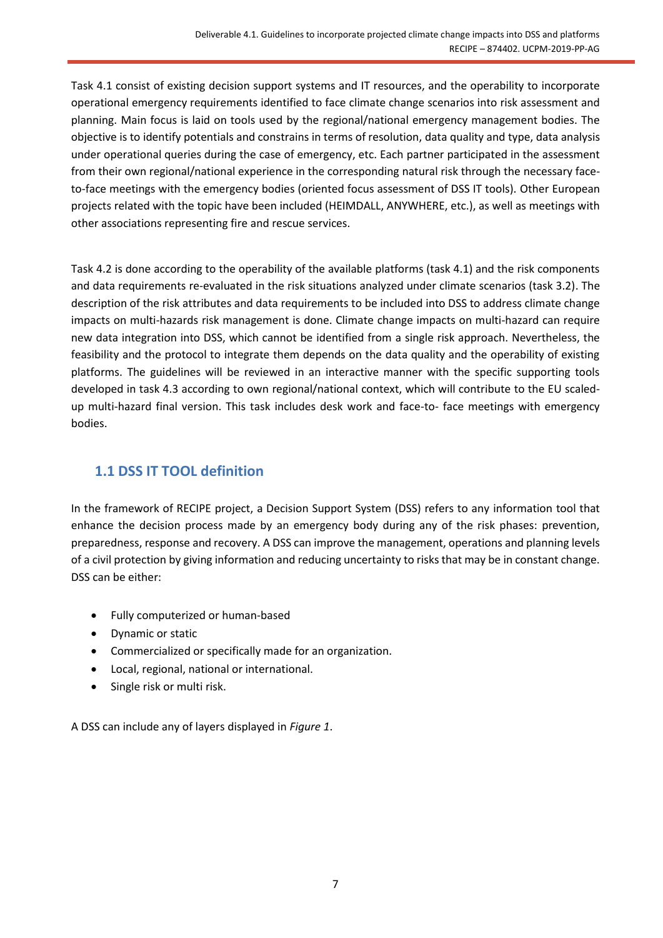Task 4.1 consist of existing decision support systems and IT resources, and the operability to incorporate operational emergency requirements identified to face climate change scenarios into risk assessment and planning. Main focus is laid on tools used by the regional/national emergency management bodies. The objective is to identify potentials and constrains in terms of resolution, data quality and type, data analysis under operational queries during the case of emergency, etc. Each partner participated in the assessment from their own regional/national experience in the corresponding natural risk through the necessary faceto-face meetings with the emergency bodies (oriented focus assessment of DSS IT tools). Other European projects related with the topic have been included (HEIMDALL, ANYWHERE, etc.), as well as meetings with other associations representing fire and rescue services.

Task 4.2 is done according to the operability of the available platforms (task 4.1) and the risk components and data requirements re-evaluated in the risk situations analyzed under climate scenarios (task 3.2). The description of the risk attributes and data requirements to be included into DSS to address climate change impacts on multi-hazards risk management is done. Climate change impacts on multi-hazard can require new data integration into DSS, which cannot be identified from a single risk approach. Nevertheless, the feasibility and the protocol to integrate them depends on the data quality and the operability of existing platforms. The guidelines will be reviewed in an interactive manner with the specific supporting tools developed in task 4.3 according to own regional/national context, which will contribute to the EU scaledup multi-hazard final version. This task includes desk work and face-to- face meetings with emergency bodies.

## <span id="page-6-0"></span>**1.1 DSS IT TOOL definition**

In the framework of RECIPE project, a Decision Support System (DSS) refers to any information tool that enhance the decision process made by an emergency body during any of the risk phases: prevention, preparedness, response and recovery. A DSS can improve the management, operations and planning levels of a civil protection by giving information and reducing uncertainty to risks that may be in constant change. DSS can be either:

- Fully computerized or human-based
- Dynamic or static
- Commercialized or specifically made for an organization.
- Local, regional, national or international.
- Single risk or multi risk.

A DSS can include any of layers displayed in *[Figure 1](#page-7-0)*.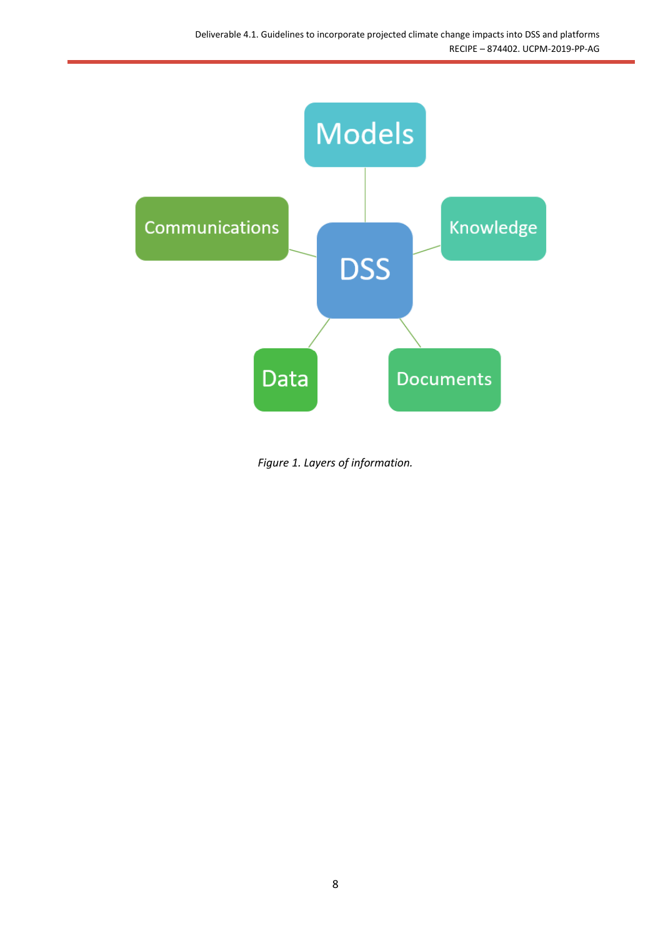

<span id="page-7-0"></span>*Figure 1. Layers of information.*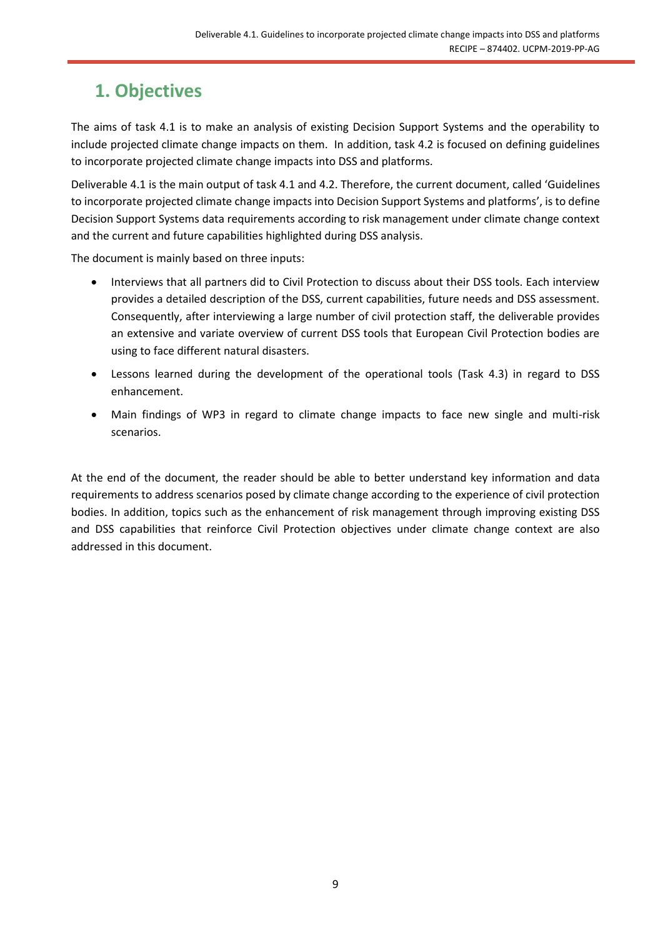# <span id="page-8-0"></span>**1. Objectives**

The aims of task 4.1 is to make an analysis of existing Decision Support Systems and the operability to include projected climate change impacts on them. In addition, task 4.2 is focused on defining guidelines to incorporate projected climate change impacts into DSS and platforms.

Deliverable 4.1 is the main output of task 4.1 and 4.2. Therefore, the current document, called 'Guidelines to incorporate projected climate change impacts into Decision Support Systems and platforms', is to define Decision Support Systems data requirements according to risk management under climate change context and the current and future capabilities highlighted during DSS analysis.

The document is mainly based on three inputs:

- Interviews that all partners did to Civil Protection to discuss about their DSS tools. Each interview provides a detailed description of the DSS, current capabilities, future needs and DSS assessment. Consequently, after interviewing a large number of civil protection staff, the deliverable provides an extensive and variate overview of current DSS tools that European Civil Protection bodies are using to face different natural disasters.
- Lessons learned during the development of the operational tools (Task 4.3) in regard to DSS enhancement.
- Main findings of WP3 in regard to climate change impacts to face new single and multi-risk scenarios.

At the end of the document, the reader should be able to better understand key information and data requirements to address scenarios posed by climate change according to the experience of civil protection bodies. In addition, topics such as the enhancement of risk management through improving existing DSS and DSS capabilities that reinforce Civil Protection objectives under climate change context are also addressed in this document.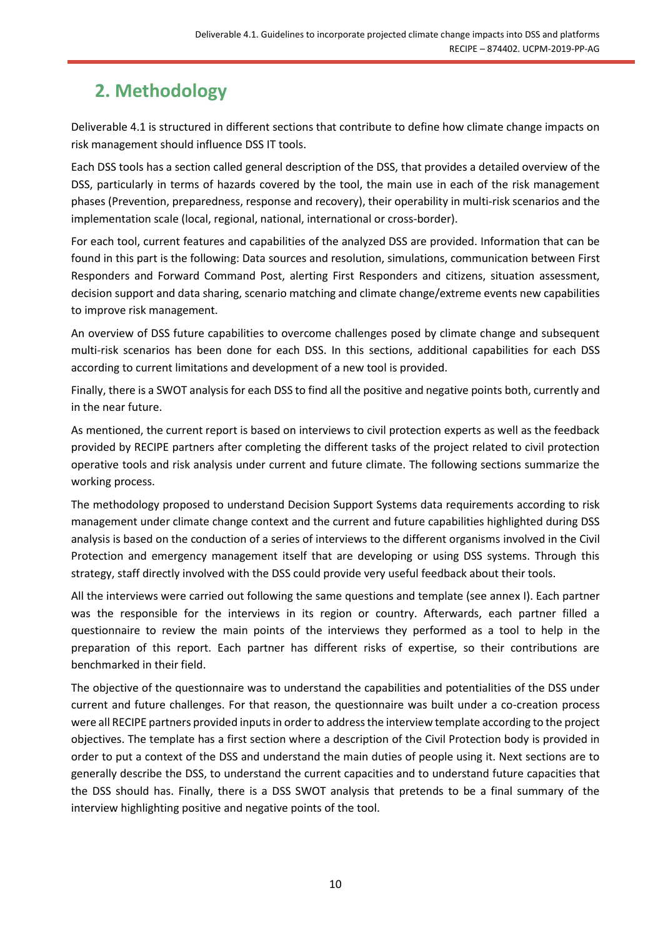# <span id="page-9-0"></span>**2. Methodology**

Deliverable 4.1 is structured in different sections that contribute to define how climate change impacts on risk management should influence DSS IT tools.

Each DSS tools has a section called general description of the DSS, that provides a detailed overview of the DSS, particularly in terms of hazards covered by the tool, the main use in each of the risk management phases (Prevention, preparedness, response and recovery), their operability in multi-risk scenarios and the implementation scale (local, regional, national, international or cross-border).

For each tool, current features and capabilities of the analyzed DSS are provided. Information that can be found in this part is the following: Data sources and resolution, simulations, communication between First Responders and Forward Command Post, alerting First Responders and citizens, situation assessment, decision support and data sharing, scenario matching and climate change/extreme events new capabilities to improve risk management.

An overview of DSS future capabilities to overcome challenges posed by climate change and subsequent multi-risk scenarios has been done for each DSS. In this sections, additional capabilities for each DSS according to current limitations and development of a new tool is provided.

Finally, there is a SWOT analysis for each DSS to find all the positive and negative points both, currently and in the near future.

As mentioned, the current report is based on interviews to civil protection experts as well as the feedback provided by RECIPE partners after completing the different tasks of the project related to civil protection operative tools and risk analysis under current and future climate. The following sections summarize the working process.

The methodology proposed to understand Decision Support Systems data requirements according to risk management under climate change context and the current and future capabilities highlighted during DSS analysis is based on the conduction of a series of interviews to the different organisms involved in the Civil Protection and emergency management itself that are developing or using DSS systems. Through this strategy, staff directly involved with the DSS could provide very useful feedback about their tools.

All the interviews were carried out following the same questions and template (see annex I). Each partner was the responsible for the interviews in its region or country. Afterwards, each partner filled a questionnaire to review the main points of the interviews they performed as a tool to help in the preparation of this report. Each partner has different risks of expertise, so their contributions are benchmarked in their field.

The objective of the questionnaire was to understand the capabilities and potentialities of the DSS under current and future challenges. For that reason, the questionnaire was built under a co-creation process were all RECIPE partners provided inputs in order to address the interview template according to the project objectives. The template has a first section where a description of the Civil Protection body is provided in order to put a context of the DSS and understand the main duties of people using it. Next sections are to generally describe the DSS, to understand the current capacities and to understand future capacities that the DSS should has. Finally, there is a DSS SWOT analysis that pretends to be a final summary of the interview highlighting positive and negative points of the tool.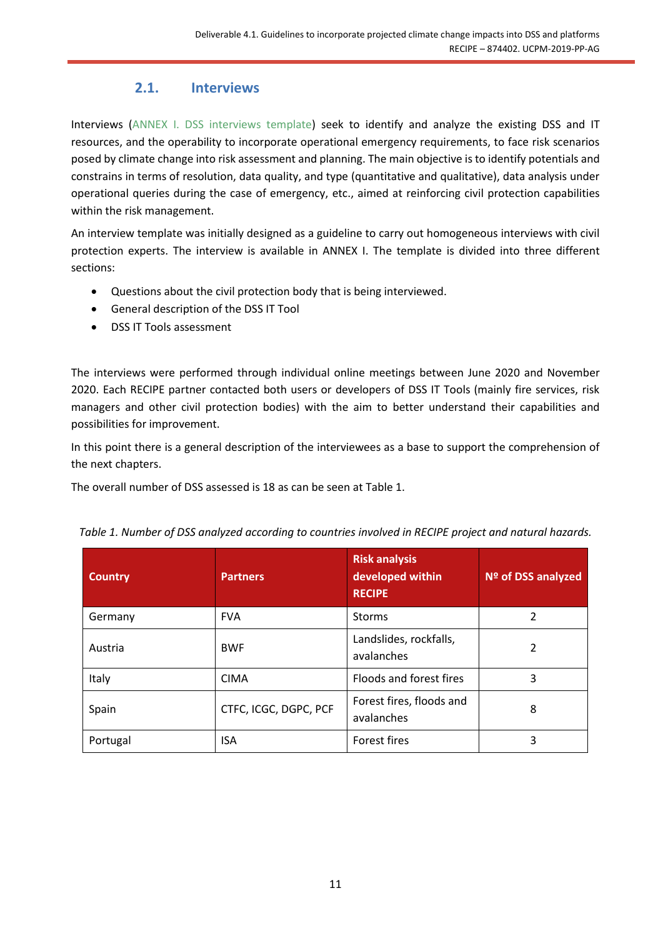## **2.1. Interviews**

<span id="page-10-0"></span>Interviews [\(ANNEX I. DSS interviews template\)](#page-55-0) seek to identify and analyze the existing DSS and IT resources, and the operability to incorporate operational emergency requirements, to face risk scenarios posed by climate change into risk assessment and planning. The main objective is to identify potentials and constrains in terms of resolution, data quality, and type (quantitative and qualitative), data analysis under operational queries during the case of emergency, etc., aimed at reinforcing civil protection capabilities within the risk management.

An interview template was initially designed as a guideline to carry out homogeneous interviews with civil protection experts. The interview is available in ANNEX I. The template is divided into three different sections:

- Questions about the civil protection body that is being interviewed.
- General description of the DSS IT Tool
- DSS IT Tools assessment

The interviews were performed through individual online meetings between June 2020 and November 2020. Each RECIPE partner contacted both users or developers of DSS IT Tools (mainly fire services, risk managers and other civil protection bodies) with the aim to better understand their capabilities and possibilities for improvement.

In this point there is a general description of the interviewees as a base to support the comprehension of the next chapters.

The overall number of DSS assessed is 18 as can be seen a[t Table 1.](#page-10-1)

| <b>Country</b> | <b>Partners</b>       | <b>Risk analysis</b><br>developed within<br><b>RECIPE</b> | Nº of DSS analyzed |
|----------------|-----------------------|-----------------------------------------------------------|--------------------|
| Germany        | <b>FVA</b>            | <b>Storms</b>                                             | 2                  |
| Austria        | <b>BWF</b>            | Landslides, rockfalls,<br>avalanches                      | 2                  |
| Italy          | <b>CIMA</b>           | Floods and forest fires                                   | 3                  |
| Spain          | CTFC, ICGC, DGPC, PCF | Forest fires, floods and<br>avalanches                    | 8                  |
| Portugal       | <b>ISA</b>            | Forest fires                                              | 3                  |

<span id="page-10-1"></span>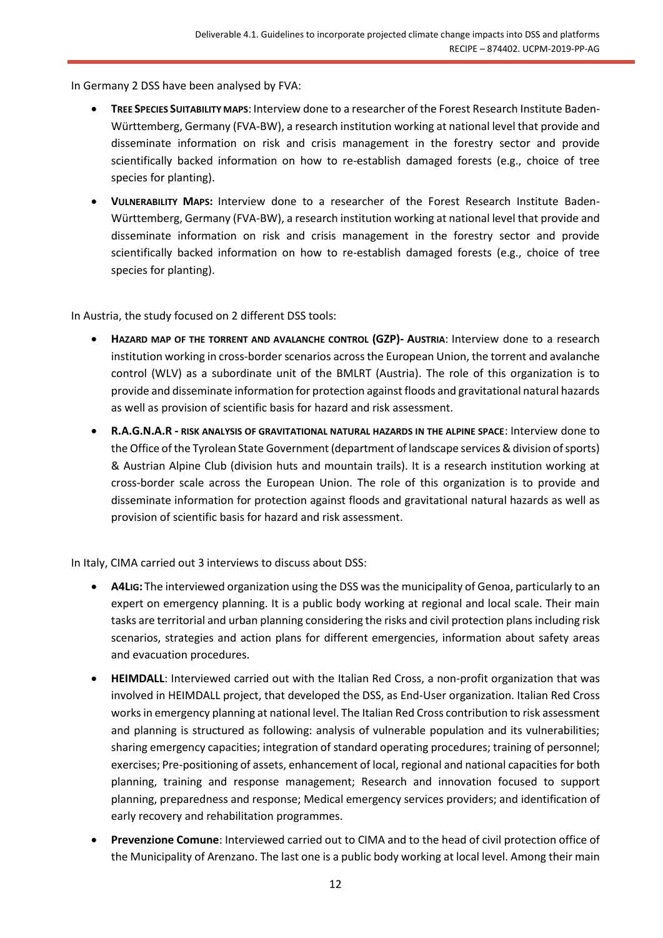In Germany 2 DSS have been analysed by FVA:

- **TREE SPECIES SUITABILITY MAPS**: Interview done to a researcher of the Forest Research Institute Baden-Württemberg, Germany (FVA-BW), a research institution working at national level that provide and disseminate information on risk and crisis management in the forestry sector and provide scientifically backed information on how to re-establish damaged forests (e.g., choice of tree species for planting).
- **VULNERABILITY MAPS:** Interview done to a researcher of the Forest Research Institute Baden-Württemberg, Germany (FVA-BW), a research institution working at national level that provide and disseminate information on risk and crisis management in the forestry sector and provide scientifically backed information on how to re-establish damaged forests (e.g., choice of tree species for planting).

In Austria, the study focused on 2 different DSS tools:

- **HAZARD MAP OF THE TORRENT AND AVALANCHE CONTROL (GZP)- AUSTRIA**: Interview done to a research institution working in cross-border scenarios across the European Union, the torrent and avalanche control (WLV) as a subordinate unit of the BMLRT (Austria). The role of this organization is to provide and disseminate information for protection against floods and gravitational natural hazards as well as provision of scientific basis for hazard and risk assessment.
- **R.A.G.N.A.R - RISK ANALYSIS OF GRAVITATIONAL NATURAL HAZARDS IN THE ALPINE SPACE**: Interview done to the Office of the Tyrolean State Government (department of landscape services & division of sports) & Austrian Alpine Club (division huts and mountain trails). It is a research institution working at cross-border scale across the European Union. The role of this organization is to provide and disseminate information for protection against floods and gravitational natural hazards as well as provision of scientific basis for hazard and risk assessment.

In Italy, CIMA carried out 3 interviews to discuss about DSS:

- **A4LIG:** The interviewed organization using the DSS was the municipality of Genoa, particularly to an expert on emergency planning. It is a public body working at regional and local scale. Their main tasks are territorial and urban planning considering the risks and civil protection plans including risk scenarios, strategies and action plans for different emergencies, information about safety areas and evacuation procedures.
- **HEIMDALL**: Interviewed carried out with the Italian Red Cross, a non-profit organization that was involved in HEIMDALL project, that developed the DSS, as End-User organization. Italian Red Cross works in emergency planning at national level. The Italian Red Cross contribution to risk assessment and planning is structured as following: analysis of vulnerable population and its vulnerabilities; sharing emergency capacities; integration of standard operating procedures; training of personnel; exercises; Pre-positioning of assets, enhancement of local, regional and national capacities for both planning, training and response management; Research and innovation focused to support planning, preparedness and response; Medical emergency services providers; and identification of early recovery and rehabilitation programmes.
- **Prevenzione Comune**: Interviewed carried out to CIMA and to the head of civil protection office of the Municipality of Arenzano. The last one is a public body working at local level. Among their main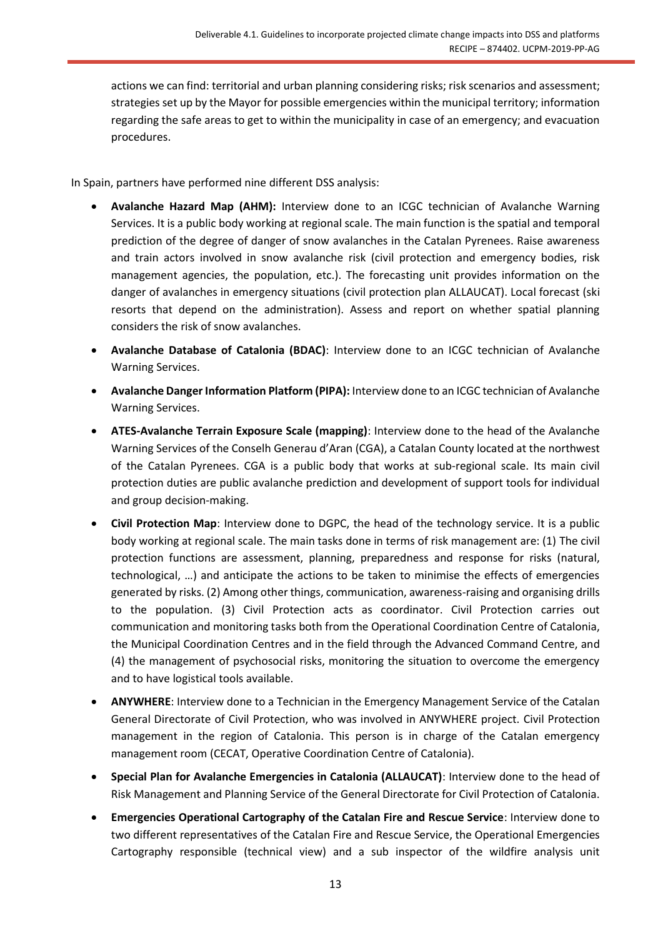actions we can find: territorial and urban planning considering risks; risk scenarios and assessment; strategies set up by the Mayor for possible emergencies within the municipal territory; information regarding the safe areas to get to within the municipality in case of an emergency; and evacuation procedures.

In Spain, partners have performed nine different DSS analysis:

- **Avalanche Hazard Map (AHM):** Interview done to an ICGC technician of Avalanche Warning Services. It is a public body working at regional scale. The main function is the spatial and temporal prediction of the degree of danger of snow avalanches in the Catalan Pyrenees. Raise awareness and train actors involved in snow avalanche risk (civil protection and emergency bodies, risk management agencies, the population, etc.). The forecasting unit provides information on the danger of avalanches in emergency situations (civil protection plan ALLAUCAT). Local forecast (ski resorts that depend on the administration). Assess and report on whether spatial planning considers the risk of snow avalanches.
- **Avalanche Database of Catalonia (BDAC)**: Interview done to an ICGC technician of Avalanche Warning Services.
- **Avalanche Danger Information Platform (PIPA):** Interview done to an ICGC technician of Avalanche Warning Services.
- **ATES-Avalanche Terrain Exposure Scale (mapping)**: Interview done to the head of the Avalanche Warning Services of the Conselh Generau d'Aran (CGA), a Catalan County located at the northwest of the Catalan Pyrenees. CGA is a public body that works at sub-regional scale. Its main civil protection duties are public avalanche prediction and development of support tools for individual and group decision-making.
- **Civil Protection Map**: Interview done to DGPC, the head of the technology service. It is a public body working at regional scale. The main tasks done in terms of risk management are: (1) The civil protection functions are assessment, planning, preparedness and response for risks (natural, technological, …) and anticipate the actions to be taken to minimise the effects of emergencies generated by risks. (2) Among other things, communication, awareness-raising and organising drills to the population. (3) Civil Protection acts as coordinator. Civil Protection carries out communication and monitoring tasks both from the Operational Coordination Centre of Catalonia, the Municipal Coordination Centres and in the field through the Advanced Command Centre, and (4) the management of psychosocial risks, monitoring the situation to overcome the emergency and to have logistical tools available.
- **ANYWHERE**: Interview done to a Technician in the Emergency Management Service of the Catalan General Directorate of Civil Protection, who was involved in ANYWHERE project. Civil Protection management in the region of Catalonia. This person is in charge of the Catalan emergency management room (CECAT, Operative Coordination Centre of Catalonia).
- **Special Plan for Avalanche Emergencies in Catalonia (ALLAUCAT)**: Interview done to the head of Risk Management and Planning Service of the General Directorate for Civil Protection of Catalonia.
- **Emergencies Operational Cartography of the Catalan Fire and Rescue Service**: Interview done to two different representatives of the Catalan Fire and Rescue Service, the Operational Emergencies Cartography responsible (technical view) and a sub inspector of the wildfire analysis unit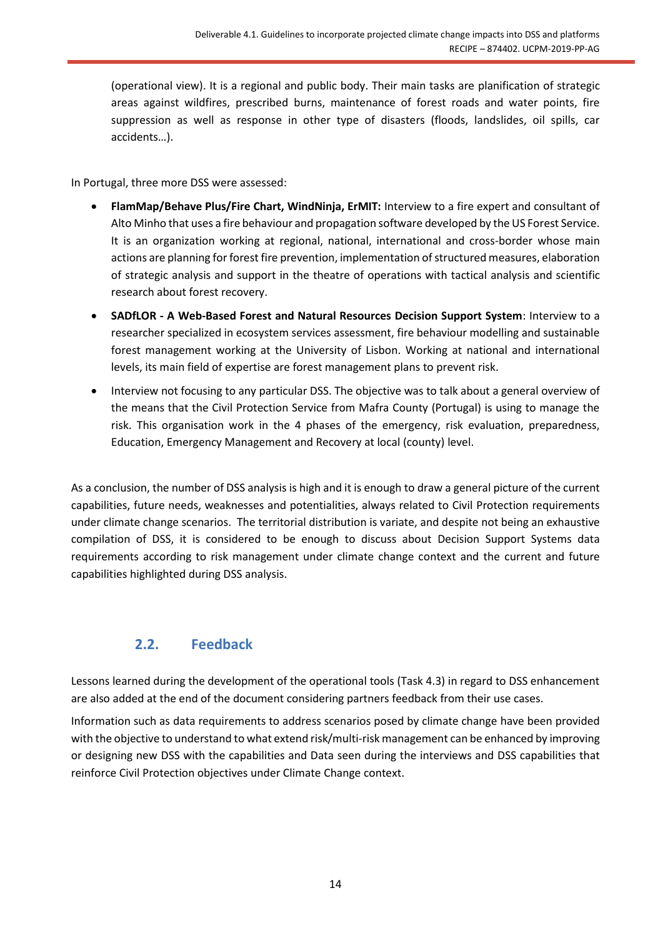(operational view). It is a regional and public body. Their main tasks are planification of strategic areas against wildfires, prescribed burns, maintenance of forest roads and water points, fire suppression as well as response in other type of disasters (floods, landslides, oil spills, car accidents…).

In Portugal, three more DSS were assessed:

- **FlamMap/Behave Plus/Fire Chart, WindNinja, ErMIT:** Interview to a fire expert and consultant of Alto Minho that uses a fire behaviour and propagation software developed by the US Forest Service. It is an organization working at regional, national, international and cross-border whose main actions are planning for forest fire prevention, implementation of structured measures, elaboration of strategic analysis and support in the theatre of operations with tactical analysis and scientific research about forest recovery.
- **SADfLOR - A Web-Based Forest and Natural Resources Decision Support System**: Interview to a researcher specialized in ecosystem services assessment, fire behaviour modelling and sustainable forest management working at the University of Lisbon. Working at national and international levels, its main field of expertise are forest management plans to prevent risk.
- Interview not focusing to any particular DSS. The objective was to talk about a general overview of the means that the Civil Protection Service from Mafra County (Portugal) is using to manage the risk. This organisation work in the 4 phases of the emergency, risk evaluation, preparedness, Education, Emergency Management and Recovery at local (county) level.

As a conclusion, the number of DSS analysis is high and it is enough to draw a general picture of the current capabilities, future needs, weaknesses and potentialities, always related to Civil Protection requirements under climate change scenarios. The territorial distribution is variate, and despite not being an exhaustive compilation of DSS, it is considered to be enough to discuss about Decision Support Systems data requirements according to risk management under climate change context and the current and future capabilities highlighted during DSS analysis.

## **2.2. Feedback**

<span id="page-13-0"></span>Lessons learned during the development of the operational tools (Task 4.3) in regard to DSS enhancement are also added at the end of the document considering partners feedback from their use cases.

Information such as data requirements to address scenarios posed by climate change have been provided with the objective to understand to what extend risk/multi-risk management can be enhanced by improving or designing new DSS with the capabilities and Data seen during the interviews and DSS capabilities that reinforce Civil Protection objectives under Climate Change context.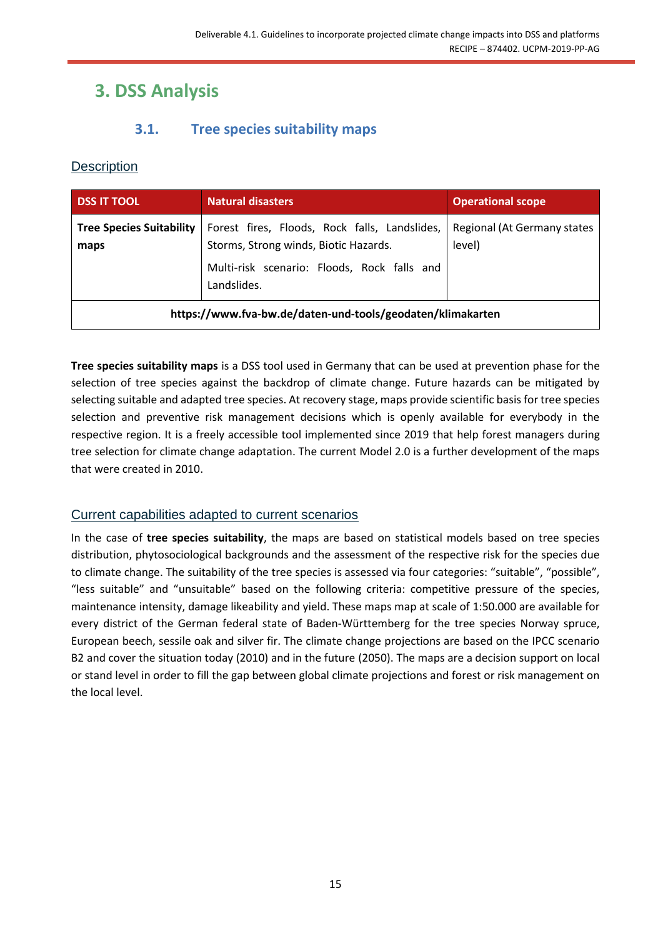# <span id="page-14-0"></span>**3. DSS Analysis**

## **3.1. Tree species suitability maps**

## <span id="page-14-2"></span><span id="page-14-1"></span>**Description**

| <b>DSS IT TOOL</b>                                         | <b>Natural disasters</b>                                                                                                                             | <b>Operational scope</b>              |
|------------------------------------------------------------|------------------------------------------------------------------------------------------------------------------------------------------------------|---------------------------------------|
| <b>Tree Species Suitability</b><br>maps                    | Forest fires, Floods, Rock falls, Landslides,<br>Storms, Strong winds, Biotic Hazards.<br>Multi-risk scenario: Floods, Rock falls and<br>Landslides. | Regional (At Germany states<br>level) |
| https://www.fva-bw.de/daten-und-tools/geodaten/klimakarten |                                                                                                                                                      |                                       |

**Tree species suitability maps** is a DSS tool used in Germany that can be used at prevention phase for the selection of tree species against the backdrop of climate change. Future hazards can be mitigated by selecting suitable and adapted tree species. At recovery stage, maps provide scientific basis for tree species selection and preventive risk management decisions which is openly available for everybody in the respective region. It is a freely accessible tool implemented since 2019 that help forest managers during tree selection for climate change adaptation. The current Model 2.0 is a further development of the maps that were created in 2010.

#### <span id="page-14-3"></span>Current capabilities adapted to current scenarios

In the case of **tree species suitability**, the maps are based on statistical models based on tree species distribution, phytosociological backgrounds and the assessment of the respective risk for the species due to climate change. The suitability of the tree species is assessed via four categories: "suitable", "possible", "less suitable" and "unsuitable" based on the following criteria: competitive pressure of the species, maintenance intensity, damage likeability and yield. These maps map at scale of 1:50.000 are available for every district of the German federal state of Baden-Württemberg for the tree species Norway spruce, European beech, sessile oak and silver fir. The climate change projections are based on the IPCC scenario B2 and cover the situation today (2010) and in the future (2050). The maps are a decision support on local or stand level in order to fill the gap between global climate projections and forest or risk management on the local level.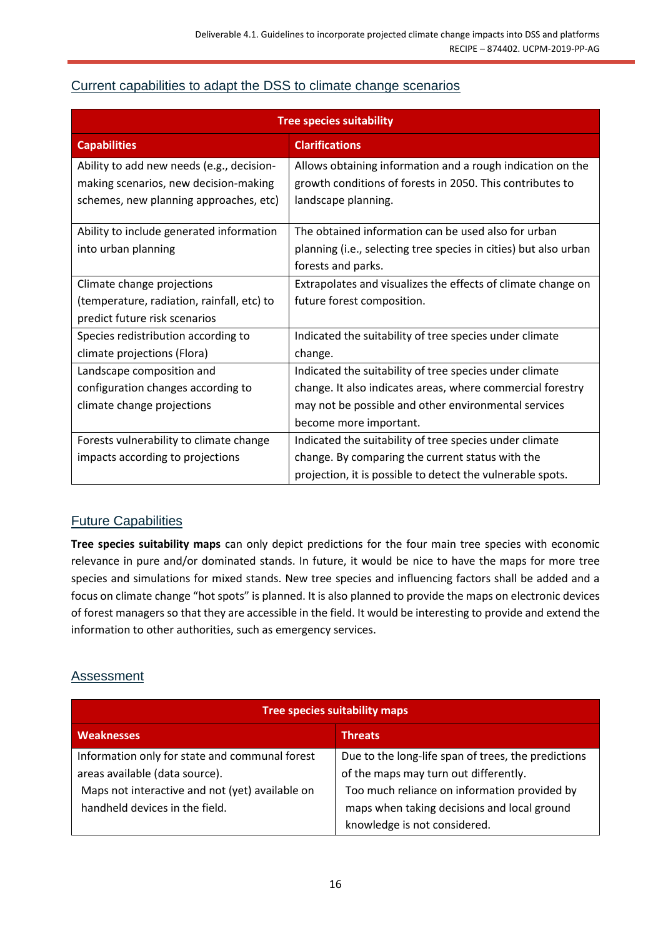### <span id="page-15-0"></span>Current capabilities to adapt the DSS to climate change scenarios

| <b>Tree species suitability</b>                                                    |                                                                                                                         |  |
|------------------------------------------------------------------------------------|-------------------------------------------------------------------------------------------------------------------------|--|
| <b>Capabilities</b>                                                                | <b>Clarifications</b>                                                                                                   |  |
| Ability to add new needs (e.g., decision-<br>making scenarios, new decision-making | Allows obtaining information and a rough indication on the<br>growth conditions of forests in 2050. This contributes to |  |
| schemes, new planning approaches, etc)                                             | landscape planning.                                                                                                     |  |
| Ability to include generated information                                           | The obtained information can be used also for urban                                                                     |  |
| into urban planning                                                                | planning (i.e., selecting tree species in cities) but also urban                                                        |  |
|                                                                                    | forests and parks.                                                                                                      |  |
| Climate change projections                                                         | Extrapolates and visualizes the effects of climate change on                                                            |  |
| (temperature, radiation, rainfall, etc) to                                         | future forest composition.                                                                                              |  |
| predict future risk scenarios                                                      |                                                                                                                         |  |
| Species redistribution according to                                                | Indicated the suitability of tree species under climate                                                                 |  |
| climate projections (Flora)                                                        | change.                                                                                                                 |  |
| Landscape composition and                                                          | Indicated the suitability of tree species under climate                                                                 |  |
| configuration changes according to                                                 | change. It also indicates areas, where commercial forestry                                                              |  |
| climate change projections                                                         | may not be possible and other environmental services                                                                    |  |
|                                                                                    | become more important.                                                                                                  |  |
| Forests vulnerability to climate change                                            | Indicated the suitability of tree species under climate                                                                 |  |
| impacts according to projections                                                   | change. By comparing the current status with the                                                                        |  |
|                                                                                    | projection, it is possible to detect the vulnerable spots.                                                              |  |

## <span id="page-15-1"></span>Future Capabilities

**Tree species suitability maps** can only depict predictions for the four main tree species with economic relevance in pure and/or dominated stands. In future, it would be nice to have the maps for more tree species and simulations for mixed stands. New tree species and influencing factors shall be added and a focus on climate change "hot spots" is planned. It is also planned to provide the maps on electronic devices of forest managers so that they are accessible in the field. It would be interesting to provide and extend the information to other authorities, such as emergency services.

#### <span id="page-15-2"></span>Assessment

| <b>Tree species suitability maps</b>            |                                                     |  |
|-------------------------------------------------|-----------------------------------------------------|--|
| <b>Weaknesses</b>                               | <b>Threats</b>                                      |  |
| Information only for state and communal forest  | Due to the long-life span of trees, the predictions |  |
| areas available (data source).                  | of the maps may turn out differently.               |  |
| Maps not interactive and not (yet) available on | Too much reliance on information provided by        |  |
| handheld devices in the field.                  | maps when taking decisions and local ground         |  |
|                                                 | knowledge is not considered.                        |  |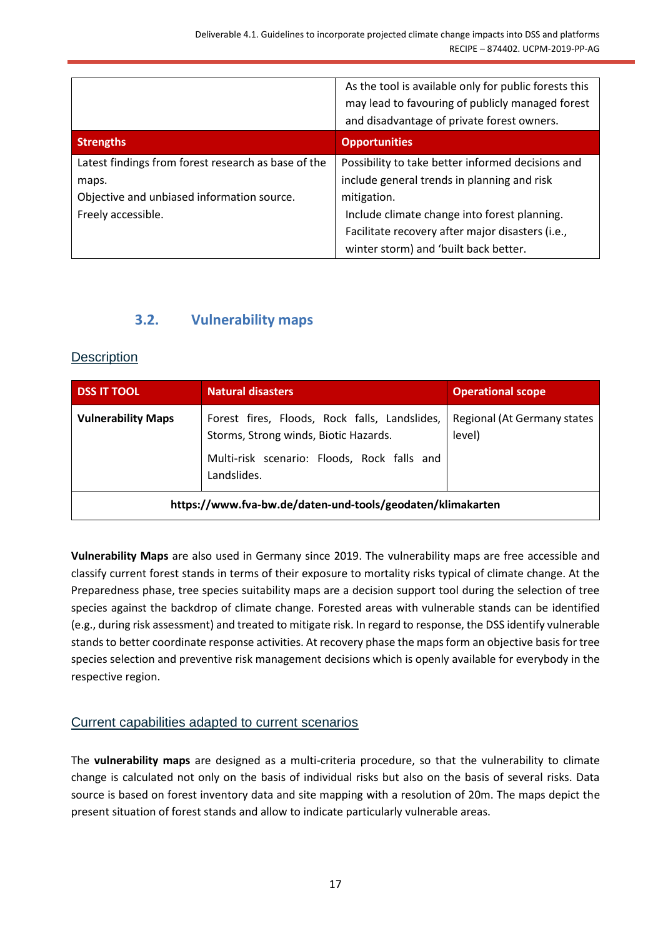|                                                     | As the tool is available only for public forests this<br>may lead to favouring of publicly managed forest<br>and disadvantage of private forest owners. |
|-----------------------------------------------------|---------------------------------------------------------------------------------------------------------------------------------------------------------|
| <b>Strengths</b>                                    | <b>Opportunities</b>                                                                                                                                    |
| Latest findings from forest research as base of the | Possibility to take better informed decisions and                                                                                                       |
| maps.                                               | include general trends in planning and risk                                                                                                             |
| Objective and unbiased information source.          | mitigation.                                                                                                                                             |
| Freely accessible.                                  | Include climate change into forest planning.                                                                                                            |
|                                                     | Facilitate recovery after major disasters (i.e.,                                                                                                        |
|                                                     | winter storm) and 'built back better.                                                                                                                   |

## **3.2. Vulnerability maps**

#### <span id="page-16-1"></span><span id="page-16-0"></span>**Description**

| <b>DSS IT TOOL</b>                                         | <b>Natural disasters</b>                                                                                                                             | <b>Operational scope</b>              |
|------------------------------------------------------------|------------------------------------------------------------------------------------------------------------------------------------------------------|---------------------------------------|
| <b>Vulnerability Maps</b>                                  | Forest fires, Floods, Rock falls, Landslides,<br>Storms, Strong winds, Biotic Hazards.<br>Multi-risk scenario: Floods, Rock falls and<br>Landslides. | Regional (At Germany states<br>level) |
| https://www.fva-bw.de/daten-und-tools/geodaten/klimakarten |                                                                                                                                                      |                                       |

**Vulnerability Maps** are also used in Germany since 2019. The vulnerability maps are free accessible and classify current forest stands in terms of their exposure to mortality risks typical of climate change. At the Preparedness phase, tree species suitability maps are a decision support tool during the selection of tree species against the backdrop of climate change. Forested areas with vulnerable stands can be identified (e.g., during risk assessment) and treated to mitigate risk. In regard to response, the DSS identify vulnerable stands to better coordinate response activities. At recovery phase the maps form an objective basis for tree species selection and preventive risk management decisions which is openly available for everybody in the respective region.

## <span id="page-16-2"></span>Current capabilities adapted to current scenarios

The **vulnerability maps** are designed as a multi-criteria procedure, so that the vulnerability to climate change is calculated not only on the basis of individual risks but also on the basis of several risks. Data source is based on forest inventory data and site mapping with a resolution of 20m. The maps depict the present situation of forest stands and allow to indicate particularly vulnerable areas.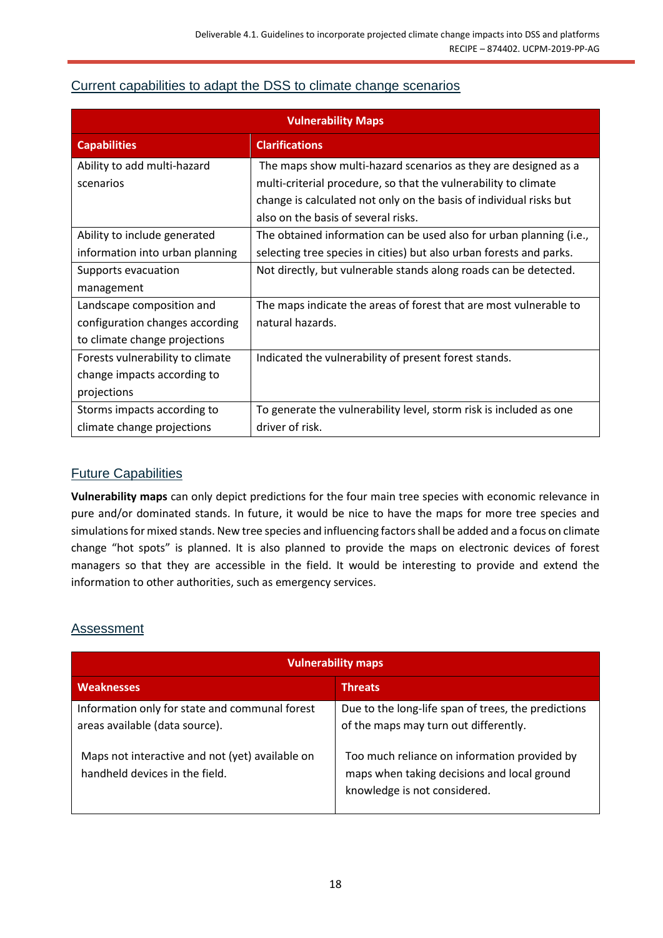## <span id="page-17-0"></span>Current capabilities to adapt the DSS to climate change scenarios

| <b>Vulnerability Maps</b>        |                                                                     |  |
|----------------------------------|---------------------------------------------------------------------|--|
| <b>Capabilities</b>              | <b>Clarifications</b>                                               |  |
| Ability to add multi-hazard      | The maps show multi-hazard scenarios as they are designed as a      |  |
| scenarios                        | multi-criterial procedure, so that the vulnerability to climate     |  |
|                                  | change is calculated not only on the basis of individual risks but  |  |
|                                  | also on the basis of several risks.                                 |  |
| Ability to include generated     | The obtained information can be used also for urban planning (i.e., |  |
| information into urban planning  | selecting tree species in cities) but also urban forests and parks. |  |
| Supports evacuation              | Not directly, but vulnerable stands along roads can be detected.    |  |
| management                       |                                                                     |  |
| Landscape composition and        | The maps indicate the areas of forest that are most vulnerable to   |  |
| configuration changes according  | natural hazards.                                                    |  |
| to climate change projections    |                                                                     |  |
| Forests vulnerability to climate | Indicated the vulnerability of present forest stands.               |  |
| change impacts according to      |                                                                     |  |
| projections                      |                                                                     |  |
| Storms impacts according to      | To generate the vulnerability level, storm risk is included as one  |  |
| climate change projections       | driver of risk.                                                     |  |

## <span id="page-17-1"></span>Future Capabilities

**Vulnerability maps** can only depict predictions for the four main tree species with economic relevance in pure and/or dominated stands. In future, it would be nice to have the maps for more tree species and simulations for mixed stands. New tree species and influencing factors shall be added and a focus on climate change "hot spots" is planned. It is also planned to provide the maps on electronic devices of forest managers so that they are accessible in the field. It would be interesting to provide and extend the information to other authorities, such as emergency services.

#### <span id="page-17-2"></span>**Assessment**

| <b>Vulnerability maps</b>                                                                                                           |                                                                                                                                              |  |
|-------------------------------------------------------------------------------------------------------------------------------------|----------------------------------------------------------------------------------------------------------------------------------------------|--|
| <b>Weaknesses</b>                                                                                                                   | <b>Threats</b>                                                                                                                               |  |
| Information only for state and communal forest<br>areas available (data source).<br>Maps not interactive and not (yet) available on | Due to the long-life span of trees, the predictions<br>of the maps may turn out differently.<br>Too much reliance on information provided by |  |
| handheld devices in the field.                                                                                                      | maps when taking decisions and local ground<br>knowledge is not considered.                                                                  |  |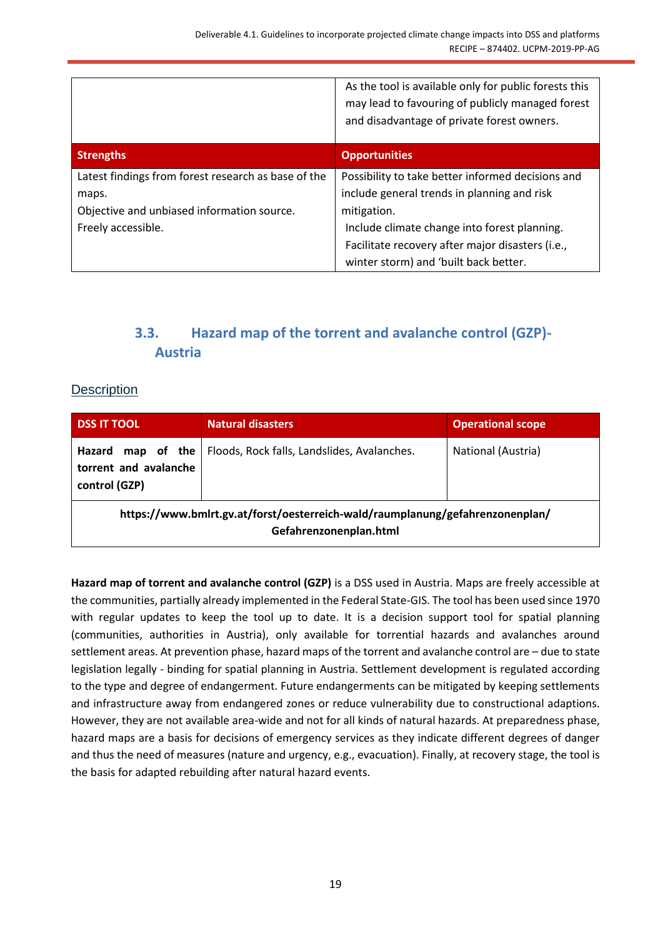|                                                     | As the tool is available only for public forests this<br>may lead to favouring of publicly managed forest<br>and disadvantage of private forest owners. |
|-----------------------------------------------------|---------------------------------------------------------------------------------------------------------------------------------------------------------|
| <b>Strengths</b>                                    | <b>Opportunities</b>                                                                                                                                    |
| Latest findings from forest research as base of the | Possibility to take better informed decisions and                                                                                                       |
| maps.                                               | include general trends in planning and risk                                                                                                             |
| Objective and unbiased information source.          | mitigation.                                                                                                                                             |
| Freely accessible.                                  | Include climate change into forest planning.                                                                                                            |
|                                                     | Facilitate recovery after major disasters (i.e.,                                                                                                        |
|                                                     | winter storm) and 'built back better.                                                                                                                   |

## **3.3. Hazard map of the torrent and avalanche control (GZP)- Austria**

## <span id="page-18-1"></span><span id="page-18-0"></span>**Description**

| <b>DSS IT TOOL</b>                                                                                      | <b>Natural disasters</b>                    | <b>Operational scope</b> |
|---------------------------------------------------------------------------------------------------------|---------------------------------------------|--------------------------|
| map of the<br>Hazard<br>torrent and avalanche<br>control (GZP)                                          | Floods, Rock falls, Landslides, Avalanches. | National (Austria)       |
| https://www.bmlrt.gv.at/forst/oesterreich-wald/raumplanung/gefahrenzonenplan/<br>Gefahrenzonenplan.html |                                             |                          |

**Hazard map of torrent and avalanche control (GZP)** is a DSS used in Austria. Maps are freely accessible at the communities, partially already implemented in the Federal State-GIS. The tool has been used since 1970 with regular updates to keep the tool up to date. It is a decision support tool for spatial planning (communities, authorities in Austria), only available for torrential hazards and avalanches around settlement areas. At prevention phase, hazard maps of the torrent and avalanche control are – due to state legislation legally - binding for spatial planning in Austria. Settlement development is regulated according to the type and degree of endangerment. Future endangerments can be mitigated by keeping settlements and infrastructure away from endangered zones or reduce vulnerability due to constructional adaptions. However, they are not available area-wide and not for all kinds of natural hazards. At preparedness phase, hazard maps are a basis for decisions of emergency services as they indicate different degrees of danger and thus the need of measures (nature and urgency, e.g., evacuation). Finally, at recovery stage, the tool is the basis for adapted rebuilding after natural hazard events.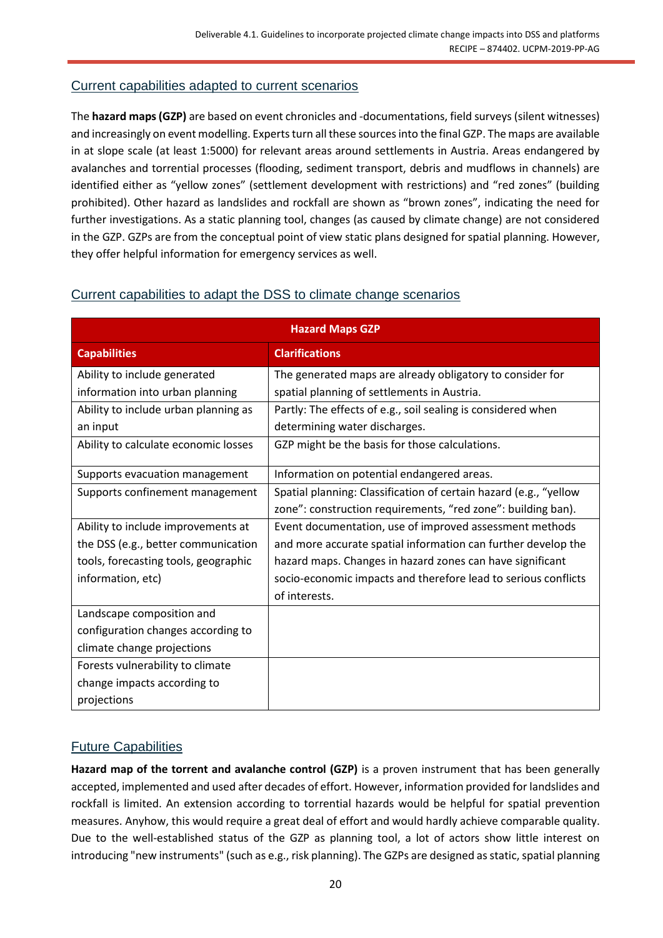#### <span id="page-19-0"></span>Current capabilities adapted to current scenarios

The **hazard maps (GZP)** are based on event chronicles and -documentations, field surveys (silent witnesses) and increasingly on event modelling. Experts turn all these sources into the final GZP. The maps are available in at slope scale (at least 1:5000) for relevant areas around settlements in Austria. Areas endangered by avalanches and torrential processes (flooding, sediment transport, debris and mudflows in channels) are identified either as "yellow zones" (settlement development with restrictions) and "red zones" (building prohibited). Other hazard as landslides and rockfall are shown as "brown zones", indicating the need for further investigations. As a static planning tool, changes (as caused by climate change) are not considered in the GZP. GZPs are from the conceptual point of view static plans designed for spatial planning. However, they offer helpful information for emergency services as well.

| <b>Hazard Maps GZP</b>               |                                                                   |  |
|--------------------------------------|-------------------------------------------------------------------|--|
| <b>Capabilities</b>                  | <b>Clarifications</b>                                             |  |
| Ability to include generated         | The generated maps are already obligatory to consider for         |  |
| information into urban planning      | spatial planning of settlements in Austria.                       |  |
| Ability to include urban planning as | Partly: The effects of e.g., soil sealing is considered when      |  |
| an input                             | determining water discharges.                                     |  |
| Ability to calculate economic losses | GZP might be the basis for those calculations.                    |  |
| Supports evacuation management       | Information on potential endangered areas.                        |  |
| Supports confinement management      | Spatial planning: Classification of certain hazard (e.g., "yellow |  |
|                                      | zone": construction requirements, "red zone": building ban).      |  |
| Ability to include improvements at   | Event documentation, use of improved assessment methods           |  |
| the DSS (e.g., better communication  | and more accurate spatial information can further develop the     |  |
| tools, forecasting tools, geographic | hazard maps. Changes in hazard zones can have significant         |  |
| information, etc)                    | socio-economic impacts and therefore lead to serious conflicts    |  |
|                                      | of interests.                                                     |  |
| Landscape composition and            |                                                                   |  |
| configuration changes according to   |                                                                   |  |
| climate change projections           |                                                                   |  |
| Forests vulnerability to climate     |                                                                   |  |
| change impacts according to          |                                                                   |  |
| projections                          |                                                                   |  |

#### <span id="page-19-1"></span>Current capabilities to adapt the DSS to climate change scenarios

## <span id="page-19-2"></span>Future Capabilities

**Hazard map of the torrent and avalanche control (GZP)** is a proven instrument that has been generally accepted, implemented and used after decades of effort. However, information provided for landslides and rockfall is limited. An extension according to torrential hazards would be helpful for spatial prevention measures. Anyhow, this would require a great deal of effort and would hardly achieve comparable quality. Due to the well-established status of the GZP as planning tool, a lot of actors show little interest on introducing "new instruments" (such as e.g., risk planning). The GZPs are designed as static, spatial planning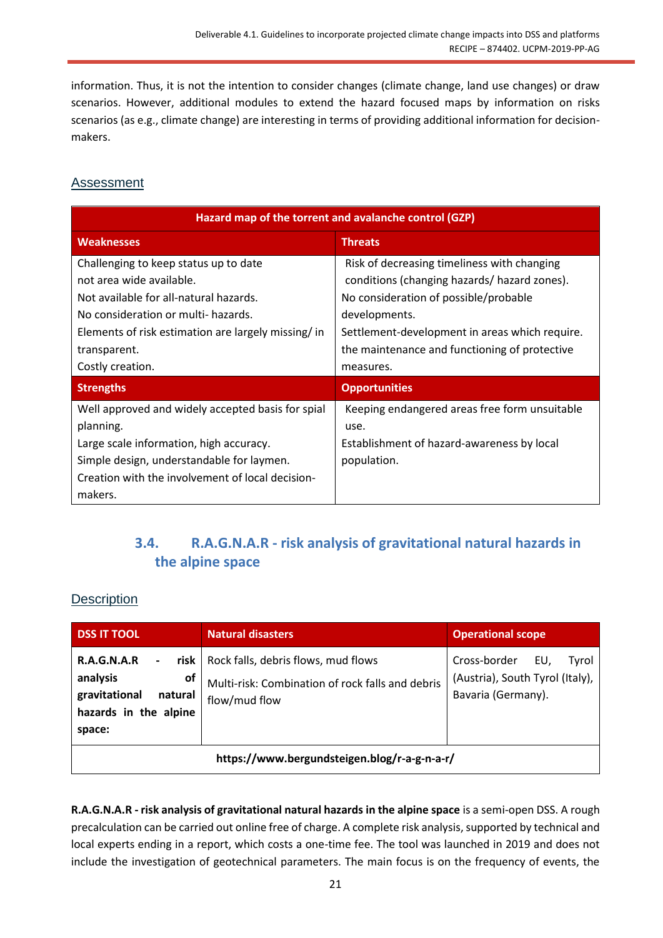information. Thus, it is not the intention to consider changes (climate change, land use changes) or draw scenarios. However, additional modules to extend the hazard focused maps by information on risks scenarios (as e.g., climate change) are interesting in terms of providing additional information for decisionmakers.

### <span id="page-20-0"></span>**Assessment**

| Hazard map of the torrent and avalanche control (GZP)                                                                                                                                                                                        |                                                                                                                                                                                                                                                                       |  |
|----------------------------------------------------------------------------------------------------------------------------------------------------------------------------------------------------------------------------------------------|-----------------------------------------------------------------------------------------------------------------------------------------------------------------------------------------------------------------------------------------------------------------------|--|
| <b>Weaknesses</b>                                                                                                                                                                                                                            | <b>Threats</b>                                                                                                                                                                                                                                                        |  |
| Challenging to keep status up to date<br>not area wide available.<br>Not available for all-natural hazards.<br>No consideration or multi- hazards.<br>Elements of risk estimation are largely missing/in<br>transparent.<br>Costly creation. | Risk of decreasing timeliness with changing<br>conditions (changing hazards/ hazard zones).<br>No consideration of possible/probable<br>developments.<br>Settlement-development in areas which require.<br>the maintenance and functioning of protective<br>measures. |  |
| <b>Strengths</b>                                                                                                                                                                                                                             | <b>Opportunities</b>                                                                                                                                                                                                                                                  |  |
| Well approved and widely accepted basis for spial<br>planning.<br>Large scale information, high accuracy.<br>Simple design, understandable for laymen.<br>Creation with the involvement of local decision-<br>makers.                        | Keeping endangered areas free form unsuitable<br>use.<br>Establishment of hazard-awareness by local<br>population.                                                                                                                                                    |  |

## **3.4. R.A.G.N.A.R - risk analysis of gravitational natural hazards in the alpine space**

#### <span id="page-20-2"></span><span id="page-20-1"></span>**Description**

| <b>DSS IT TOOL</b>                                                                                                           | <b>Natural disasters</b>                                                                                        | <b>Operational scope</b>                                                              |
|------------------------------------------------------------------------------------------------------------------------------|-----------------------------------------------------------------------------------------------------------------|---------------------------------------------------------------------------------------|
| <b>R.A.G.N.A.R</b><br>$\blacksquare$<br>analysis<br><b>of</b><br>gravitational<br>natural<br>hazards in the alpine<br>space: | risk   Rock falls, debris flows, mud flows<br>Multi-risk: Combination of rock falls and debris<br>flow/mud flow | Cross-border<br>EU.<br>Tyrol<br>(Austria), South Tyrol (Italy),<br>Bavaria (Germany). |
| https://www.bergundsteigen.blog/r-a-g-n-a-r/                                                                                 |                                                                                                                 |                                                                                       |

**R.A.G.N.A.R - risk analysis of gravitational natural hazards in the alpine space** is a semi-open DSS. A rough precalculation can be carried out online free of charge. A complete risk analysis, supported by technical and local experts ending in a report, which costs a one-time fee. The tool was launched in 2019 and does not include the investigation of geotechnical parameters. The main focus is on the frequency of events, the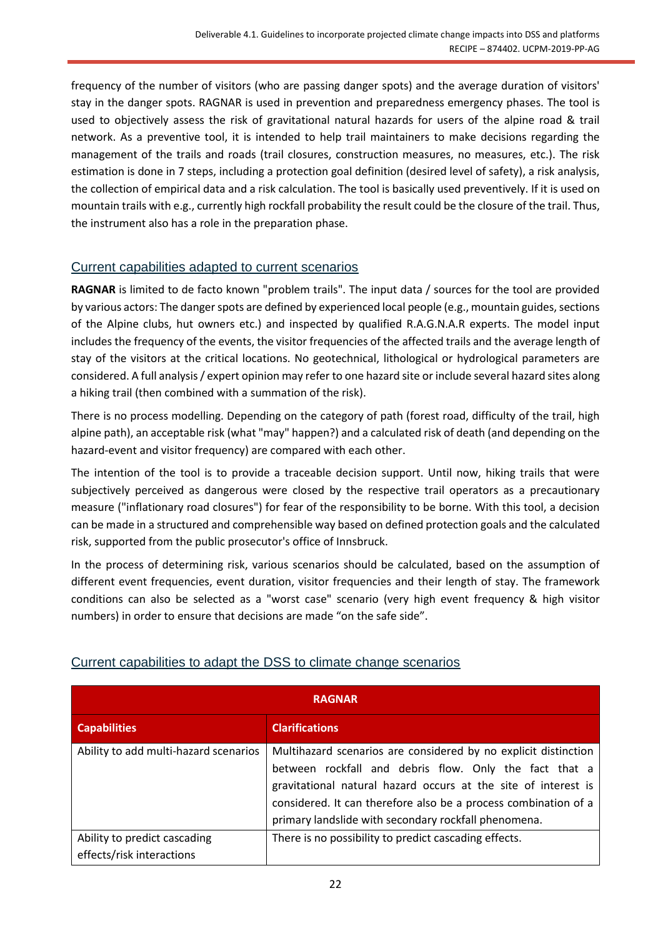frequency of the number of visitors (who are passing danger spots) and the average duration of visitors' stay in the danger spots. RAGNAR is used in prevention and preparedness emergency phases. The tool is used to objectively assess the risk of gravitational natural hazards for users of the alpine road & trail network. As a preventive tool, it is intended to help trail maintainers to make decisions regarding the management of the trails and roads (trail closures, construction measures, no measures, etc.). The risk estimation is done in 7 steps, including a protection goal definition (desired level of safety), a risk analysis, the collection of empirical data and a risk calculation. The tool is basically used preventively. If it is used on mountain trails with e.g., currently high rockfall probability the result could be the closure of the trail. Thus, the instrument also has a role in the preparation phase.

### <span id="page-21-0"></span>Current capabilities adapted to current scenarios

**RAGNAR** is limited to de facto known "problem trails". The input data / sources for the tool are provided by various actors: The danger spots are defined by experienced local people (e.g., mountain guides, sections of the Alpine clubs, hut owners etc.) and inspected by qualified R.A.G.N.A.R experts. The model input includes the frequency of the events, the visitor frequencies of the affected trails and the average length of stay of the visitors at the critical locations. No geotechnical, lithological or hydrological parameters are considered. A full analysis / expert opinion may refer to one hazard site or include several hazard sites along a hiking trail (then combined with a summation of the risk).

There is no process modelling. Depending on the category of path (forest road, difficulty of the trail, high alpine path), an acceptable risk (what "may" happen?) and a calculated risk of death (and depending on the hazard-event and visitor frequency) are compared with each other.

The intention of the tool is to provide a traceable decision support. Until now, hiking trails that were subjectively perceived as dangerous were closed by the respective trail operators as a precautionary measure ("inflationary road closures") for fear of the responsibility to be borne. With this tool, a decision can be made in a structured and comprehensible way based on defined protection goals and the calculated risk, supported from the public prosecutor's office of Innsbruck.

In the process of determining risk, various scenarios should be calculated, based on the assumption of different event frequencies, event duration, visitor frequencies and their length of stay. The framework conditions can also be selected as a "worst case" scenario (very high event frequency & high visitor numbers) in order to ensure that decisions are made "on the safe side".

| <b>RAGNAR</b>                                             |                                                                                                                                                                                                                                                                                                                        |  |
|-----------------------------------------------------------|------------------------------------------------------------------------------------------------------------------------------------------------------------------------------------------------------------------------------------------------------------------------------------------------------------------------|--|
| <b>Capabilities</b>                                       | <b>Clarifications</b>                                                                                                                                                                                                                                                                                                  |  |
| Ability to add multi-hazard scenarios                     | Multihazard scenarios are considered by no explicit distinction<br>between rockfall and debris flow. Only the fact that a<br>gravitational natural hazard occurs at the site of interest is<br>considered. It can therefore also be a process combination of a<br>primary landslide with secondary rockfall phenomena. |  |
| Ability to predict cascading<br>effects/risk interactions | There is no possibility to predict cascading effects.                                                                                                                                                                                                                                                                  |  |

## <span id="page-21-1"></span>Current capabilities to adapt the DSS to climate change scenarios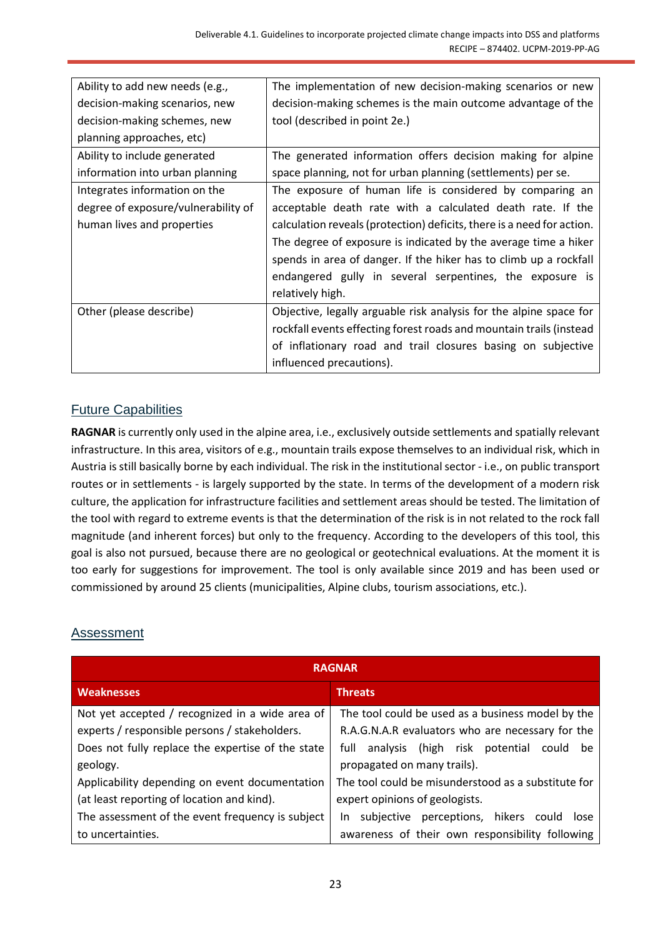| Ability to add new needs (e.g.,     | The implementation of new decision-making scenarios or new             |
|-------------------------------------|------------------------------------------------------------------------|
| decision-making scenarios, new      | decision-making schemes is the main outcome advantage of the           |
| decision-making schemes, new        | tool (described in point 2e.)                                          |
| planning approaches, etc)           |                                                                        |
| Ability to include generated        | The generated information offers decision making for alpine            |
| information into urban planning     | space planning, not for urban planning (settlements) per se.           |
| Integrates information on the       | The exposure of human life is considered by comparing an               |
| degree of exposure/vulnerability of | acceptable death rate with a calculated death rate. If the             |
| human lives and properties          | calculation reveals (protection) deficits, there is a need for action. |
|                                     | The degree of exposure is indicated by the average time a hiker        |
|                                     | spends in area of danger. If the hiker has to climb up a rockfall      |
|                                     | endangered gully in several serpentines, the exposure is               |
|                                     | relatively high.                                                       |
| Other (please describe)             | Objective, legally arguable risk analysis for the alpine space for     |
|                                     | rockfall events effecting forest roads and mountain trails (instead    |
|                                     | of inflationary road and trail closures basing on subjective           |
|                                     | influenced precautions).                                               |

## <span id="page-22-0"></span>Future Capabilities

**RAGNAR** is currently only used in the alpine area, i.e., exclusively outside settlements and spatially relevant infrastructure. In this area, visitors of e.g., mountain trails expose themselves to an individual risk, which in Austria is still basically borne by each individual. The risk in the institutional sector - i.e., on public transport routes or in settlements - is largely supported by the state. In terms of the development of a modern risk culture, the application for infrastructure facilities and settlement areas should be tested. The limitation of the tool with regard to extreme events is that the determination of the risk is in not related to the rock fall magnitude (and inherent forces) but only to the frequency. According to the developers of this tool, this goal is also not pursued, because there are no geological or geotechnical evaluations. At the moment it is too early for suggestions for improvement. The tool is only available since 2019 and has been used or commissioned by around 25 clients (municipalities, Alpine clubs, tourism associations, etc.).

#### <span id="page-22-1"></span>Assessment

| <b>RAGNAR</b>                                     |                                                      |
|---------------------------------------------------|------------------------------------------------------|
| <b>Weaknesses</b>                                 | <b>Threats</b>                                       |
| Not yet accepted / recognized in a wide area of   | The tool could be used as a business model by the    |
| experts / responsible persons / stakeholders.     | R.A.G.N.A.R evaluators who are necessary for the     |
| Does not fully replace the expertise of the state | analysis (high risk potential<br>full<br>could<br>be |
| geology.                                          | propagated on many trails).                          |
| Applicability depending on event documentation    | The tool could be misunderstood as a substitute for  |
| (at least reporting of location and kind).        | expert opinions of geologists.                       |
| The assessment of the event frequency is subject  | subjective perceptions, hikers could lose<br>In.     |
| to uncertainties.                                 | awareness of their own responsibility following      |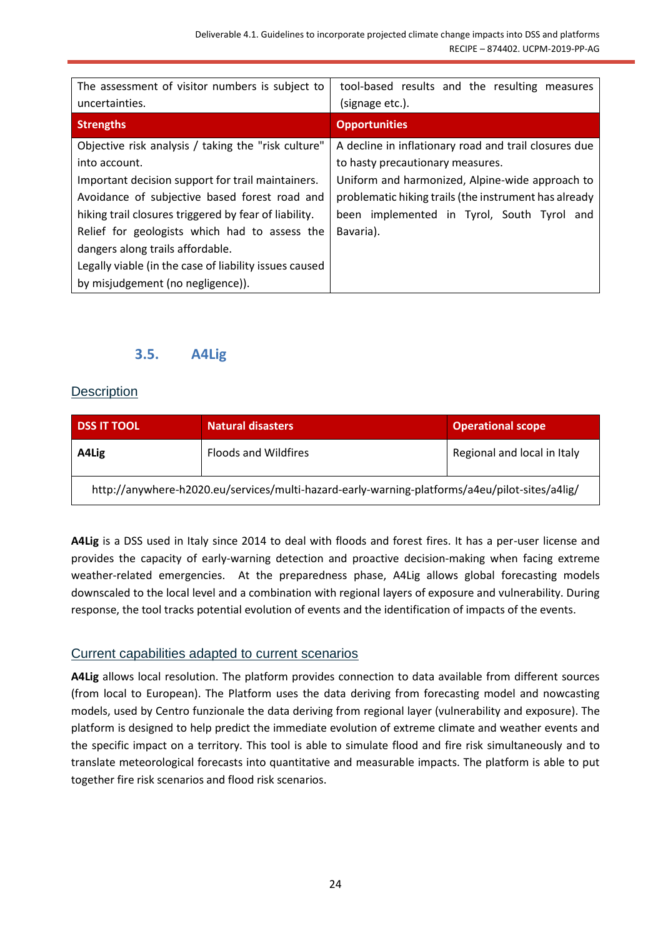| The assessment of visitor numbers is subject to        | tool-based results and the resulting measures         |
|--------------------------------------------------------|-------------------------------------------------------|
| uncertainties.                                         | (signage etc.).                                       |
| <b>Strengths</b>                                       | <b>Opportunities</b>                                  |
| Objective risk analysis / taking the "risk culture"    | A decline in inflationary road and trail closures due |
| into account.                                          | to hasty precautionary measures.                      |
| Important decision support for trail maintainers.      | Uniform and harmonized, Alpine-wide approach to       |
| Avoidance of subjective based forest road and          | problematic hiking trails (the instrument has already |
| hiking trail closures triggered by fear of liability.  | been implemented in Tyrol, South Tyrol and            |
| Relief for geologists which had to assess the          | Bavaria).                                             |
| dangers along trails affordable.                       |                                                       |
| Legally viable (in the case of liability issues caused |                                                       |
| by misjudgement (no negligence)).                      |                                                       |

## **3.5. A4Lig**

#### <span id="page-23-1"></span><span id="page-23-0"></span>**Description**

| <b>DSS IT TOOL</b>                                                                             | <b>Natural disasters</b>    | <b>Operational scope</b>    |
|------------------------------------------------------------------------------------------------|-----------------------------|-----------------------------|
| A4Lig                                                                                          | <b>Floods and Wildfires</b> | Regional and local in Italy |
| http://anywhere-h2020.eu/services/multi-hazard-early-warning-platforms/a4eu/pilot-sites/a4lig/ |                             |                             |

**A4Lig** is a DSS used in Italy since 2014 to deal with floods and forest fires. It has a per-user license and provides the capacity of early-warning detection and proactive decision-making when facing extreme weather-related emergencies. At the preparedness phase, A4Lig allows global forecasting models downscaled to the local level and a combination with regional layers of exposure and vulnerability. During response, the tool tracks potential evolution of events and the identification of impacts of the events.

#### <span id="page-23-2"></span>Current capabilities adapted to current scenarios

**A4Lig** allows local resolution. The platform provides connection to data available from different sources (from local to European). The Platform uses the data deriving from forecasting model and nowcasting models, used by Centro funzionale the data deriving from regional layer (vulnerability and exposure). The platform is designed to help predict the immediate evolution of extreme climate and weather events and the specific impact on a territory. This tool is able to simulate flood and fire risk simultaneously and to translate meteorological forecasts into quantitative and measurable impacts. The platform is able to put together fire risk scenarios and flood risk scenarios.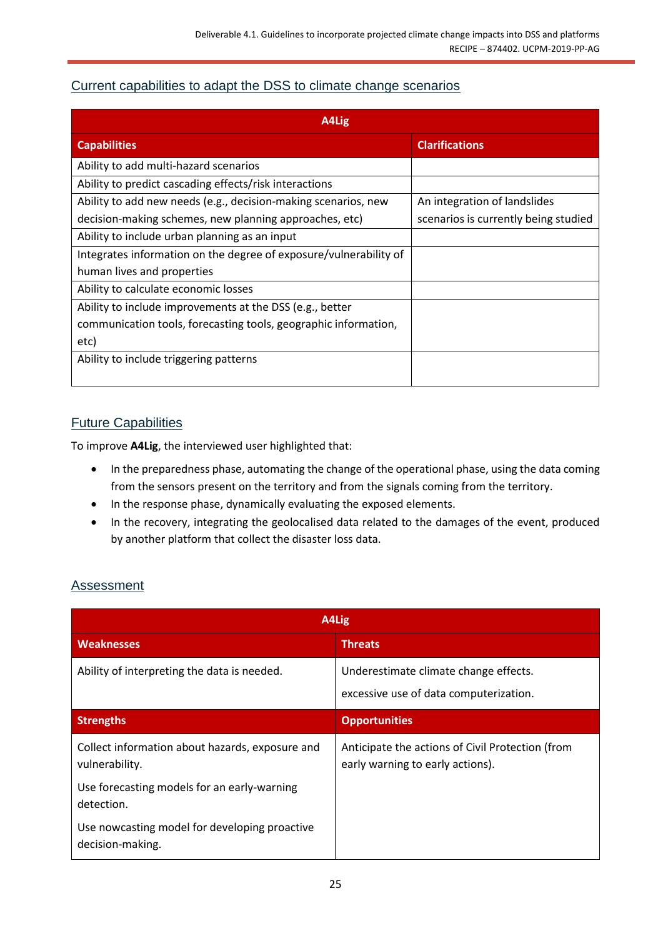## <span id="page-24-0"></span>Current capabilities to adapt the DSS to climate change scenarios

| A4Lig                                                             |                                      |
|-------------------------------------------------------------------|--------------------------------------|
| <b>Capabilities</b>                                               | <b>Clarifications</b>                |
| Ability to add multi-hazard scenarios                             |                                      |
| Ability to predict cascading effects/risk interactions            |                                      |
| Ability to add new needs (e.g., decision-making scenarios, new    | An integration of landslides         |
| decision-making schemes, new planning approaches, etc)            | scenarios is currently being studied |
| Ability to include urban planning as an input                     |                                      |
| Integrates information on the degree of exposure/vulnerability of |                                      |
| human lives and properties                                        |                                      |
| Ability to calculate economic losses                              |                                      |
| Ability to include improvements at the DSS (e.g., better          |                                      |
| communication tools, forecasting tools, geographic information,   |                                      |
| etc)                                                              |                                      |
| Ability to include triggering patterns                            |                                      |

## <span id="page-24-1"></span>Future Capabilities

To improve **A4Lig**, the interviewed user highlighted that:

- In the preparedness phase, automating the change of the operational phase, using the data coming from the sensors present on the territory and from the signals coming from the territory.
- In the response phase, dynamically evaluating the exposed elements.
- In the recovery, integrating the geolocalised data related to the damages of the event, produced by another platform that collect the disaster loss data.

## <span id="page-24-2"></span>**Assessment**

| A4Lig                                                             |                                                                                      |  |
|-------------------------------------------------------------------|--------------------------------------------------------------------------------------|--|
| <b>Weaknesses</b>                                                 | <b>Threats</b>                                                                       |  |
| Ability of interpreting the data is needed.                       | Underestimate climate change effects.<br>excessive use of data computerization.      |  |
| <b>Strengths</b>                                                  | <b>Opportunities</b>                                                                 |  |
| Collect information about hazards, exposure and<br>vulnerability. | Anticipate the actions of Civil Protection (from<br>early warning to early actions). |  |
| Use forecasting models for an early-warning<br>detection.         |                                                                                      |  |
| Use nowcasting model for developing proactive<br>decision-making. |                                                                                      |  |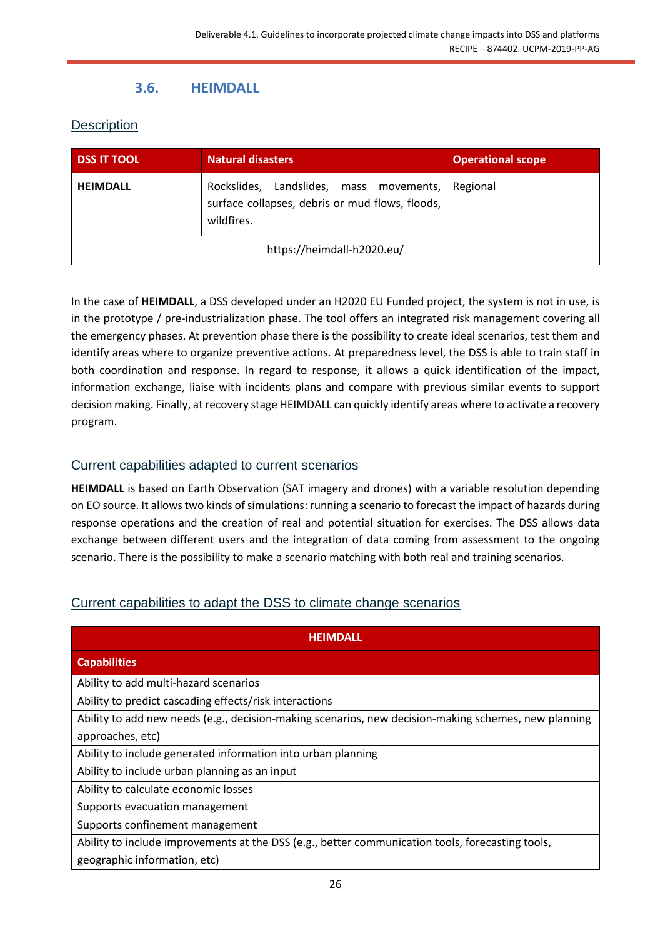## **3.6. HEIMDALL**

## <span id="page-25-1"></span><span id="page-25-0"></span>**Description**

| <b>DSS IT TOOL</b>         | Natural disasters                                                                                        | <b>Operational scope</b> |
|----------------------------|----------------------------------------------------------------------------------------------------------|--------------------------|
| <b>HEIMDALL</b>            | Rockslides, Landslides, mass movements,<br>surface collapses, debris or mud flows, floods,<br>wildfires. | Regional                 |
| https://heimdall-h2020.eu/ |                                                                                                          |                          |

In the case of **HEIMDALL**, a DSS developed under an H2020 EU Funded project, the system is not in use, is in the prototype / pre-industrialization phase. The tool offers an integrated risk management covering all the emergency phases. At prevention phase there is the possibility to create ideal scenarios, test them and identify areas where to organize preventive actions. At preparedness level, the DSS is able to train staff in both coordination and response. In regard to response, it allows a quick identification of the impact, information exchange, liaise with incidents plans and compare with previous similar events to support decision making. Finally, at recovery stage HEIMDALL can quickly identify areas where to activate a recovery program.

## <span id="page-25-2"></span>Current capabilities adapted to current scenarios

**HEIMDALL** is based on Earth Observation (SAT imagery and drones) with a variable resolution depending on EO source. It allows two kinds of simulations: running a scenario to forecast the impact of hazards during response operations and the creation of real and potential situation for exercises. The DSS allows data exchange between different users and the integration of data coming from assessment to the ongoing scenario. There is the possibility to make a scenario matching with both real and training scenarios.

## <span id="page-25-3"></span>Current capabilities to adapt the DSS to climate change scenarios

| <b>HEIMDALL</b>                                                                                      |  |  |
|------------------------------------------------------------------------------------------------------|--|--|
| <b>Capabilities</b>                                                                                  |  |  |
| Ability to add multi-hazard scenarios                                                                |  |  |
| Ability to predict cascading effects/risk interactions                                               |  |  |
| Ability to add new needs (e.g., decision-making scenarios, new decision-making schemes, new planning |  |  |
| approaches, etc)                                                                                     |  |  |
| Ability to include generated information into urban planning                                         |  |  |
| Ability to include urban planning as an input                                                        |  |  |
| Ability to calculate economic losses                                                                 |  |  |
| Supports evacuation management                                                                       |  |  |
| Supports confinement management                                                                      |  |  |
| Ability to include improvements at the DSS (e.g., better communication tools, forecasting tools,     |  |  |
| geographic information, etc)                                                                         |  |  |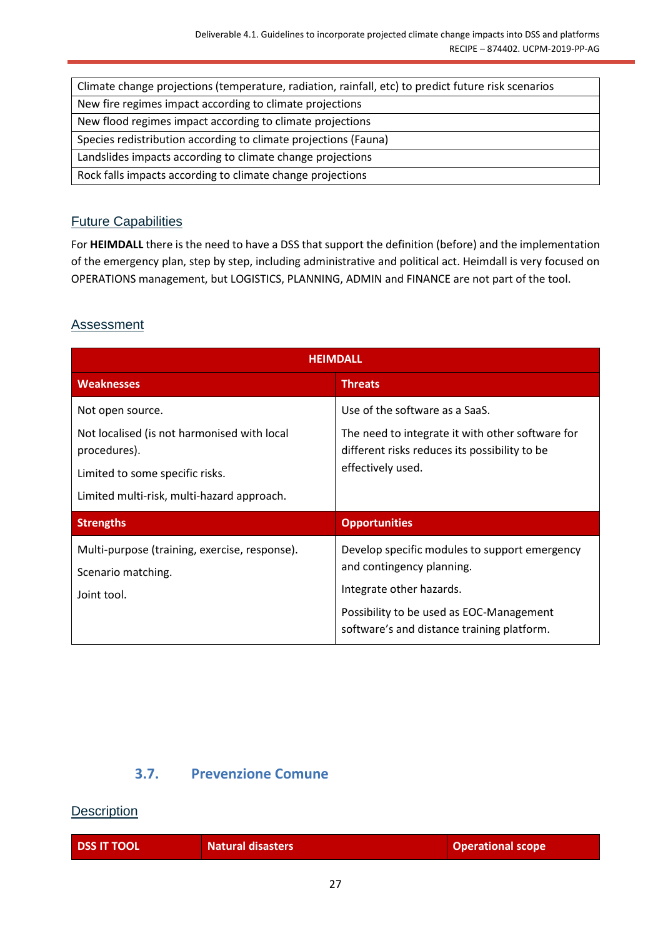| Climate change projections (temperature, radiation, rainfall, etc) to predict future risk scenarios |
|-----------------------------------------------------------------------------------------------------|
| New fire regimes impact according to climate projections                                            |
| New flood regimes impact according to climate projections                                           |
| Species redistribution according to climate projections (Fauna)                                     |
| Landslides impacts according to climate change projections                                          |
| Rock falls impacts according to climate change projections                                          |

### <span id="page-26-0"></span>Future Capabilities

For **HEIMDALL** there is the need to have a DSS that support the definition (before) and the implementation of the emergency plan, step by step, including administrative and political act. Heimdall is very focused on OPERATIONS management, but LOGISTICS, PLANNING, ADMIN and FINANCE are not part of the tool.

#### <span id="page-26-1"></span>**Assessment**

| <b>HFIMDALL</b>                                                                                                                                                  |                                                                                                                                                                                                  |  |
|------------------------------------------------------------------------------------------------------------------------------------------------------------------|--------------------------------------------------------------------------------------------------------------------------------------------------------------------------------------------------|--|
| <b>Weaknesses</b>                                                                                                                                                | <b>Threats</b>                                                                                                                                                                                   |  |
| Not open source.<br>Not localised (is not harmonised with local<br>procedures).<br>Limited to some specific risks.<br>Limited multi-risk, multi-hazard approach. | Use of the software as a SaaS.<br>The need to integrate it with other software for<br>different risks reduces its possibility to be<br>effectively used.                                         |  |
| <b>Strengths</b>                                                                                                                                                 | <b>Opportunities</b>                                                                                                                                                                             |  |
| Multi-purpose (training, exercise, response).<br>Scenario matching.<br>Joint tool.                                                                               | Develop specific modules to support emergency<br>and contingency planning.<br>Integrate other hazards.<br>Possibility to be used as EOC-Management<br>software's and distance training platform. |  |

## **3.7. Prevenzione Comune**

#### <span id="page-26-3"></span><span id="page-26-2"></span>**Description**

| <b>DSS IT TOOL</b> | <b>Natural disasters</b> | <b>Operational scope</b> |
|--------------------|--------------------------|--------------------------|
|                    |                          |                          |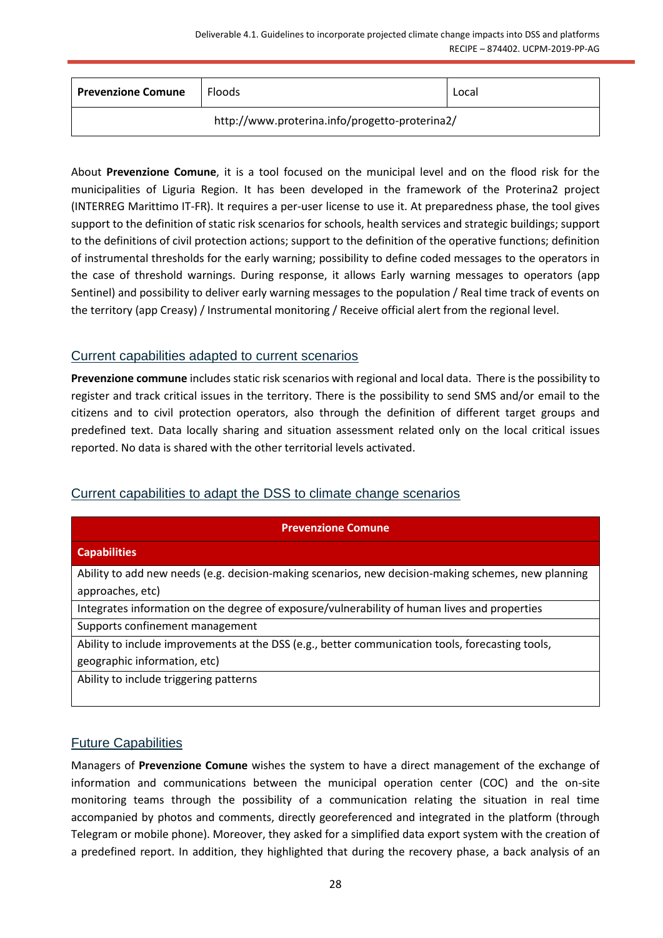| <b>Prevenzione Comune</b>                      | Floods | Local |
|------------------------------------------------|--------|-------|
| http://www.proterina.info/progetto-proterina2/ |        |       |

About **Prevenzione Comune**, it is a tool focused on the municipal level and on the flood risk for the municipalities of Liguria Region. It has been developed in the framework of the Proterina2 project (INTERREG Marittimo IT-FR). It requires a per-user license to use it. At preparedness phase, the tool gives support to the definition of static risk scenarios for schools, health services and strategic buildings; support to the definitions of civil protection actions; support to the definition of the operative functions; definition of instrumental thresholds for the early warning; possibility to define coded messages to the operators in the case of threshold warnings. During response, it allows Early warning messages to operators (app Sentinel) and possibility to deliver early warning messages to the population / Real time track of events on the territory (app Creasy) / Instrumental monitoring / Receive official alert from the regional level.

### <span id="page-27-0"></span>Current capabilities adapted to current scenarios

**Prevenzione commune** includes static risk scenarios with regional and local data. There is the possibility to register and track critical issues in the territory. There is the possibility to send SMS and/or email to the citizens and to civil protection operators, also through the definition of different target groups and predefined text. Data locally sharing and situation assessment related only on the local critical issues reported. No data is shared with the other territorial levels activated.

## <span id="page-27-1"></span>Current capabilities to adapt the DSS to climate change scenarios

| <b>Prevenzione Comune</b>                                                                           |  |  |
|-----------------------------------------------------------------------------------------------------|--|--|
| <b>Capabilities</b>                                                                                 |  |  |
| Ability to add new needs (e.g. decision-making scenarios, new decision-making schemes, new planning |  |  |
| approaches, etc)                                                                                    |  |  |
| Integrates information on the degree of exposure/vulnerability of human lives and properties        |  |  |
| Supports confinement management                                                                     |  |  |
| Ability to include improvements at the DSS (e.g., better communication tools, forecasting tools,    |  |  |
| geographic information, etc)                                                                        |  |  |
| Ability to include triggering patterns                                                              |  |  |

#### <span id="page-27-2"></span>Future Capabilities

Managers of **Prevenzione Comune** wishes the system to have a direct management of the exchange of information and communications between the municipal operation center (COC) and the on-site monitoring teams through the possibility of a communication relating the situation in real time accompanied by photos and comments, directly georeferenced and integrated in the platform (through Telegram or mobile phone). Moreover, they asked for a simplified data export system with the creation of a predefined report. In addition, they highlighted that during the recovery phase, a back analysis of an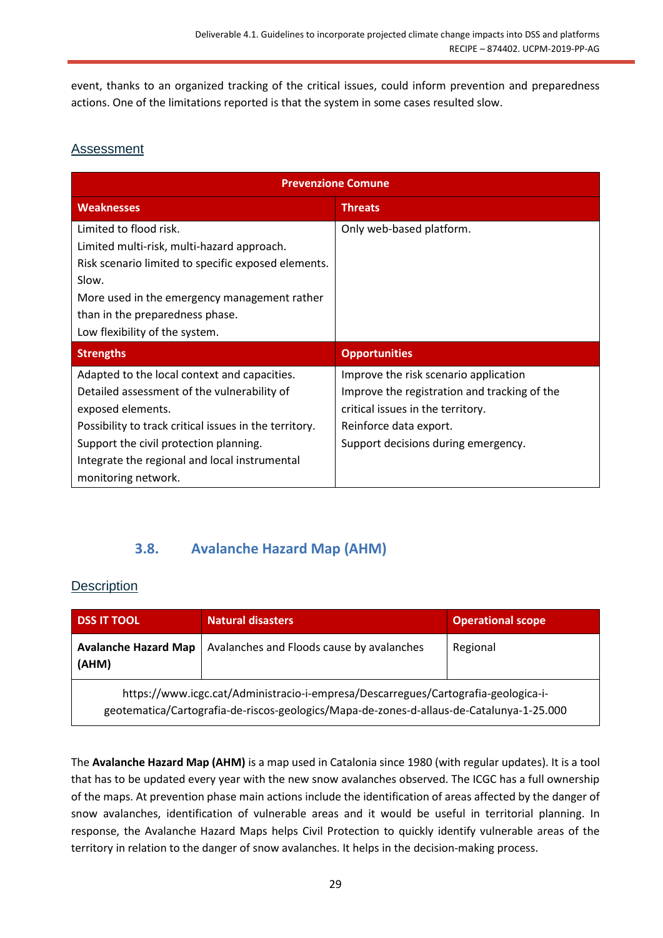event, thanks to an organized tracking of the critical issues, could inform prevention and preparedness actions. One of the limitations reported is that the system in some cases resulted slow.

## <span id="page-28-0"></span>Assessment

| <b>Prevenzione Comune</b>                                                                                                                                                                                                                                                                    |                                                                                                                                                                                             |  |
|----------------------------------------------------------------------------------------------------------------------------------------------------------------------------------------------------------------------------------------------------------------------------------------------|---------------------------------------------------------------------------------------------------------------------------------------------------------------------------------------------|--|
| <b>Weaknesses</b>                                                                                                                                                                                                                                                                            | <b>Threats</b>                                                                                                                                                                              |  |
| Limited to flood risk.<br>Limited multi-risk, multi-hazard approach.<br>Risk scenario limited to specific exposed elements.<br>Slow.<br>More used in the emergency management rather<br>than in the preparedness phase.<br>Low flexibility of the system.                                    | Only web-based platform.                                                                                                                                                                    |  |
| <b>Strengths</b>                                                                                                                                                                                                                                                                             | <b>Opportunities</b>                                                                                                                                                                        |  |
| Adapted to the local context and capacities.<br>Detailed assessment of the vulnerability of<br>exposed elements.<br>Possibility to track critical issues in the territory.<br>Support the civil protection planning.<br>Integrate the regional and local instrumental<br>monitoring network. | Improve the risk scenario application<br>Improve the registration and tracking of the<br>critical issues in the territory.<br>Reinforce data export.<br>Support decisions during emergency. |  |

## **3.8. Avalanche Hazard Map (AHM)**

## <span id="page-28-2"></span><span id="page-28-1"></span>**Description**

| <b>DSS IT TOOL</b>                                                                                                                                                             | Natural disasters                         | <b>Operational scope</b> |
|--------------------------------------------------------------------------------------------------------------------------------------------------------------------------------|-------------------------------------------|--------------------------|
| <b>Avalanche Hazard Map</b><br>(AHM)                                                                                                                                           | Avalanches and Floods cause by avalanches | Regional                 |
| https://www.icgc.cat/Administracio-i-empresa/Descarregues/Cartografia-geologica-i-<br>geotematica/Cartografia-de-riscos-geologics/Mapa-de-zones-d-allaus-de-Catalunya-1-25.000 |                                           |                          |

The **Avalanche Hazard Map (AHM)** is a map used in Catalonia since 1980 (with regular updates). It is a tool that has to be updated every year with the new snow avalanches observed. The ICGC has a full ownership of the maps. At prevention phase main actions include the identification of areas affected by the danger of snow avalanches, identification of vulnerable areas and it would be useful in territorial planning. In response, the Avalanche Hazard Maps helps Civil Protection to quickly identify vulnerable areas of the territory in relation to the danger of snow avalanches. It helps in the decision-making process.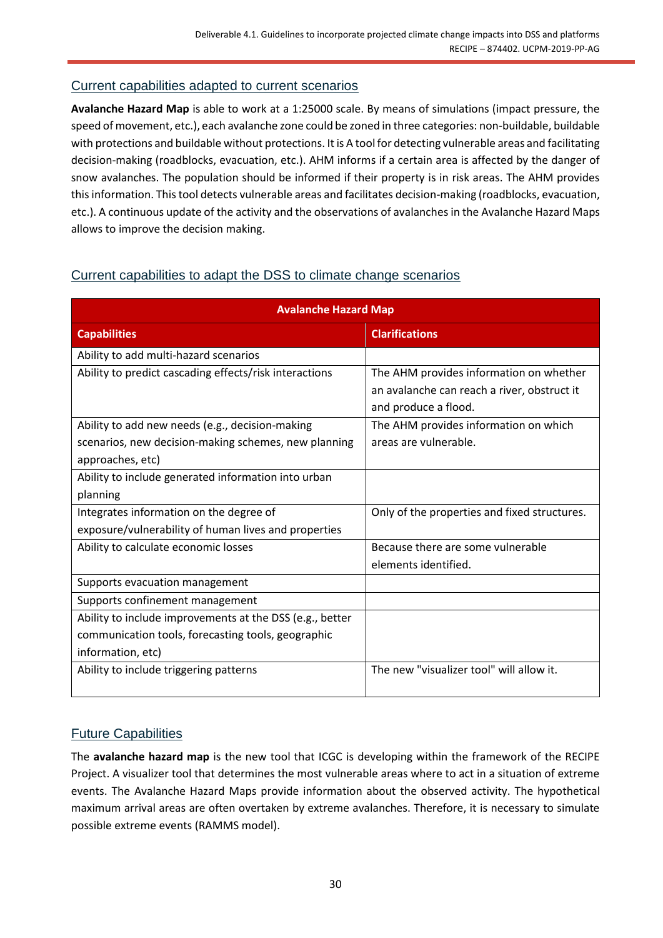### <span id="page-29-0"></span>Current capabilities adapted to current scenarios

**Avalanche Hazard Map** is able to work at a 1:25000 scale. By means of simulations (impact pressure, the speed of movement, etc.), each avalanche zone could be zoned in three categories: non-buildable, buildable with protections and buildable without protections. It is A tool for detecting vulnerable areas and facilitating decision-making (roadblocks, evacuation, etc.). AHM informs if a certain area is affected by the danger of snow avalanches. The population should be informed if their property is in risk areas. The AHM provides this information. This tool detects vulnerable areas and facilitates decision-making (roadblocks, evacuation, etc.). A continuous update of the activity and the observations of avalanches in the Avalanche Hazard Maps allows to improve the decision making.

### <span id="page-29-1"></span>Current capabilities to adapt the DSS to climate change scenarios

| <b>Avalanche Hazard Map</b>                              |                                              |  |
|----------------------------------------------------------|----------------------------------------------|--|
| <b>Capabilities</b>                                      | <b>Clarifications</b>                        |  |
| Ability to add multi-hazard scenarios                    |                                              |  |
| Ability to predict cascading effects/risk interactions   | The AHM provides information on whether      |  |
|                                                          | an avalanche can reach a river, obstruct it  |  |
|                                                          | and produce a flood.                         |  |
| Ability to add new needs (e.g., decision-making          | The AHM provides information on which        |  |
| scenarios, new decision-making schemes, new planning     | areas are vulnerable.                        |  |
| approaches, etc)                                         |                                              |  |
| Ability to include generated information into urban      |                                              |  |
| planning                                                 |                                              |  |
| Integrates information on the degree of                  | Only of the properties and fixed structures. |  |
| exposure/vulnerability of human lives and properties     |                                              |  |
| Ability to calculate economic losses                     | Because there are some vulnerable            |  |
|                                                          | elements identified.                         |  |
| Supports evacuation management                           |                                              |  |
| Supports confinement management                          |                                              |  |
| Ability to include improvements at the DSS (e.g., better |                                              |  |
| communication tools, forecasting tools, geographic       |                                              |  |
| information, etc)                                        |                                              |  |
| Ability to include triggering patterns                   | The new "visualizer tool" will allow it.     |  |
|                                                          |                                              |  |

## <span id="page-29-2"></span>Future Capabilities

The **avalanche hazard map** is the new tool that ICGC is developing within the framework of the RECIPE Project. A visualizer tool that determines the most vulnerable areas where to act in a situation of extreme events. The Avalanche Hazard Maps provide information about the observed activity. The hypothetical maximum arrival areas are often overtaken by extreme avalanches. Therefore, it is necessary to simulate possible extreme events (RAMMS model).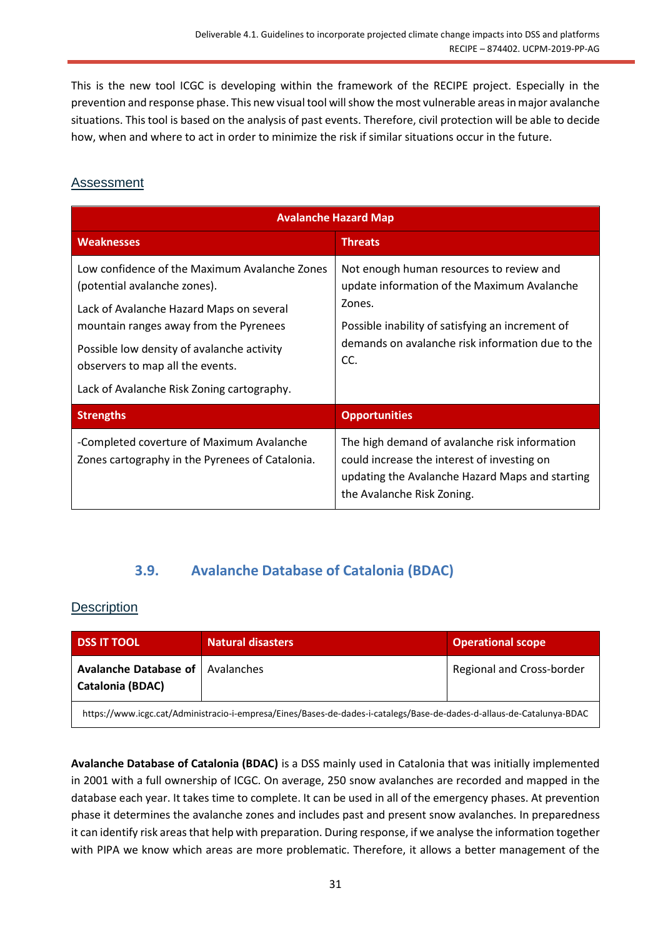This is the new tool ICGC is developing within the framework of the RECIPE project. Especially in the prevention and response phase. This new visual tool will show the most vulnerable areas in major avalanche situations. This tool is based on the analysis of past events. Therefore, civil protection will be able to decide how, when and where to act in order to minimize the risk if similar situations occur in the future.

### <span id="page-30-0"></span>Assessment

| <b>Avalanche Hazard Map</b>                                                                                                                                                                                                                                                                         |                                                                                                                                                                                                                  |  |
|-----------------------------------------------------------------------------------------------------------------------------------------------------------------------------------------------------------------------------------------------------------------------------------------------------|------------------------------------------------------------------------------------------------------------------------------------------------------------------------------------------------------------------|--|
| <b>Weaknesses</b>                                                                                                                                                                                                                                                                                   | <b>Threats</b>                                                                                                                                                                                                   |  |
| Low confidence of the Maximum Avalanche Zones<br>(potential avalanche zones).<br>Lack of Avalanche Hazard Maps on several<br>mountain ranges away from the Pyrenees<br>Possible low density of avalanche activity<br>observers to map all the events.<br>Lack of Avalanche Risk Zoning cartography. | Not enough human resources to review and<br>update information of the Maximum Avalanche<br>Zones.<br>Possible inability of satisfying an increment of<br>demands on avalanche risk information due to the<br>CC. |  |
| <b>Strengths</b>                                                                                                                                                                                                                                                                                    | <b>Opportunities</b>                                                                                                                                                                                             |  |
| -Completed coverture of Maximum Avalanche<br>Zones cartography in the Pyrenees of Catalonia.                                                                                                                                                                                                        | The high demand of avalanche risk information<br>could increase the interest of investing on<br>updating the Avalanche Hazard Maps and starting<br>the Avalanche Risk Zoning.                                    |  |

## **3.9. Avalanche Database of Catalonia (BDAC)**

#### <span id="page-30-2"></span><span id="page-30-1"></span>**Description**

| <b>DSS IT TOOL</b>                                                                                                    | <b>Natural disasters</b> | <b>Operational scope</b>  |
|-----------------------------------------------------------------------------------------------------------------------|--------------------------|---------------------------|
| <b>Avalanche Database of   Avalanches</b><br><b>Catalonia (BDAC)</b>                                                  |                          | Regional and Cross-border |
| https://www.icgc.cat/Administracio-i-empresa/Eines/Bases-de-dades-i-catalegs/Base-de-dades-d-allaus-de-Catalunya-BDAC |                          |                           |

**Avalanche Database of Catalonia (BDAC)** is a DSS mainly used in Catalonia that was initially implemented in 2001 with a full ownership of ICGC. On average, 250 snow avalanches are recorded and mapped in the database each year. It takes time to complete. It can be used in all of the emergency phases. At prevention phase it determines the avalanche zones and includes past and present snow avalanches. In preparedness it can identify risk areas that help with preparation. During response, if we analyse the information together with PIPA we know which areas are more problematic. Therefore, it allows a better management of the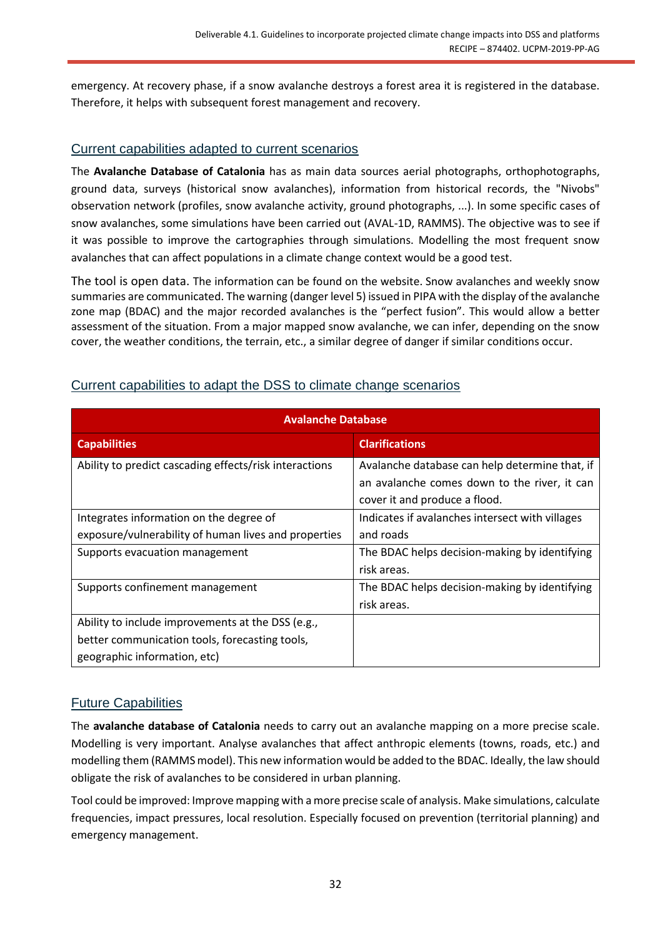emergency. At recovery phase, if a snow avalanche destroys a forest area it is registered in the database. Therefore, it helps with subsequent forest management and recovery.

#### <span id="page-31-0"></span>Current capabilities adapted to current scenarios

The **Avalanche Database of Catalonia** has as main data sources aerial photographs, orthophotographs, ground data, surveys (historical snow avalanches), information from historical records, the "Nivobs" observation network (profiles, snow avalanche activity, ground photographs, ...). In some specific cases of snow avalanches, some simulations have been carried out (AVAL-1D, RAMMS). The objective was to see if it was possible to improve the cartographies through simulations. Modelling the most frequent snow avalanches that can affect populations in a climate change context would be a good test.

The tool is open data. The information can be found on the website. Snow avalanches and weekly snow summaries are communicated. The warning (danger level 5) issued in PIPA with the display of the avalanche zone map (BDAC) and the major recorded avalanches is the "perfect fusion". This would allow a better assessment of the situation. From a major mapped snow avalanche, we can infer, depending on the snow cover, the weather conditions, the terrain, etc., a similar degree of danger if similar conditions occur.

| <b>Avalanche Database</b>                              |                                                                                                                                 |  |
|--------------------------------------------------------|---------------------------------------------------------------------------------------------------------------------------------|--|
| <b>Capabilities</b>                                    | <b>Clarifications</b>                                                                                                           |  |
| Ability to predict cascading effects/risk interactions | Avalanche database can help determine that, if<br>an avalanche comes down to the river, it can<br>cover it and produce a flood. |  |
| Integrates information on the degree of                | Indicates if avalanches intersect with villages                                                                                 |  |
| exposure/vulnerability of human lives and properties   | and roads                                                                                                                       |  |
| Supports evacuation management                         | The BDAC helps decision-making by identifying                                                                                   |  |
|                                                        | risk areas.                                                                                                                     |  |
| Supports confinement management                        | The BDAC helps decision-making by identifying                                                                                   |  |
|                                                        | risk areas.                                                                                                                     |  |
| Ability to include improvements at the DSS (e.g.,      |                                                                                                                                 |  |
| better communication tools, forecasting tools,         |                                                                                                                                 |  |
| geographic information, etc)                           |                                                                                                                                 |  |

#### <span id="page-31-1"></span>Current capabilities to adapt the DSS to climate change scenarios

## <span id="page-31-2"></span>Future Capabilities

The **avalanche database of Catalonia** needs to carry out an avalanche mapping on a more precise scale. Modelling is very important. Analyse avalanches that affect anthropic elements (towns, roads, etc.) and modelling them (RAMMS model). This new information would be added to the BDAC. Ideally, the law should obligate the risk of avalanches to be considered in urban planning.

Tool could be improved: Improve mapping with a more precise scale of analysis. Make simulations, calculate frequencies, impact pressures, local resolution. Especially focused on prevention (territorial planning) and emergency management.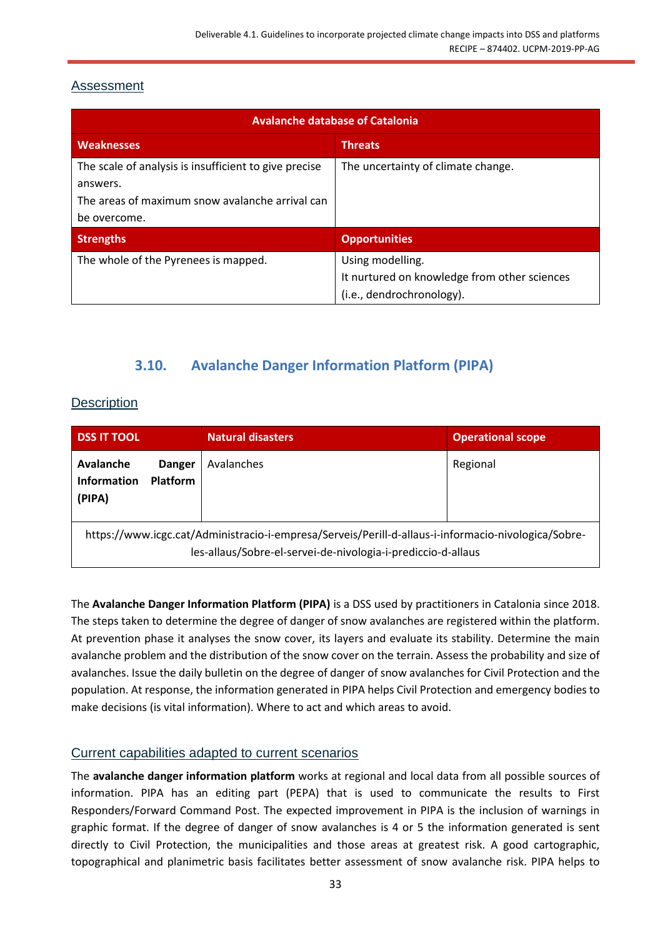### <span id="page-32-0"></span>Assessment

| <b>Avalanche database of Catalonia</b>                            |                                              |  |
|-------------------------------------------------------------------|----------------------------------------------|--|
| <b>Weaknesses</b>                                                 | <b>Threats</b>                               |  |
| The scale of analysis is insufficient to give precise<br>answers. | The uncertainty of climate change.           |  |
| The areas of maximum snow avalanche arrival can                   |                                              |  |
| be overcome.                                                      |                                              |  |
| <b>Strengths</b>                                                  | <b>Opportunities</b>                         |  |
| The whole of the Pyrenees is mapped.                              | Using modelling.                             |  |
|                                                                   | It nurtured on knowledge from other sciences |  |
|                                                                   | (i.e., dendrochronology).                    |  |

## **3.10. Avalanche Danger Information Platform (PIPA)**

### <span id="page-32-2"></span><span id="page-32-1"></span>**Description**

| <b>DSS IT TOOL</b>                                                                                                                                                  | <b>Natural disasters</b> | <b>Operational scope</b> |
|---------------------------------------------------------------------------------------------------------------------------------------------------------------------|--------------------------|--------------------------|
| Avalanche<br><b>Danger</b><br><b>Information</b><br><b>Platform</b><br>(PIPA)                                                                                       | Avalanches               | Regional                 |
| https://www.icgc.cat/Administracio-i-empresa/Serveis/Perill-d-allaus-i-informacio-nivologica/Sobre-<br>les-allaus/Sobre-el-servei-de-nivologia-i-prediccio-d-allaus |                          |                          |

The **Avalanche Danger Information Platform (PIPA)** is a DSS used by practitioners in Catalonia since 2018. The steps taken to determine the degree of danger of snow avalanches are registered within the platform. At prevention phase it analyses the snow cover, its layers and evaluate its stability. Determine the main avalanche problem and the distribution of the snow cover on the terrain. Assess the probability and size of avalanches. Issue the daily bulletin on the degree of danger of snow avalanches for Civil Protection and the population. At response, the information generated in PIPA helps Civil Protection and emergency bodies to make decisions (is vital information). Where to act and which areas to avoid.

#### <span id="page-32-3"></span>Current capabilities adapted to current scenarios

The **avalanche danger information platform** works at regional and local data from all possible sources of information. PIPA has an editing part (PEPA) that is used to communicate the results to First Responders/Forward Command Post. The expected improvement in PIPA is the inclusion of warnings in graphic format. If the degree of danger of snow avalanches is 4 or 5 the information generated is sent directly to Civil Protection, the municipalities and those areas at greatest risk. A good cartographic, topographical and planimetric basis facilitates better assessment of snow avalanche risk. PIPA helps to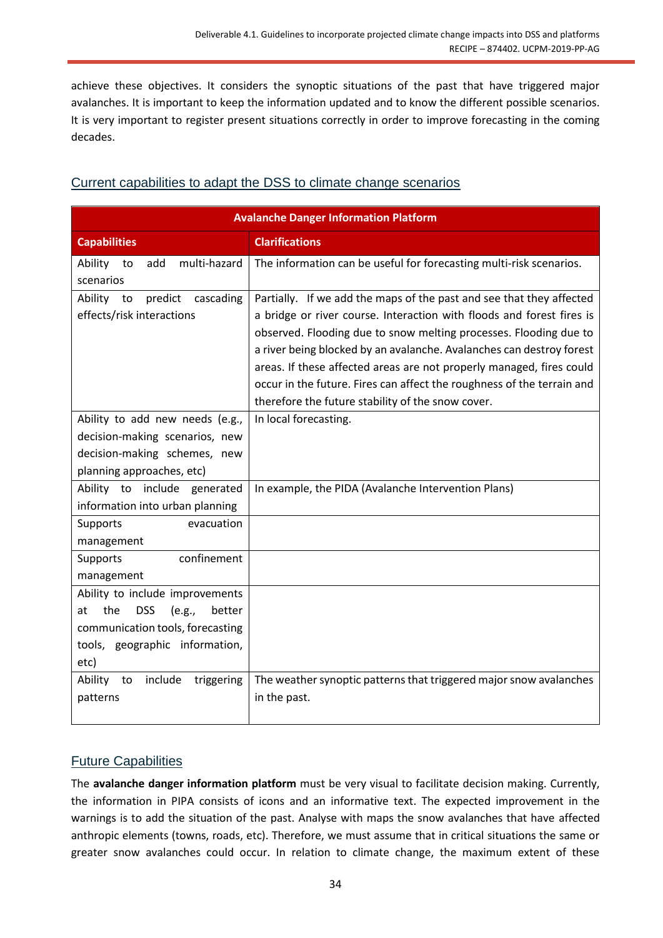achieve these objectives. It considers the synoptic situations of the past that have triggered major avalanches. It is important to keep the information updated and to know the different possible scenarios. It is very important to register present situations correctly in order to improve forecasting in the coming decades.

## <span id="page-33-0"></span>Current capabilities to adapt the DSS to climate change scenarios

| <b>Avalanche Danger Information Platform</b> |                                                                        |  |
|----------------------------------------------|------------------------------------------------------------------------|--|
| <b>Capabilities</b>                          | <b>Clarifications</b>                                                  |  |
| multi-hazard<br>Ability to<br>add            | The information can be useful for forecasting multi-risk scenarios.    |  |
| scenarios                                    |                                                                        |  |
| Ability to<br>predict cascading              | Partially. If we add the maps of the past and see that they affected   |  |
| effects/risk interactions                    | a bridge or river course. Interaction with floods and forest fires is  |  |
|                                              | observed. Flooding due to snow melting processes. Flooding due to      |  |
|                                              | a river being blocked by an avalanche. Avalanches can destroy forest   |  |
|                                              | areas. If these affected areas are not properly managed, fires could   |  |
|                                              | occur in the future. Fires can affect the roughness of the terrain and |  |
|                                              | therefore the future stability of the snow cover.                      |  |
| Ability to add new needs (e.g.,              | In local forecasting.                                                  |  |
| decision-making scenarios, new               |                                                                        |  |
| decision-making schemes, new                 |                                                                        |  |
| planning approaches, etc)                    |                                                                        |  |
| Ability to include generated                 | In example, the PIDA (Avalanche Intervention Plans)                    |  |
| information into urban planning              |                                                                        |  |
| Supports<br>evacuation                       |                                                                        |  |
| management                                   |                                                                        |  |
| confinement<br>Supports                      |                                                                        |  |
| management                                   |                                                                        |  |
| Ability to include improvements              |                                                                        |  |
| the<br><b>DSS</b><br>(e.g.,<br>better<br>at  |                                                                        |  |
| communication tools, forecasting             |                                                                        |  |
| tools, geographic information,               |                                                                        |  |
| etc)                                         |                                                                        |  |
| Ability to<br>include<br>triggering          | The weather synoptic patterns that triggered major snow avalanches     |  |
| patterns                                     | in the past.                                                           |  |
|                                              |                                                                        |  |

## <span id="page-33-1"></span>Future Capabilities

The **avalanche danger information platform** must be very visual to facilitate decision making. Currently, the information in PIPA consists of icons and an informative text. The expected improvement in the warnings is to add the situation of the past. Analyse with maps the snow avalanches that have affected anthropic elements (towns, roads, etc). Therefore, we must assume that in critical situations the same or greater snow avalanches could occur. In relation to climate change, the maximum extent of these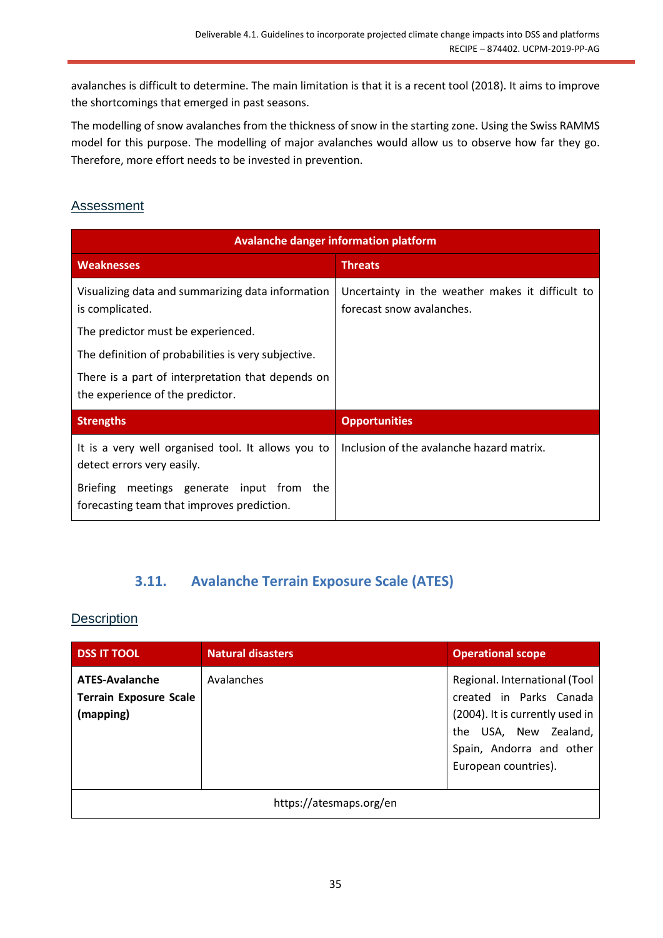avalanches is difficult to determine. The main limitation is that it is a recent tool (2018). It aims to improve the shortcomings that emerged in past seasons.

The modelling of snow avalanches from the thickness of snow in the starting zone. Using the Swiss RAMMS model for this purpose. The modelling of major avalanches would allow us to observe how far they go. Therefore, more effort needs to be invested in prevention.

### <span id="page-34-0"></span>Assessment

| <b>Avalanche danger information platform</b>                                               |                                                                               |  |
|--------------------------------------------------------------------------------------------|-------------------------------------------------------------------------------|--|
| <b>Weaknesses</b>                                                                          | <b>Threats</b>                                                                |  |
| Visualizing data and summarizing data information<br>is complicated.                       | Uncertainty in the weather makes it difficult to<br>forecast snow avalanches. |  |
| The predictor must be experienced.                                                         |                                                                               |  |
| The definition of probabilities is very subjective.                                        |                                                                               |  |
| There is a part of interpretation that depends on<br>the experience of the predictor.      |                                                                               |  |
| <b>Strengths</b>                                                                           | <b>Opportunities</b>                                                          |  |
| It is a very well organised tool. It allows you to<br>detect errors very easily.           | Inclusion of the avalanche hazard matrix.                                     |  |
| meetings generate input from the<br>Briefing<br>forecasting team that improves prediction. |                                                                               |  |

## <span id="page-34-2"></span>**3.11. Avalanche Terrain Exposure Scale (ATES)**

#### <span id="page-34-1"></span>**Description**

| <b>DSS IT TOOL</b>                                                  | <b>Natural disasters</b> | <b>Operational scope</b>                                                                                                                                                 |
|---------------------------------------------------------------------|--------------------------|--------------------------------------------------------------------------------------------------------------------------------------------------------------------------|
| <b>ATES-Avalanche</b><br><b>Terrain Exposure Scale</b><br>(mapping) | Avalanches               | Regional. International (Tool<br>created in Parks Canada<br>(2004). It is currently used in<br>the USA, New Zealand,<br>Spain, Andorra and other<br>European countries). |
| https://atesmaps.org/en                                             |                          |                                                                                                                                                                          |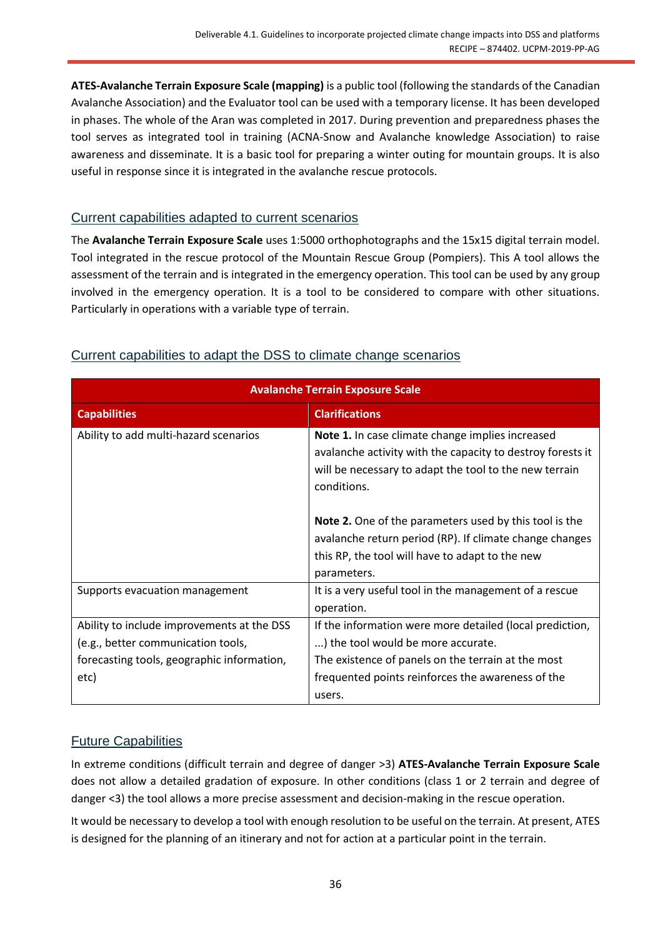**ATES-Avalanche Terrain Exposure Scale (mapping)** is a public tool (following the standards of the Canadian Avalanche Association) and the Evaluator tool can be used with a temporary license. It has been developed in phases. The whole of the Aran was completed in 2017. During prevention and preparedness phases the tool serves as integrated tool in training (ACNA-Snow and Avalanche knowledge Association) to raise awareness and disseminate. It is a basic tool for preparing a winter outing for mountain groups. It is also useful in response since it is integrated in the avalanche rescue protocols.

#### <span id="page-35-0"></span>Current capabilities adapted to current scenarios

The **Avalanche Terrain Exposure Scale** uses 1:5000 orthophotographs and the 15x15 digital terrain model. Tool integrated in the rescue protocol of the Mountain Rescue Group (Pompiers). This A tool allows the assessment of the terrain and is integrated in the emergency operation. This tool can be used by any group involved in the emergency operation. It is a tool to be considered to compare with other situations. Particularly in operations with a variable type of terrain.

| <b>Avalanche Terrain Exposure Scale</b>                                                                                                |                                                                                                                                                                                                           |  |
|----------------------------------------------------------------------------------------------------------------------------------------|-----------------------------------------------------------------------------------------------------------------------------------------------------------------------------------------------------------|--|
| <b>Capabilities</b>                                                                                                                    | <b>Clarifications</b>                                                                                                                                                                                     |  |
| Ability to add multi-hazard scenarios                                                                                                  | Note 1. In case climate change implies increased<br>avalanche activity with the capacity to destroy forests it<br>will be necessary to adapt the tool to the new terrain<br>conditions.                   |  |
|                                                                                                                                        | <b>Note 2.</b> One of the parameters used by this tool is the<br>avalanche return period (RP). If climate change changes<br>this RP, the tool will have to adapt to the new<br>parameters.                |  |
| Supports evacuation management                                                                                                         | It is a very useful tool in the management of a rescue<br>operation.                                                                                                                                      |  |
| Ability to include improvements at the DSS<br>(e.g., better communication tools,<br>forecasting tools, geographic information,<br>etc) | If the information were more detailed (local prediction,<br>) the tool would be more accurate.<br>The existence of panels on the terrain at the most<br>frequented points reinforces the awareness of the |  |
|                                                                                                                                        | users.                                                                                                                                                                                                    |  |

## <span id="page-35-1"></span>Current capabilities to adapt the DSS to climate change scenarios

## <span id="page-35-2"></span>Future Capabilities

In extreme conditions (difficult terrain and degree of danger >3) **ATES-Avalanche Terrain Exposure Scale** does not allow a detailed gradation of exposure. In other conditions (class 1 or 2 terrain and degree of danger <3) the tool allows a more precise assessment and decision-making in the rescue operation.

It would be necessary to develop a tool with enough resolution to be useful on the terrain. At present, ATES is designed for the planning of an itinerary and not for action at a particular point in the terrain.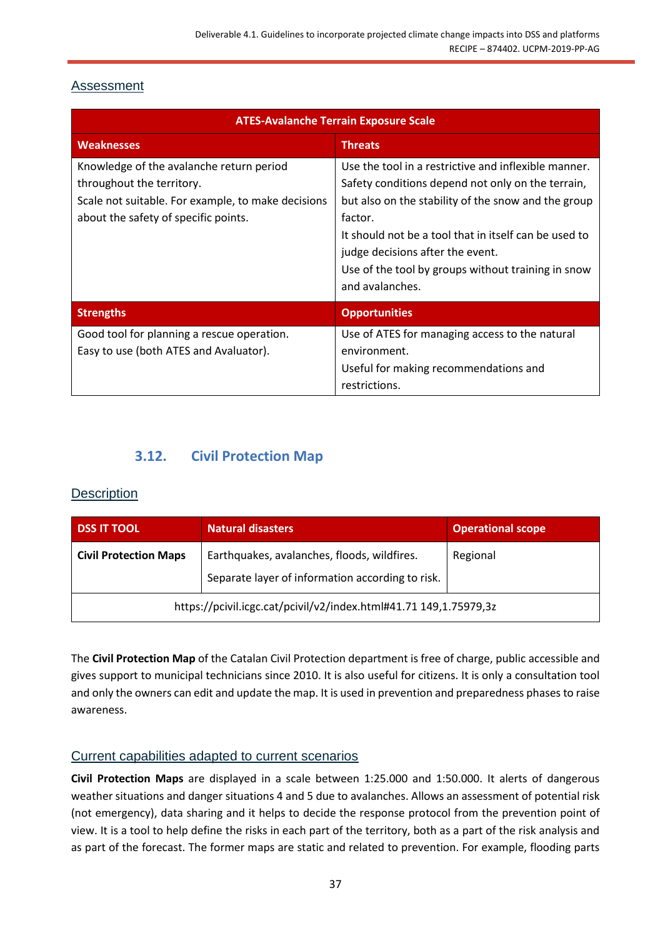## <span id="page-36-0"></span>Assessment

| <b>ATES-Avalanche Terrain Exposure Scale</b>                                                                                                                        |                                                                                                                                                                                                                                                                                                                                                   |  |
|---------------------------------------------------------------------------------------------------------------------------------------------------------------------|---------------------------------------------------------------------------------------------------------------------------------------------------------------------------------------------------------------------------------------------------------------------------------------------------------------------------------------------------|--|
| <b>Weaknesses</b>                                                                                                                                                   | <b>Threats</b>                                                                                                                                                                                                                                                                                                                                    |  |
| Knowledge of the avalanche return period<br>throughout the territory.<br>Scale not suitable. For example, to make decisions<br>about the safety of specific points. | Use the tool in a restrictive and inflexible manner.<br>Safety conditions depend not only on the terrain,<br>but also on the stability of the snow and the group<br>factor.<br>It should not be a tool that in itself can be used to<br>judge decisions after the event.<br>Use of the tool by groups without training in snow<br>and avalanches. |  |
| <b>Strengths</b>                                                                                                                                                    | <b>Opportunities</b>                                                                                                                                                                                                                                                                                                                              |  |
| Good tool for planning a rescue operation.<br>Easy to use (both ATES and Avaluator).                                                                                | Use of ATES for managing access to the natural<br>environment.<br>Useful for making recommendations and<br>restrictions.                                                                                                                                                                                                                          |  |

## **3.12. Civil Protection Map**

## <span id="page-36-2"></span><span id="page-36-1"></span>**Description**

| <b>DSS IT TOOL</b>                                                | <b>Natural disasters</b>                         | <b>Operational scope</b> |
|-------------------------------------------------------------------|--------------------------------------------------|--------------------------|
| <b>Civil Protection Maps</b>                                      | Earthquakes, avalanches, floods, wildfires.      | Regional                 |
|                                                                   | Separate layer of information according to risk. |                          |
| https://pcivil.icgc.cat/pcivil/v2/index.html#41.71 149,1.75979,3z |                                                  |                          |

The **Civil Protection Map** of the Catalan Civil Protection department is free of charge, public accessible and gives support to municipal technicians since 2010. It is also useful for citizens. It is only a consultation tool and only the owners can edit and update the map. It is used in prevention and preparedness phases to raise awareness.

## <span id="page-36-3"></span>Current capabilities adapted to current scenarios

**Civil Protection Maps** are displayed in a scale between 1:25.000 and 1:50.000. It alerts of dangerous weather situations and danger situations 4 and 5 due to avalanches. Allows an assessment of potential risk (not emergency), data sharing and it helps to decide the response protocol from the prevention point of view. It is a tool to help define the risks in each part of the territory, both as a part of the risk analysis and as part of the forecast. The former maps are static and related to prevention. For example, flooding parts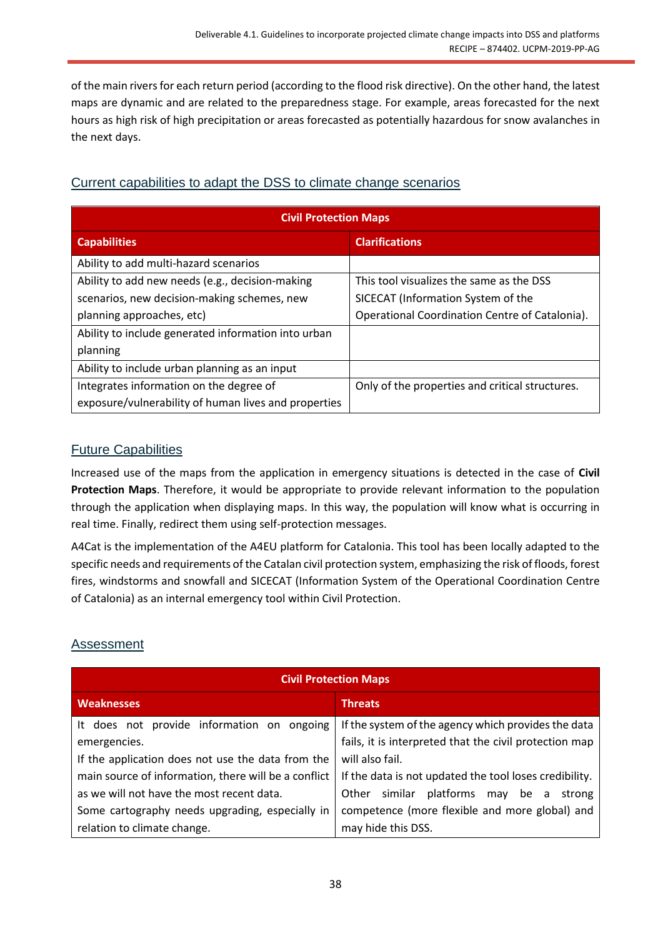of the main rivers for each return period (according to the flood risk directive). On the other hand, the latest maps are dynamic and are related to the preparedness stage. For example, areas forecasted for the next hours as high risk of high precipitation or areas forecasted as potentially hazardous for snow avalanches in the next days.

## <span id="page-37-0"></span>Current capabilities to adapt the DSS to climate change scenarios

| <b>Civil Protection Maps</b>                         |                                                 |  |
|------------------------------------------------------|-------------------------------------------------|--|
| <b>Capabilities</b>                                  | <b>Clarifications</b>                           |  |
| Ability to add multi-hazard scenarios                |                                                 |  |
| Ability to add new needs (e.g., decision-making      | This tool visualizes the same as the DSS        |  |
| scenarios, new decision-making schemes, new          | SICECAT (Information System of the              |  |
| planning approaches, etc)                            | Operational Coordination Centre of Catalonia).  |  |
| Ability to include generated information into urban  |                                                 |  |
| planning                                             |                                                 |  |
| Ability to include urban planning as an input        |                                                 |  |
| Integrates information on the degree of              | Only of the properties and critical structures. |  |
| exposure/vulnerability of human lives and properties |                                                 |  |

## <span id="page-37-1"></span>Future Capabilities

Increased use of the maps from the application in emergency situations is detected in the case of **Civil Protection Maps**. Therefore, it would be appropriate to provide relevant information to the population through the application when displaying maps. In this way, the population will know what is occurring in real time. Finally, redirect them using self-protection messages.

A4Cat is the implementation of the A4EU platform for Catalonia. This tool has been locally adapted to the specific needs and requirements of the Catalan civil protection system, emphasizing the risk of floods, forest fires, windstorms and snowfall and SICECAT (Information System of the Operational Coordination Centre of Catalonia) as an internal emergency tool within Civil Protection.

## <span id="page-37-2"></span>Assessment

| <b>Civil Protection Maps</b>                         |                                                        |
|------------------------------------------------------|--------------------------------------------------------|
| <b>Weaknesses</b>                                    | <b>Threats</b>                                         |
| It does not provide information on ongoing           | If the system of the agency which provides the data    |
| emergencies.                                         | fails, it is interpreted that the civil protection map |
| If the application does not use the data from the    | will also fail.                                        |
| main source of information, there will be a conflict | If the data is not updated the tool loses credibility. |
| as we will not have the most recent data.            | similar platforms<br>Other<br>may be a<br>strong       |
| Some cartography needs upgrading, especially in      | competence (more flexible and more global) and         |
| relation to climate change.                          | may hide this DSS.                                     |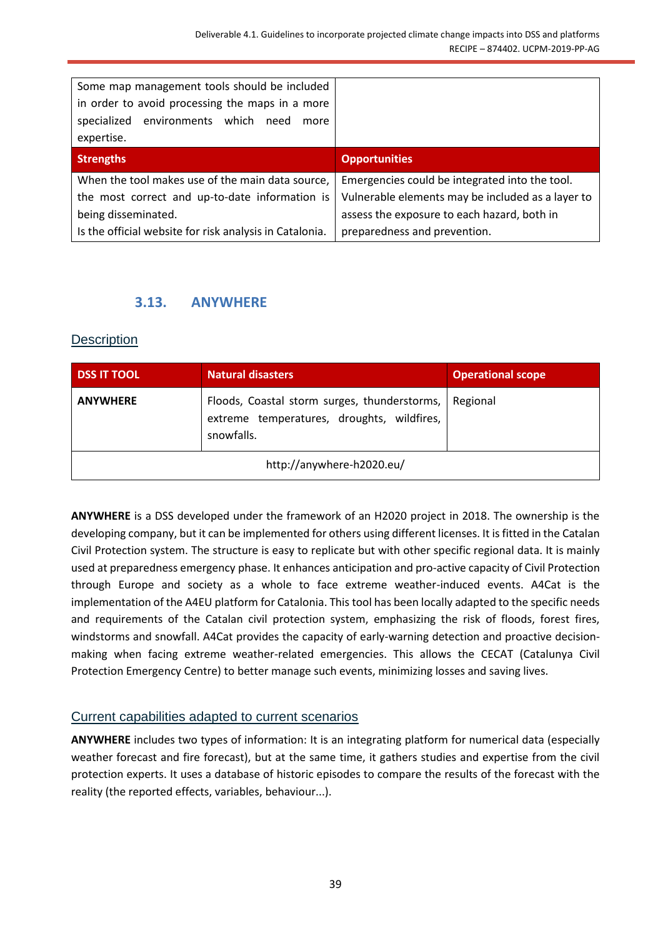| Some map management tools should be included<br>in order to avoid processing the maps in a more<br>environments which<br>specialized<br>need<br>more |                                                   |
|------------------------------------------------------------------------------------------------------------------------------------------------------|---------------------------------------------------|
| expertise.                                                                                                                                           |                                                   |
| <b>Strengths</b>                                                                                                                                     | <b>Opportunities</b>                              |
| When the tool makes use of the main data source,                                                                                                     | Emergencies could be integrated into the tool.    |
| the most correct and up-to-date information is                                                                                                       | Vulnerable elements may be included as a layer to |
| being disseminated.                                                                                                                                  | assess the exposure to each hazard, both in       |
| Is the official website for risk analysis in Catalonia.                                                                                              | preparedness and prevention.                      |

## **3.13. ANYWHERE**

#### <span id="page-38-1"></span><span id="page-38-0"></span>**Description**

| <b>DSS IT TOOL</b> | Natural disasters                                                                                        | <b>Operational scope</b> |
|--------------------|----------------------------------------------------------------------------------------------------------|--------------------------|
| <b>ANYWHERE</b>    | Floods, Coastal storm surges, thunderstorms,<br>extreme temperatures, droughts, wildfires,<br>snowfalls. | Regional                 |
|                    | http://anywhere-h2020.eu/                                                                                |                          |

**ANYWHERE** is a DSS developed under the framework of an H2020 project in 2018. The ownership is the developing company, but it can be implemented for others using different licenses. It is fitted in the Catalan Civil Protection system. The structure is easy to replicate but with other specific regional data. It is mainly used at preparedness emergency phase. It enhances anticipation and pro-active capacity of Civil Protection through Europe and society as a whole to face extreme weather-induced events. A4Cat is the implementation of the A4EU platform for Catalonia. This tool has been locally adapted to the specific needs and requirements of the Catalan civil protection system, emphasizing the risk of floods, forest fires, windstorms and snowfall. A4Cat provides the capacity of early-warning detection and proactive decisionmaking when facing extreme weather-related emergencies. This allows the CECAT (Catalunya Civil Protection Emergency Centre) to better manage such events, minimizing losses and saving lives.

#### <span id="page-38-2"></span>Current capabilities adapted to current scenarios

**ANYWHERE** includes two types of information: It is an integrating platform for numerical data (especially weather forecast and fire forecast), but at the same time, it gathers studies and expertise from the civil protection experts. It uses a database of historic episodes to compare the results of the forecast with the reality (the reported effects, variables, behaviour...).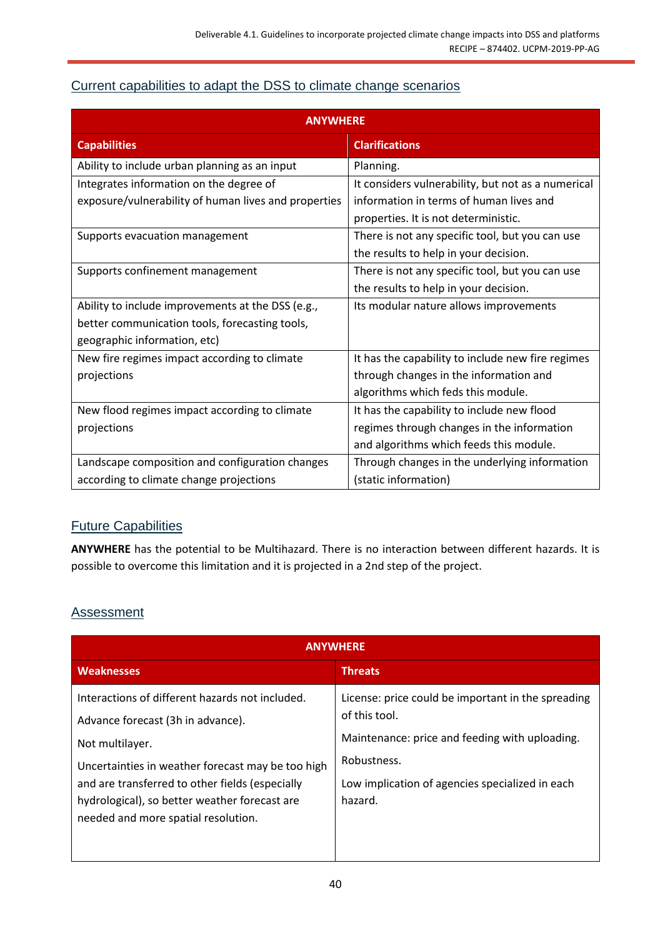## <span id="page-39-0"></span>Current capabilities to adapt the DSS to climate change scenarios

| <b>ANYWHERE</b>                                      |                                                    |  |
|------------------------------------------------------|----------------------------------------------------|--|
| <b>Capabilities</b>                                  | <b>Clarifications</b>                              |  |
| Ability to include urban planning as an input        | Planning.                                          |  |
| Integrates information on the degree of              | It considers vulnerability, but not as a numerical |  |
| exposure/vulnerability of human lives and properties | information in terms of human lives and            |  |
|                                                      | properties. It is not deterministic.               |  |
| Supports evacuation management                       | There is not any specific tool, but you can use    |  |
|                                                      | the results to help in your decision.              |  |
| Supports confinement management                      | There is not any specific tool, but you can use    |  |
|                                                      | the results to help in your decision.              |  |
| Ability to include improvements at the DSS (e.g.,    | Its modular nature allows improvements             |  |
| better communication tools, forecasting tools,       |                                                    |  |
| geographic information, etc)                         |                                                    |  |
| New fire regimes impact according to climate         | It has the capability to include new fire regimes  |  |
| projections                                          | through changes in the information and             |  |
|                                                      | algorithms which feds this module.                 |  |
| New flood regimes impact according to climate        | It has the capability to include new flood         |  |
| projections                                          | regimes through changes in the information         |  |
|                                                      | and algorithms which feeds this module.            |  |
| Landscape composition and configuration changes      | Through changes in the underlying information      |  |
| according to climate change projections              | (static information)                               |  |

## <span id="page-39-1"></span>Future Capabilities

**ANYWHERE** has the potential to be Multihazard. There is no interaction between different hazards. It is possible to overcome this limitation and it is projected in a 2nd step of the project.

#### <span id="page-39-2"></span>**Assessment**

| <b>ANYWHERE</b>                                                                                                                                                                                                                                                                                         |                                                                                                                                                                                                    |
|---------------------------------------------------------------------------------------------------------------------------------------------------------------------------------------------------------------------------------------------------------------------------------------------------------|----------------------------------------------------------------------------------------------------------------------------------------------------------------------------------------------------|
| <b>Weaknesses</b>                                                                                                                                                                                                                                                                                       | <b>Threats</b>                                                                                                                                                                                     |
| Interactions of different hazards not included.<br>Advance forecast (3h in advance).<br>Not multilayer.<br>Uncertainties in weather forecast may be too high<br>and are transferred to other fields (especially<br>hydrological), so better weather forecast are<br>needed and more spatial resolution. | License: price could be important in the spreading<br>of this tool.<br>Maintenance: price and feeding with uploading.<br>Robustness.<br>Low implication of agencies specialized in each<br>hazard. |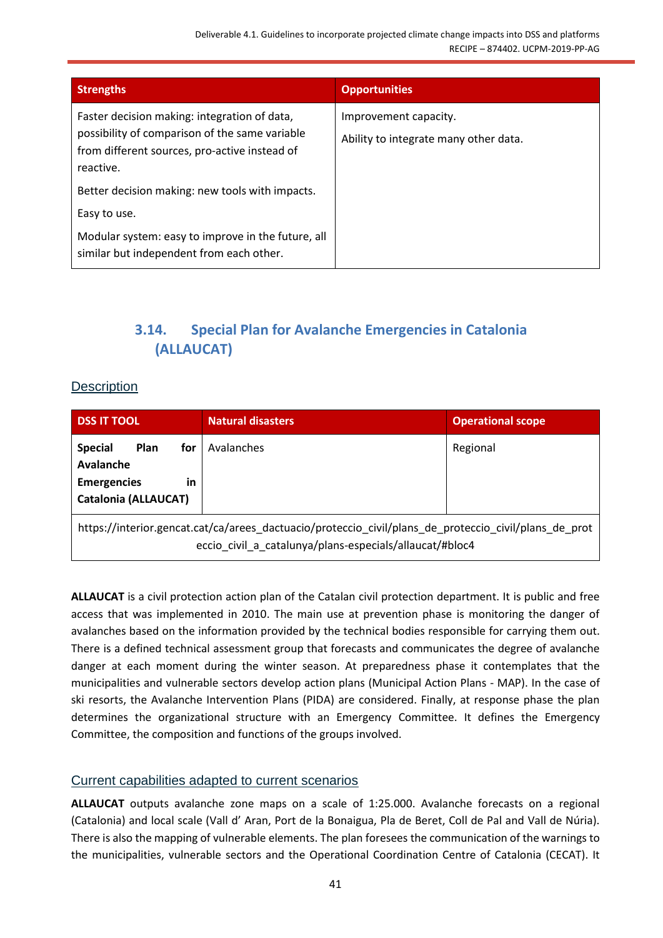| <b>Strengths</b>                                                                                                                                             | <b>Opportunities</b>                                           |
|--------------------------------------------------------------------------------------------------------------------------------------------------------------|----------------------------------------------------------------|
| Faster decision making: integration of data,<br>possibility of comparison of the same variable<br>from different sources, pro-active instead of<br>reactive. | Improvement capacity.<br>Ability to integrate many other data. |
| Better decision making: new tools with impacts.                                                                                                              |                                                                |
| Easy to use.                                                                                                                                                 |                                                                |
| Modular system: easy to improve in the future, all<br>similar but independent from each other.                                                               |                                                                |

## **3.14. Special Plan for Avalanche Emergencies in Catalonia (ALLAUCAT)**

### <span id="page-40-1"></span><span id="page-40-0"></span>**Description**

| <b>DSS IT TOOL</b>                                                                                           | <b>Natural disasters</b>                                                                                                                                         | <b>Operational scope</b> |
|--------------------------------------------------------------------------------------------------------------|------------------------------------------------------------------------------------------------------------------------------------------------------------------|--------------------------|
| <b>Special</b><br><b>Plan</b><br>for<br>Avalanche<br><b>Emergencies</b><br>in<br><b>Catalonia (ALLAUCAT)</b> | Avalanches                                                                                                                                                       | Regional                 |
|                                                                                                              | https://interior.gencat.cat/ca/arees_dactuacio/proteccio_civil/plans_de_proteccio_civil/plans_de_prot<br>eccio civil a catalunya/plans-especials/allaucat/#bloc4 |                          |

**ALLAUCAT** is a civil protection action plan of the Catalan civil protection department. It is public and free access that was implemented in 2010. The main use at prevention phase is monitoring the danger of avalanches based on the information provided by the technical bodies responsible for carrying them out. There is a defined technical assessment group that forecasts and communicates the degree of avalanche danger at each moment during the winter season. At preparedness phase it contemplates that the municipalities and vulnerable sectors develop action plans (Municipal Action Plans - MAP). In the case of ski resorts, the Avalanche Intervention Plans (PIDA) are considered. Finally, at response phase the plan determines the organizational structure with an Emergency Committee. It defines the Emergency Committee, the composition and functions of the groups involved.

#### <span id="page-40-2"></span>Current capabilities adapted to current scenarios

**ALLAUCAT** outputs avalanche zone maps on a scale of 1:25.000. Avalanche forecasts on a regional (Catalonia) and local scale (Vall d' Aran, Port de la Bonaigua, Pla de Beret, Coll de Pal and Vall de Núria). There is also the mapping of vulnerable elements. The plan foresees the communication of the warnings to the municipalities, vulnerable sectors and the Operational Coordination Centre of Catalonia (CECAT). It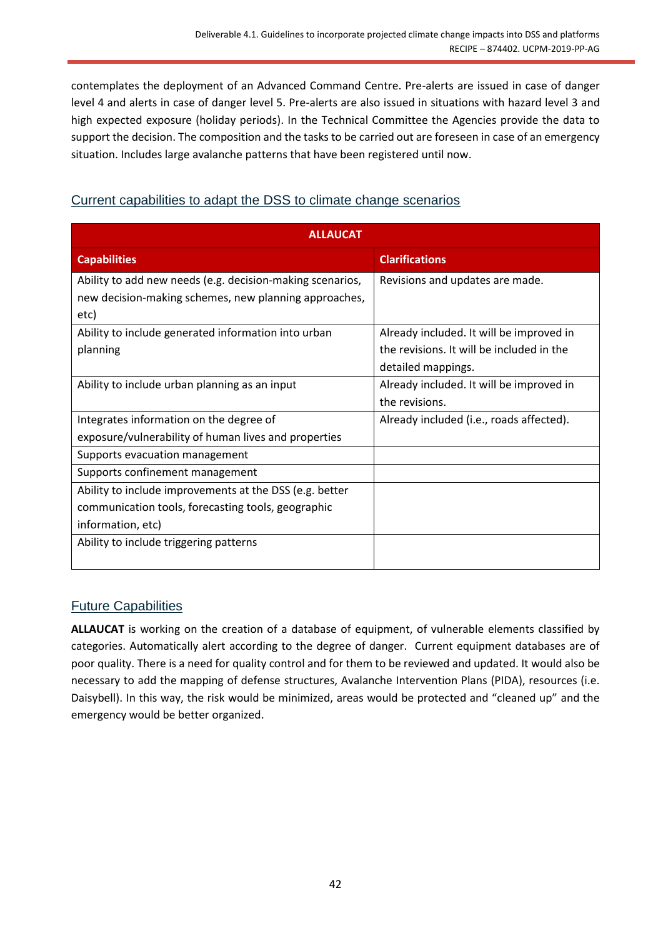contemplates the deployment of an Advanced Command Centre. Pre-alerts are issued in case of danger level 4 and alerts in case of danger level 5. Pre-alerts are also issued in situations with hazard level 3 and high expected exposure (holiday periods). In the Technical Committee the Agencies provide the data to support the decision. The composition and the tasks to be carried out are foreseen in case of an emergency situation. Includes large avalanche patterns that have been registered until now.

| <b>ALLAUCAT</b>                                           |                                           |
|-----------------------------------------------------------|-------------------------------------------|
| <b>Capabilities</b>                                       | <b>Clarifications</b>                     |
| Ability to add new needs (e.g. decision-making scenarios, | Revisions and updates are made.           |
| new decision-making schemes, new planning approaches,     |                                           |
| etc)                                                      |                                           |
| Ability to include generated information into urban       | Already included. It will be improved in  |
| planning                                                  | the revisions. It will be included in the |
|                                                           | detailed mappings.                        |
| Ability to include urban planning as an input             | Already included. It will be improved in  |
|                                                           | the revisions.                            |
| Integrates information on the degree of                   | Already included (i.e., roads affected).  |
| exposure/vulnerability of human lives and properties      |                                           |
| Supports evacuation management                            |                                           |
| Supports confinement management                           |                                           |
| Ability to include improvements at the DSS (e.g. better   |                                           |
| communication tools, forecasting tools, geographic        |                                           |
| information, etc)                                         |                                           |
| Ability to include triggering patterns                    |                                           |
|                                                           |                                           |

## <span id="page-41-0"></span>Current capabilities to adapt the DSS to climate change scenarios

## <span id="page-41-1"></span>Future Capabilities

**ALLAUCAT** is working on the creation of a database of equipment, of vulnerable elements classified by categories. Automatically alert according to the degree of danger. Current equipment databases are of poor quality. There is a need for quality control and for them to be reviewed and updated. It would also be necessary to add the mapping of defense structures, Avalanche Intervention Plans (PIDA), resources (i.e. Daisybell). In this way, the risk would be minimized, areas would be protected and "cleaned up" and the emergency would be better organized.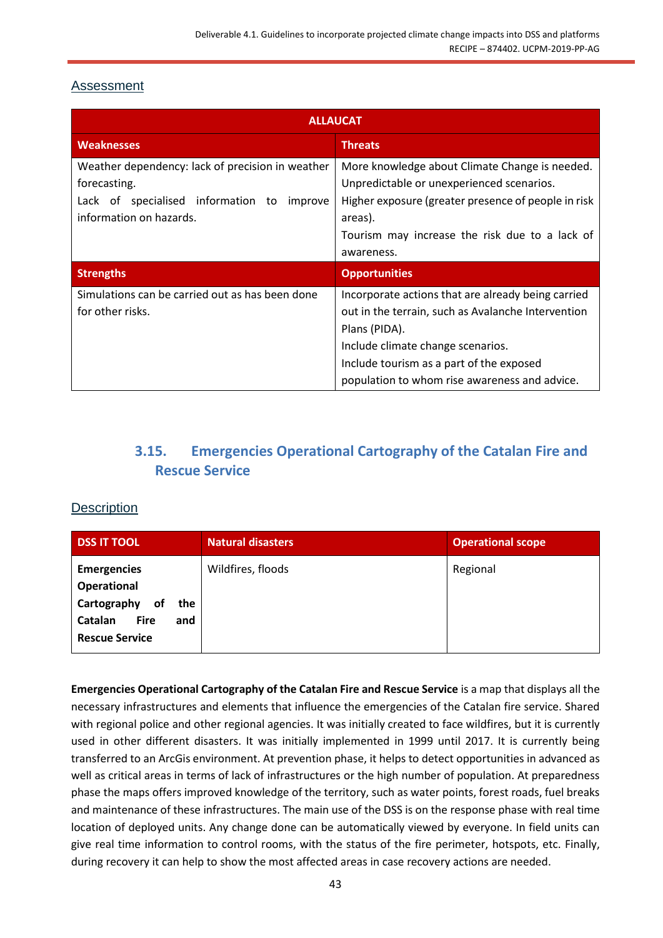## <span id="page-42-0"></span>Assessment

| <b>ALLAUCAT</b>                                                                                                                              |                                                                                                                                                                                                                                                             |
|----------------------------------------------------------------------------------------------------------------------------------------------|-------------------------------------------------------------------------------------------------------------------------------------------------------------------------------------------------------------------------------------------------------------|
| <b>Weaknesses</b>                                                                                                                            | <b>Threats</b>                                                                                                                                                                                                                                              |
| Weather dependency: lack of precision in weather<br>forecasting.<br>Lack of specialised information to<br>improve<br>information on hazards. | More knowledge about Climate Change is needed.<br>Unpredictable or unexperienced scenarios.<br>Higher exposure (greater presence of people in risk<br>areas).<br>Tourism may increase the risk due to a lack of<br>awareness.                               |
| <b>Strengths</b>                                                                                                                             | <b>Opportunities</b>                                                                                                                                                                                                                                        |
| Simulations can be carried out as has been done<br>for other risks.                                                                          | Incorporate actions that are already being carried<br>out in the terrain, such as Avalanche Intervention<br>Plans (PIDA).<br>Include climate change scenarios.<br>Include tourism as a part of the exposed<br>population to whom rise awareness and advice. |

## **3.15. Emergencies Operational Cartography of the Catalan Fire and Rescue Service**

#### <span id="page-42-2"></span><span id="page-42-1"></span>**Description**

| <b>DSS IT TOOL</b>                                                                                                      | <b>Natural disasters</b> | <b>Operational scope</b> |
|-------------------------------------------------------------------------------------------------------------------------|--------------------------|--------------------------|
| <b>Emergencies</b><br>Operational<br>Cartography<br>of<br>the<br>Catalan<br><b>Fire</b><br>and<br><b>Rescue Service</b> | Wildfires, floods        | Regional                 |

**Emergencies Operational Cartography of the Catalan Fire and Rescue Service** is a map that displays all the necessary infrastructures and elements that influence the emergencies of the Catalan fire service. Shared with regional police and other regional agencies. It was initially created to face wildfires, but it is currently used in other different disasters. It was initially implemented in 1999 until 2017. It is currently being transferred to an ArcGis environment. At prevention phase, it helps to detect opportunities in advanced as well as critical areas in terms of lack of infrastructures or the high number of population. At preparedness phase the maps offers improved knowledge of the territory, such as water points, forest roads, fuel breaks and maintenance of these infrastructures. The main use of the DSS is on the response phase with real time location of deployed units. Any change done can be automatically viewed by everyone. In field units can give real time information to control rooms, with the status of the fire perimeter, hotspots, etc. Finally, during recovery it can help to show the most affected areas in case recovery actions are needed.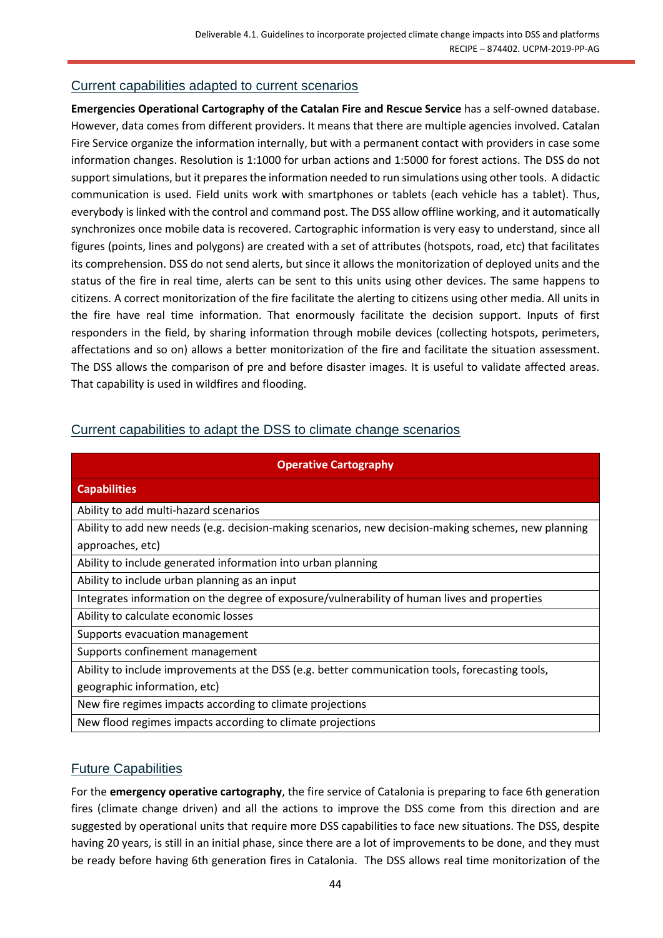#### <span id="page-43-0"></span>Current capabilities adapted to current scenarios

**Emergencies Operational Cartography of the Catalan Fire and Rescue Service** has a self-owned database. However, data comes from different providers. It means that there are multiple agencies involved. Catalan Fire Service organize the information internally, but with a permanent contact with providers in case some information changes. Resolution is 1:1000 for urban actions and 1:5000 for forest actions. The DSS do not support simulations, but it prepares the information needed to run simulations using other tools. A didactic communication is used. Field units work with smartphones or tablets (each vehicle has a tablet). Thus, everybody is linked with the control and command post. The DSS allow offline working, and it automatically synchronizes once mobile data is recovered. Cartographic information is very easy to understand, since all figures (points, lines and polygons) are created with a set of attributes (hotspots, road, etc) that facilitates its comprehension. DSS do not send alerts, but since it allows the monitorization of deployed units and the status of the fire in real time, alerts can be sent to this units using other devices. The same happens to citizens. A correct monitorization of the fire facilitate the alerting to citizens using other media. All units in the fire have real time information. That enormously facilitate the decision support. Inputs of first responders in the field, by sharing information through mobile devices (collecting hotspots, perimeters, affectations and so on) allows a better monitorization of the fire and facilitate the situation assessment. The DSS allows the comparison of pre and before disaster images. It is useful to validate affected areas. That capability is used in wildfires and flooding.

#### <span id="page-43-1"></span>Current capabilities to adapt the DSS to climate change scenarios

| <b>Operative Cartography</b>                                                                        |  |  |
|-----------------------------------------------------------------------------------------------------|--|--|
| <b>Capabilities</b>                                                                                 |  |  |
| Ability to add multi-hazard scenarios                                                               |  |  |
| Ability to add new needs (e.g. decision-making scenarios, new decision-making schemes, new planning |  |  |
| approaches, etc)                                                                                    |  |  |
| Ability to include generated information into urban planning                                        |  |  |
| Ability to include urban planning as an input                                                       |  |  |
| Integrates information on the degree of exposure/vulnerability of human lives and properties        |  |  |
| Ability to calculate economic losses                                                                |  |  |
| Supports evacuation management                                                                      |  |  |
| Supports confinement management                                                                     |  |  |
| Ability to include improvements at the DSS (e.g. better communication tools, forecasting tools,     |  |  |
| geographic information, etc)                                                                        |  |  |
| New fire regimes impacts according to climate projections                                           |  |  |
| New flood regimes impacts according to climate projections                                          |  |  |

#### <span id="page-43-2"></span>Future Capabilities

For the **emergency operative cartography**, the fire service of Catalonia is preparing to face 6th generation fires (climate change driven) and all the actions to improve the DSS come from this direction and are suggested by operational units that require more DSS capabilities to face new situations. The DSS, despite having 20 years, is still in an initial phase, since there are a lot of improvements to be done, and they must be ready before having 6th generation fires in Catalonia. The DSS allows real time monitorization of the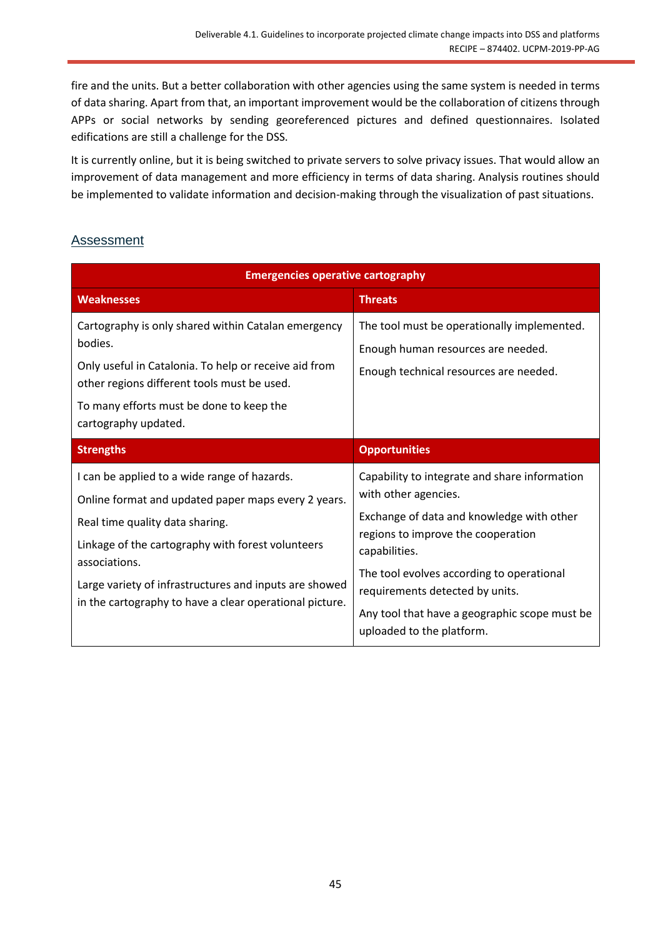fire and the units. But a better collaboration with other agencies using the same system is needed in terms of data sharing. Apart from that, an important improvement would be the collaboration of citizens through APPs or social networks by sending georeferenced pictures and defined questionnaires. Isolated edifications are still a challenge for the DSS.

It is currently online, but it is being switched to private servers to solve privacy issues. That would allow an improvement of data management and more efficiency in terms of data sharing. Analysis routines should be implemented to validate information and decision-making through the visualization of past situations.

### <span id="page-44-0"></span>Assessment

| <b>Emergencies operative cartography</b>                                                                                                                                                                                                                                                                                          |                                                                                                                                                                                                                                                                                                                                         |
|-----------------------------------------------------------------------------------------------------------------------------------------------------------------------------------------------------------------------------------------------------------------------------------------------------------------------------------|-----------------------------------------------------------------------------------------------------------------------------------------------------------------------------------------------------------------------------------------------------------------------------------------------------------------------------------------|
| <b>Weaknesses</b>                                                                                                                                                                                                                                                                                                                 | <b>Threats</b>                                                                                                                                                                                                                                                                                                                          |
| Cartography is only shared within Catalan emergency<br>bodies.<br>Only useful in Catalonia. To help or receive aid from<br>other regions different tools must be used.<br>To many efforts must be done to keep the<br>cartography updated.                                                                                        | The tool must be operationally implemented.<br>Enough human resources are needed.<br>Enough technical resources are needed.                                                                                                                                                                                                             |
| <b>Strengths</b>                                                                                                                                                                                                                                                                                                                  | <b>Opportunities</b>                                                                                                                                                                                                                                                                                                                    |
| I can be applied to a wide range of hazards.<br>Online format and updated paper maps every 2 years.<br>Real time quality data sharing.<br>Linkage of the cartography with forest volunteers<br>associations.<br>Large variety of infrastructures and inputs are showed<br>in the cartography to have a clear operational picture. | Capability to integrate and share information<br>with other agencies.<br>Exchange of data and knowledge with other<br>regions to improve the cooperation<br>capabilities.<br>The tool evolves according to operational<br>requirements detected by units.<br>Any tool that have a geographic scope must be<br>uploaded to the platform. |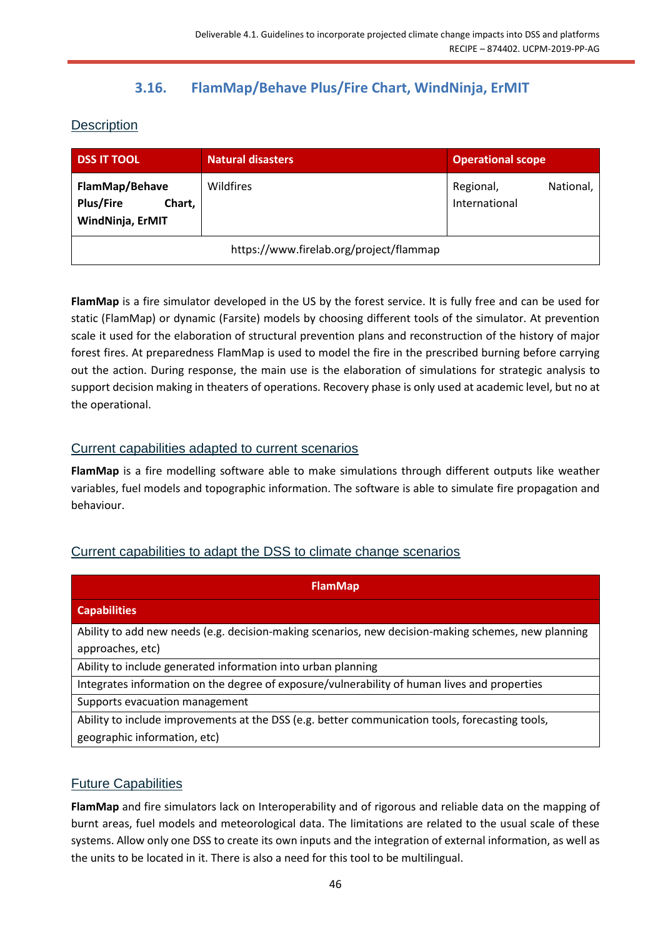## **3.16. FlamMap/Behave Plus/Fire Chart, WindNinja, ErMIT**

<span id="page-45-1"></span><span id="page-45-0"></span>**Description** 

| <b>DSS IT TOOL</b>                                               | Natural disasters                       | <b>Operational scope</b>                |
|------------------------------------------------------------------|-----------------------------------------|-----------------------------------------|
| FlamMap/Behave<br><b>Plus/Fire</b><br>Chart,<br>WindNinja, ErMIT | Wildfires                               | Regional,<br>National,<br>International |
|                                                                  | https://www.firelab.org/project/flammap |                                         |

**FlamMap** is a fire simulator developed in the US by the forest service. It is fully free and can be used for static (FlamMap) or dynamic (Farsite) models by choosing different tools of the simulator. At prevention scale it used for the elaboration of structural prevention plans and reconstruction of the history of major forest fires. At preparedness FlamMap is used to model the fire in the prescribed burning before carrying out the action. During response, the main use is the elaboration of simulations for strategic analysis to support decision making in theaters of operations. Recovery phase is only used at academic level, but no at the operational.

### <span id="page-45-2"></span>Current capabilities adapted to current scenarios

**FlamMap** is a fire modelling software able to make simulations through different outputs like weather variables, fuel models and topographic information. The software is able to simulate fire propagation and behaviour.

## <span id="page-45-3"></span>Current capabilities to adapt the DSS to climate change scenarios

| <b>FlamMap</b>                                                                                                                                               |
|--------------------------------------------------------------------------------------------------------------------------------------------------------------|
| <b>Capabilities</b>                                                                                                                                          |
| Ability to add new needs (e.g. decision-making scenarios, new decision-making schemes, new planning                                                          |
| approaches, etc)                                                                                                                                             |
| Ability to include generated information into urban planning<br>Integrates information on the degree of exposure/vulnerability of human lives and properties |
| Supports evacuation management                                                                                                                               |
| Ability to include improvements at the DSS (e.g. better communication tools, forecasting tools,                                                              |
| geographic information, etc)                                                                                                                                 |

## <span id="page-45-4"></span>Future Capabilities

**FlamMap** and fire simulators lack on Interoperability and of rigorous and reliable data on the mapping of burnt areas, fuel models and meteorological data. The limitations are related to the usual scale of these systems. Allow only one DSS to create its own inputs and the integration of external information, as well as the units to be located in it. There is also a need for this tool to be multilingual.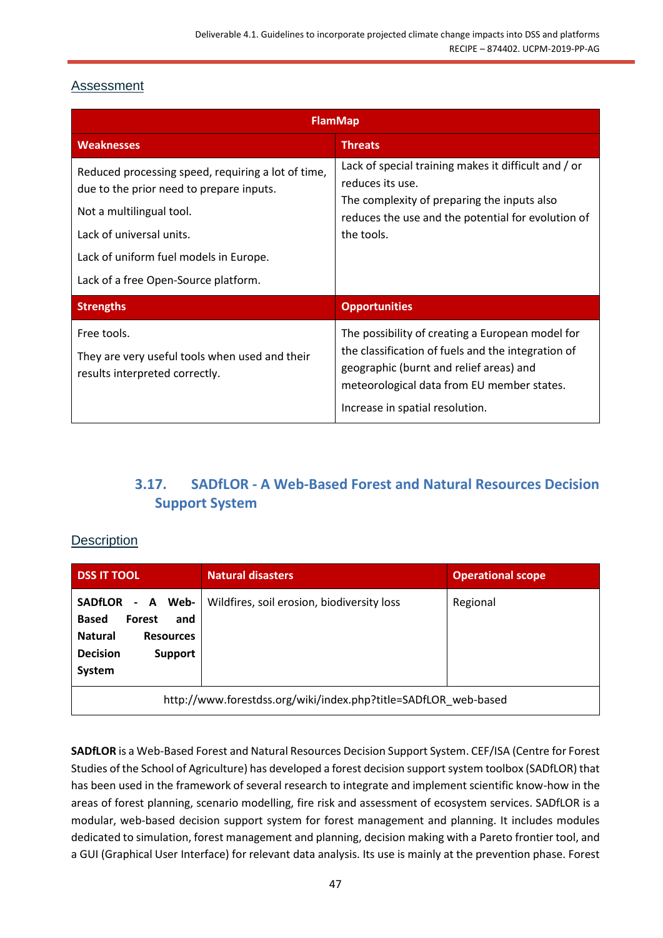## <span id="page-46-0"></span>Assessment

| <b>FlamMap</b>                                                                                                                                                                                                                           |                                                                                                                                                                                                                                    |  |
|------------------------------------------------------------------------------------------------------------------------------------------------------------------------------------------------------------------------------------------|------------------------------------------------------------------------------------------------------------------------------------------------------------------------------------------------------------------------------------|--|
| <b>Weaknesses</b>                                                                                                                                                                                                                        | <b>Threats</b>                                                                                                                                                                                                                     |  |
| Reduced processing speed, requiring a lot of time,<br>due to the prior need to prepare inputs.<br>Not a multilingual tool.<br>Lack of universal units.<br>Lack of uniform fuel models in Europe.<br>Lack of a free Open-Source platform. | Lack of special training makes it difficult and / or<br>reduces its use.<br>The complexity of preparing the inputs also<br>reduces the use and the potential for evolution of<br>the tools.                                        |  |
| <b>Strengths</b>                                                                                                                                                                                                                         | <b>Opportunities</b>                                                                                                                                                                                                               |  |
| Free tools.<br>They are very useful tools when used and their<br>results interpreted correctly.                                                                                                                                          | The possibility of creating a European model for<br>the classification of fuels and the integration of<br>geographic (burnt and relief areas) and<br>meteorological data from EU member states.<br>Increase in spatial resolution. |  |

## **3.17. SADfLOR - A Web-Based Forest and Natural Resources Decision Support System**

## <span id="page-46-2"></span><span id="page-46-1"></span>**Description**

| <b>DSS IT TOOL</b>                                                                                                                        | <b>Natural disasters</b>                   | <b>Operational scope</b> |
|-------------------------------------------------------------------------------------------------------------------------------------------|--------------------------------------------|--------------------------|
| <b>SADfLOR</b><br>- A Web-<br><b>Based</b><br>Forest<br>and<br><b>Natural</b><br><b>Resources</b><br><b>Decision</b><br>Support<br>System | Wildfires, soil erosion, biodiversity loss | Regional                 |
| http://www.forestdss.org/wiki/index.php?title=SADfLOR_web-based                                                                           |                                            |                          |

**SADfLOR** is a Web-Based Forest and Natural Resources Decision Support System. CEF/ISA (Centre for Forest Studies of the School of Agriculture) has developed a forest decision support system toolbox (SADfLOR) that has been used in the framework of several research to integrate and implement scientific know-how in the areas of forest planning, scenario modelling, fire risk and assessment of ecosystem services. SADfLOR is a modular, web-based decision support system for forest management and planning. It includes modules dedicated to simulation, forest management and planning, decision making with a Pareto frontier tool, and a GUI (Graphical User Interface) for relevant data analysis. Its use is mainly at the prevention phase. Forest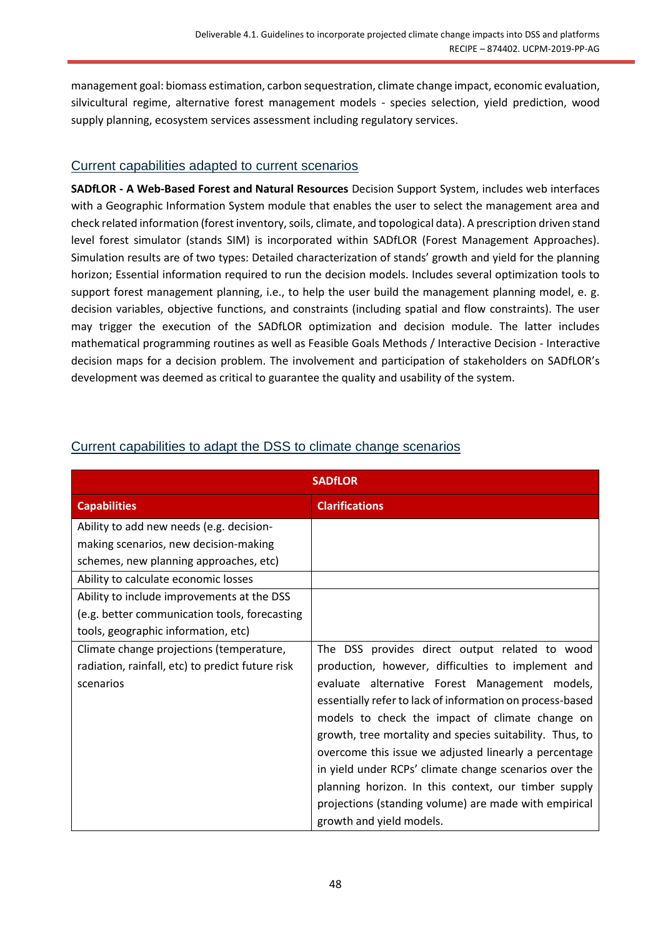management goal: biomass estimation, carbon sequestration, climate change impact, economic evaluation, silvicultural regime, alternative forest management models - species selection, yield prediction, wood supply planning, ecosystem services assessment including regulatory services.

#### <span id="page-47-0"></span>Current capabilities adapted to current scenarios

**SADfLOR - A Web-Based Forest and Natural Resources** Decision Support System, includes web interfaces with a Geographic Information System module that enables the user to select the management area and check related information (forest inventory, soils, climate, and topological data). A prescription driven stand level forest simulator (stands SIM) is incorporated within SADfLOR (Forest Management Approaches). Simulation results are of two types: Detailed characterization of stands' growth and yield for the planning horizon; Essential information required to run the decision models. Includes several optimization tools to support forest management planning, i.e., to help the user build the management planning model, e. g. decision variables, objective functions, and constraints (including spatial and flow constraints). The user may trigger the execution of the SADfLOR optimization and decision module. The latter includes mathematical programming routines as well as Feasible Goals Methods / Interactive Decision - Interactive decision maps for a decision problem. The involvement and participation of stakeholders on SADfLOR's development was deemed as critical to guarantee the quality and usability of the system.

| <b>SADfLOR</b>                                                                  |                                                           |  |
|---------------------------------------------------------------------------------|-----------------------------------------------------------|--|
| <b>Capabilities</b>                                                             | <b>Clarifications</b>                                     |  |
| Ability to add new needs (e.g. decision-                                        |                                                           |  |
| making scenarios, new decision-making<br>schemes, new planning approaches, etc) |                                                           |  |
| Ability to calculate economic losses                                            |                                                           |  |
| Ability to include improvements at the DSS                                      |                                                           |  |
| (e.g. better communication tools, forecasting                                   |                                                           |  |
| tools, geographic information, etc)                                             |                                                           |  |
| Climate change projections (temperature,                                        | The DSS provides direct output related to wood            |  |
| radiation, rainfall, etc) to predict future risk                                | production, however, difficulties to implement and        |  |
| scenarios                                                                       | evaluate alternative Forest Management models,            |  |
|                                                                                 | essentially refer to lack of information on process-based |  |
|                                                                                 | models to check the impact of climate change on           |  |
|                                                                                 | growth, tree mortality and species suitability. Thus, to  |  |
|                                                                                 | overcome this issue we adjusted linearly a percentage     |  |
|                                                                                 | in yield under RCPs' climate change scenarios over the    |  |
|                                                                                 | planning horizon. In this context, our timber supply      |  |
|                                                                                 | projections (standing volume) are made with empirical     |  |
|                                                                                 | growth and yield models.                                  |  |

## <span id="page-47-1"></span>Current capabilities to adapt the DSS to climate change scenarios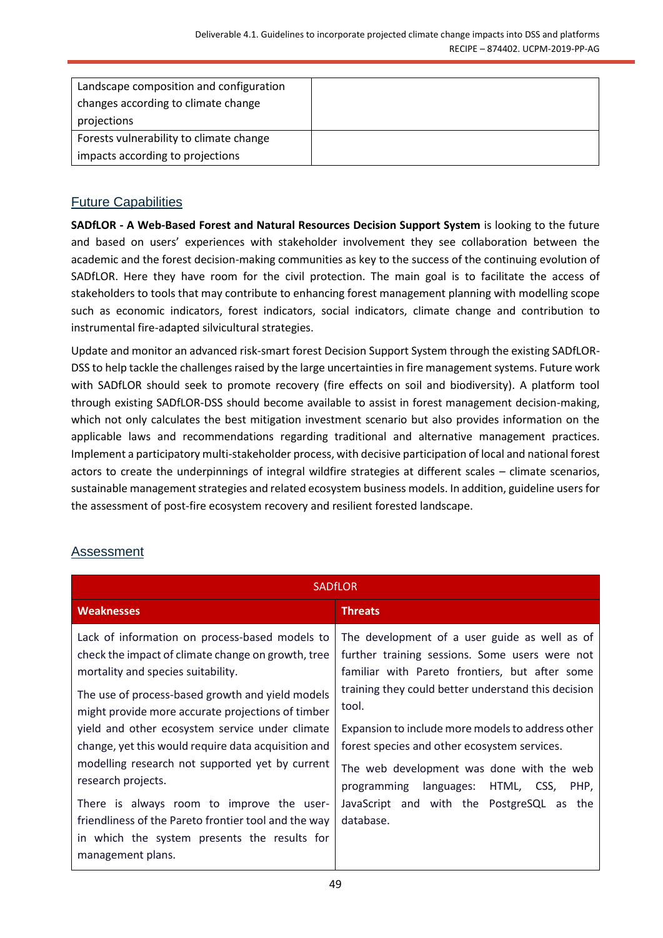| Landscape composition and configuration<br>changes according to climate change<br>projections |  |
|-----------------------------------------------------------------------------------------------|--|
| Forests vulnerability to climate change                                                       |  |
| impacts according to projections                                                              |  |

## <span id="page-48-0"></span>Future Capabilities

**SADfLOR - A Web-Based Forest and Natural Resources Decision Support System** is looking to the future and based on users' experiences with stakeholder involvement they see collaboration between the academic and the forest decision-making communities as key to the success of the continuing evolution of SADfLOR. Here they have room for the civil protection. The main goal is to facilitate the access of stakeholders to tools that may contribute to enhancing forest management planning with modelling scope such as economic indicators, forest indicators, social indicators, climate change and contribution to instrumental fire-adapted silvicultural strategies.

Update and monitor an advanced risk-smart forest Decision Support System through the existing SADfLOR-DSS to help tackle the challenges raised by the large uncertainties in fire management systems. Future work with SADfLOR should seek to promote recovery (fire effects on soil and biodiversity). A platform tool through existing SADfLOR-DSS should become available to assist in forest management decision-making, which not only calculates the best mitigation investment scenario but also provides information on the applicable laws and recommendations regarding traditional and alternative management practices. Implement a participatory multi-stakeholder process, with decisive participation of local and national forest actors to create the underpinnings of integral wildfire strategies at different scales – climate scenarios, sustainable management strategies and related ecosystem business models. In addition, guideline users for the assessment of post-fire ecosystem recovery and resilient forested landscape.

## <span id="page-48-1"></span>**Assessment**

| <b>SADFLOR</b>                                                                                                                                                                                                                                      |                                                                                                                                                                                                                   |  |
|-----------------------------------------------------------------------------------------------------------------------------------------------------------------------------------------------------------------------------------------------------|-------------------------------------------------------------------------------------------------------------------------------------------------------------------------------------------------------------------|--|
| <b>Weaknesses</b>                                                                                                                                                                                                                                   | <b>Threats</b>                                                                                                                                                                                                    |  |
| Lack of information on process-based models to<br>check the impact of climate change on growth, tree<br>mortality and species suitability.<br>The use of process-based growth and yield models<br>might provide more accurate projections of timber | The development of a user guide as well as of<br>further training sessions. Some users were not<br>familiar with Pareto frontiers, but after some<br>training they could better understand this decision<br>tool. |  |
| yield and other ecosystem service under climate<br>change, yet this would require data acquisition and<br>modelling research not supported yet by current<br>research projects.                                                                     | Expansion to include more models to address other<br>forest species and other ecosystem services.<br>The web development was done with the web<br>programming languages: HTML, CSS,<br>PHP,                       |  |
| There is always room to improve the user-<br>friendliness of the Pareto frontier tool and the way<br>in which the system presents the results for<br>management plans.                                                                              | JavaScript and with the PostgreSQL as the<br>database.                                                                                                                                                            |  |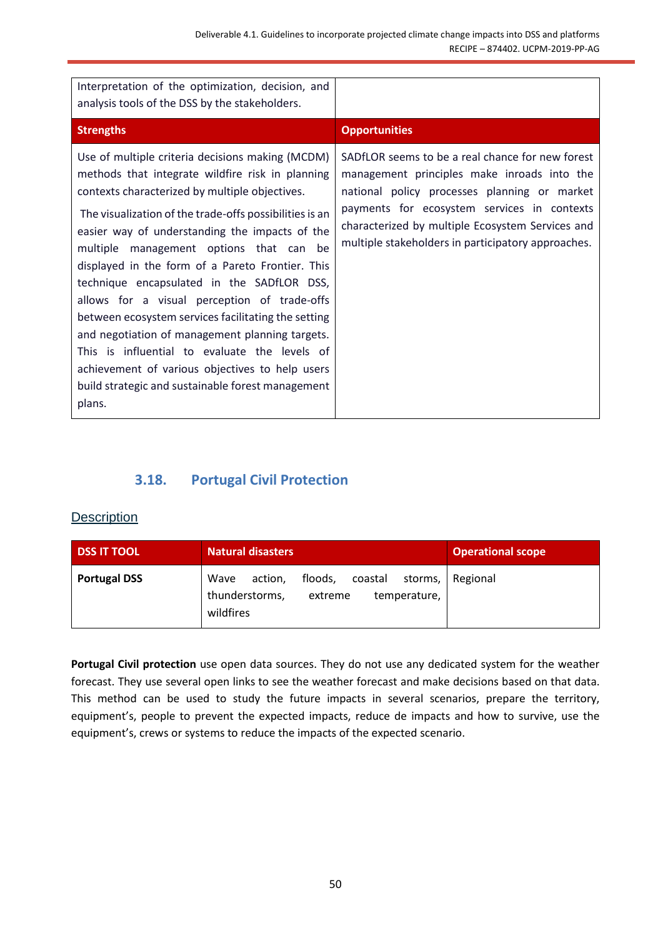| Interpretation of the optimization, decision, and<br>analysis tools of the DSS by the stakeholders.                                                                                                                                                                                                                                                                                                                                                                                                                                                                                                                                                                                                                                           |                                                                                                                                                                                                                                                                                                          |
|-----------------------------------------------------------------------------------------------------------------------------------------------------------------------------------------------------------------------------------------------------------------------------------------------------------------------------------------------------------------------------------------------------------------------------------------------------------------------------------------------------------------------------------------------------------------------------------------------------------------------------------------------------------------------------------------------------------------------------------------------|----------------------------------------------------------------------------------------------------------------------------------------------------------------------------------------------------------------------------------------------------------------------------------------------------------|
| <b>Strengths</b>                                                                                                                                                                                                                                                                                                                                                                                                                                                                                                                                                                                                                                                                                                                              | <b>Opportunities</b>                                                                                                                                                                                                                                                                                     |
| Use of multiple criteria decisions making (MCDM)<br>methods that integrate wildfire risk in planning<br>contexts characterized by multiple objectives.<br>The visualization of the trade-offs possibilities is an<br>easier way of understanding the impacts of the<br>multiple management options that can be<br>displayed in the form of a Pareto Frontier. This<br>technique encapsulated in the SADfLOR DSS,<br>allows for a visual perception of trade-offs<br>between ecosystem services facilitating the setting<br>and negotiation of management planning targets.<br>This is influential to evaluate the levels of<br>achievement of various objectives to help users<br>build strategic and sustainable forest management<br>plans. | SADFLOR seems to be a real chance for new forest<br>management principles make inroads into the<br>national policy processes planning or market<br>payments for ecosystem services in contexts<br>characterized by multiple Ecosystem Services and<br>multiple stakeholders in participatory approaches. |

## **3.18. Portugal Civil Protection**

#### <span id="page-49-1"></span><span id="page-49-0"></span>**Description**

| <b>DSS IT TOOL</b>  | <b>Natural disasters</b>                                                                                   | <b>Operational scope</b> |
|---------------------|------------------------------------------------------------------------------------------------------------|--------------------------|
| <b>Portugal DSS</b> | floods,<br>Wave<br>coastal<br>storms,<br>action,<br>thunderstorms,<br>temperature,<br>extreme<br>wildfires | Regional                 |

**Portugal Civil protection** use open data sources. They do not use any dedicated system for the weather forecast. They use several open links to see the weather forecast and make decisions based on that data. This method can be used to study the future impacts in several scenarios, prepare the territory, equipment's, people to prevent the expected impacts, reduce de impacts and how to survive, use the equipment's, crews or systems to reduce the impacts of the expected scenario.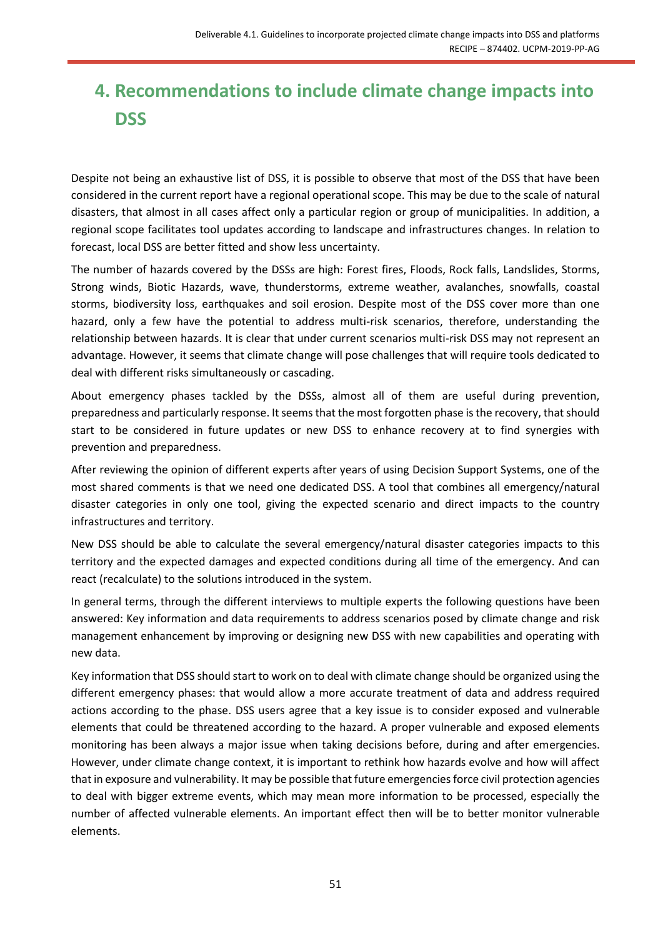# <span id="page-50-0"></span>**4. Recommendations to include climate change impacts into DSS**

Despite not being an exhaustive list of DSS, it is possible to observe that most of the DSS that have been considered in the current report have a regional operational scope. This may be due to the scale of natural disasters, that almost in all cases affect only a particular region or group of municipalities. In addition, a regional scope facilitates tool updates according to landscape and infrastructures changes. In relation to forecast, local DSS are better fitted and show less uncertainty.

The number of hazards covered by the DSSs are high: Forest fires, Floods, Rock falls, Landslides, Storms, Strong winds, Biotic Hazards, wave, thunderstorms, extreme weather, avalanches, snowfalls, coastal storms, biodiversity loss, earthquakes and soil erosion. Despite most of the DSS cover more than one hazard, only a few have the potential to address multi-risk scenarios, therefore, understanding the relationship between hazards. It is clear that under current scenarios multi-risk DSS may not represent an advantage. However, it seems that climate change will pose challenges that will require tools dedicated to deal with different risks simultaneously or cascading.

About emergency phases tackled by the DSSs, almost all of them are useful during prevention, preparedness and particularly response. It seems that the most forgotten phase is the recovery, that should start to be considered in future updates or new DSS to enhance recovery at to find synergies with prevention and preparedness.

After reviewing the opinion of different experts after years of using Decision Support Systems, one of the most shared comments is that we need one dedicated DSS. A tool that combines all emergency/natural disaster categories in only one tool, giving the expected scenario and direct impacts to the country infrastructures and territory.

New DSS should be able to calculate the several emergency/natural disaster categories impacts to this territory and the expected damages and expected conditions during all time of the emergency. And can react (recalculate) to the solutions introduced in the system.

In general terms, through the different interviews to multiple experts the following questions have been answered: Key information and data requirements to address scenarios posed by climate change and risk management enhancement by improving or designing new DSS with new capabilities and operating with new data.

Key information that DSS should start to work on to deal with climate change should be organized using the different emergency phases: that would allow a more accurate treatment of data and address required actions according to the phase. DSS users agree that a key issue is to consider exposed and vulnerable elements that could be threatened according to the hazard. A proper vulnerable and exposed elements monitoring has been always a major issue when taking decisions before, during and after emergencies. However, under climate change context, it is important to rethink how hazards evolve and how will affect that in exposure and vulnerability. It may be possible that future emergencies force civil protection agencies to deal with bigger extreme events, which may mean more information to be processed, especially the number of affected vulnerable elements. An important effect then will be to better monitor vulnerable elements.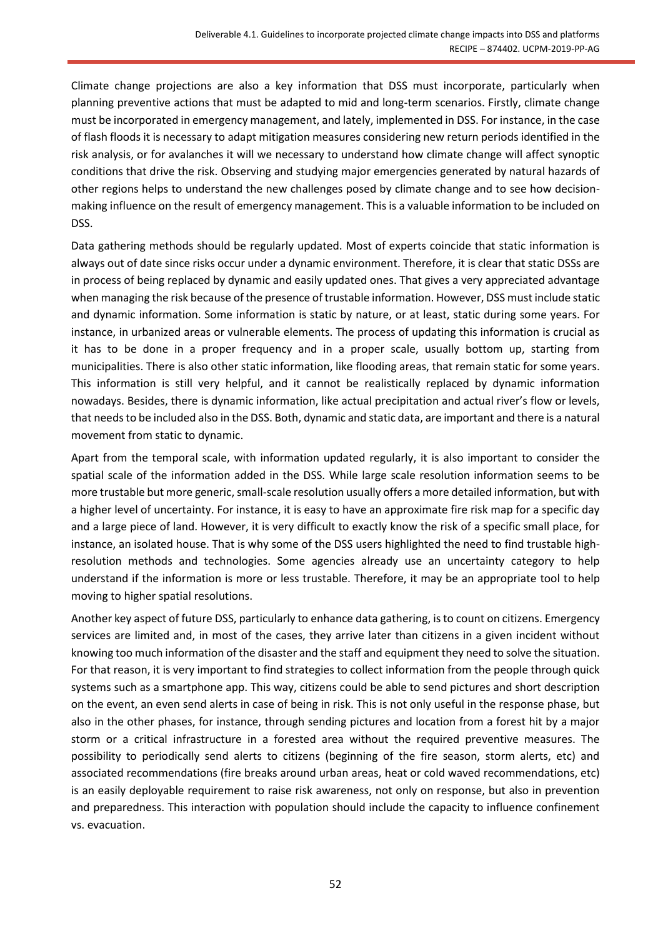Climate change projections are also a key information that DSS must incorporate, particularly when planning preventive actions that must be adapted to mid and long-term scenarios. Firstly, climate change must be incorporated in emergency management, and lately, implemented in DSS. For instance, in the case of flash floods it is necessary to adapt mitigation measures considering new return periods identified in the risk analysis, or for avalanches it will we necessary to understand how climate change will affect synoptic conditions that drive the risk. Observing and studying major emergencies generated by natural hazards of other regions helps to understand the new challenges posed by climate change and to see how decisionmaking influence on the result of emergency management. This is a valuable information to be included on DSS.

Data gathering methods should be regularly updated. Most of experts coincide that static information is always out of date since risks occur under a dynamic environment. Therefore, it is clear that static DSSs are in process of being replaced by dynamic and easily updated ones. That gives a very appreciated advantage when managing the risk because of the presence of trustable information. However, DSS must include static and dynamic information. Some information is static by nature, or at least, static during some years. For instance, in urbanized areas or vulnerable elements. The process of updating this information is crucial as it has to be done in a proper frequency and in a proper scale, usually bottom up, starting from municipalities. There is also other static information, like flooding areas, that remain static for some years. This information is still very helpful, and it cannot be realistically replaced by dynamic information nowadays. Besides, there is dynamic information, like actual precipitation and actual river's flow or levels, that needs to be included also in the DSS. Both, dynamic and static data, are important and there is a natural movement from static to dynamic.

Apart from the temporal scale, with information updated regularly, it is also important to consider the spatial scale of the information added in the DSS. While large scale resolution information seems to be more trustable but more generic, small-scale resolution usually offers a more detailed information, but with a higher level of uncertainty. For instance, it is easy to have an approximate fire risk map for a specific day and a large piece of land. However, it is very difficult to exactly know the risk of a specific small place, for instance, an isolated house. That is why some of the DSS users highlighted the need to find trustable highresolution methods and technologies. Some agencies already use an uncertainty category to help understand if the information is more or less trustable. Therefore, it may be an appropriate tool to help moving to higher spatial resolutions.

Another key aspect of future DSS, particularly to enhance data gathering, is to count on citizens. Emergency services are limited and, in most of the cases, they arrive later than citizens in a given incident without knowing too much information of the disaster and the staff and equipment they need to solve the situation. For that reason, it is very important to find strategies to collect information from the people through quick systems such as a smartphone app. This way, citizens could be able to send pictures and short description on the event, an even send alerts in case of being in risk. This is not only useful in the response phase, but also in the other phases, for instance, through sending pictures and location from a forest hit by a major storm or a critical infrastructure in a forested area without the required preventive measures. The possibility to periodically send alerts to citizens (beginning of the fire season, storm alerts, etc) and associated recommendations (fire breaks around urban areas, heat or cold waved recommendations, etc) is an easily deployable requirement to raise risk awareness, not only on response, but also in prevention and preparedness. This interaction with population should include the capacity to influence confinement vs. evacuation.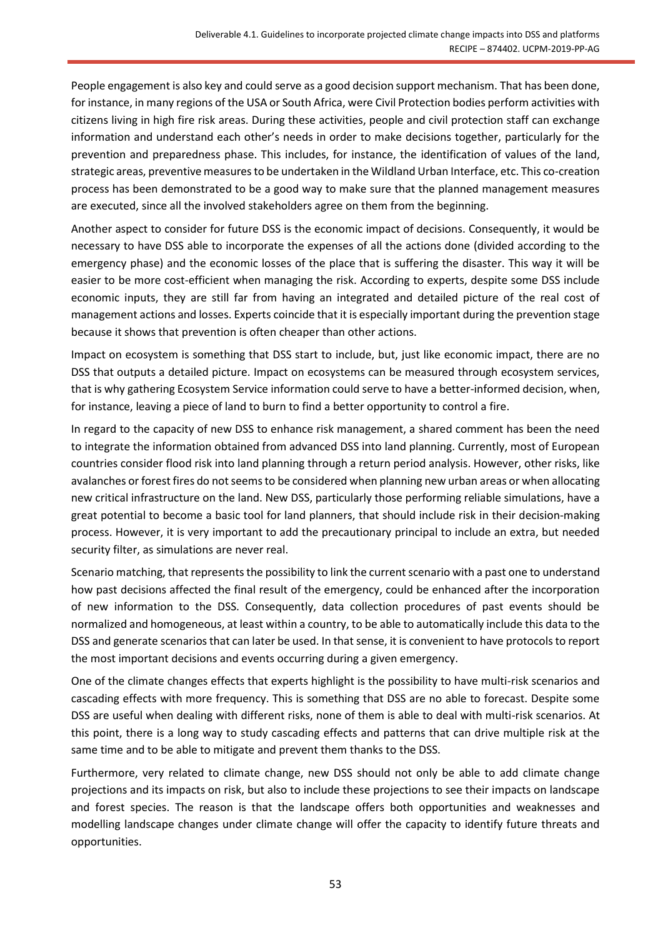People engagement is also key and could serve as a good decision support mechanism. That has been done, for instance, in many regions of the USA or South Africa, were Civil Protection bodies perform activities with citizens living in high fire risk areas. During these activities, people and civil protection staff can exchange information and understand each other's needs in order to make decisions together, particularly for the prevention and preparedness phase. This includes, for instance, the identification of values of the land, strategic areas, preventive measures to be undertaken in the Wildland Urban Interface, etc. This co-creation process has been demonstrated to be a good way to make sure that the planned management measures are executed, since all the involved stakeholders agree on them from the beginning.

Another aspect to consider for future DSS is the economic impact of decisions. Consequently, it would be necessary to have DSS able to incorporate the expenses of all the actions done (divided according to the emergency phase) and the economic losses of the place that is suffering the disaster. This way it will be easier to be more cost-efficient when managing the risk. According to experts, despite some DSS include economic inputs, they are still far from having an integrated and detailed picture of the real cost of management actions and losses. Experts coincide that it is especially important during the prevention stage because it shows that prevention is often cheaper than other actions.

Impact on ecosystem is something that DSS start to include, but, just like economic impact, there are no DSS that outputs a detailed picture. Impact on ecosystems can be measured through ecosystem services, that is why gathering Ecosystem Service information could serve to have a better-informed decision, when, for instance, leaving a piece of land to burn to find a better opportunity to control a fire.

In regard to the capacity of new DSS to enhance risk management, a shared comment has been the need to integrate the information obtained from advanced DSS into land planning. Currently, most of European countries consider flood risk into land planning through a return period analysis. However, other risks, like avalanches or forest fires do not seems to be considered when planning new urban areas or when allocating new critical infrastructure on the land. New DSS, particularly those performing reliable simulations, have a great potential to become a basic tool for land planners, that should include risk in their decision-making process. However, it is very important to add the precautionary principal to include an extra, but needed security filter, as simulations are never real.

Scenario matching, that represents the possibility to link the current scenario with a past one to understand how past decisions affected the final result of the emergency, could be enhanced after the incorporation of new information to the DSS. Consequently, data collection procedures of past events should be normalized and homogeneous, at least within a country, to be able to automatically include this data to the DSS and generate scenarios that can later be used. In that sense, it is convenient to have protocols to report the most important decisions and events occurring during a given emergency.

One of the climate changes effects that experts highlight is the possibility to have multi-risk scenarios and cascading effects with more frequency. This is something that DSS are no able to forecast. Despite some DSS are useful when dealing with different risks, none of them is able to deal with multi-risk scenarios. At this point, there is a long way to study cascading effects and patterns that can drive multiple risk at the same time and to be able to mitigate and prevent them thanks to the DSS.

Furthermore, very related to climate change, new DSS should not only be able to add climate change projections and its impacts on risk, but also to include these projections to see their impacts on landscape and forest species. The reason is that the landscape offers both opportunities and weaknesses and modelling landscape changes under climate change will offer the capacity to identify future threats and opportunities.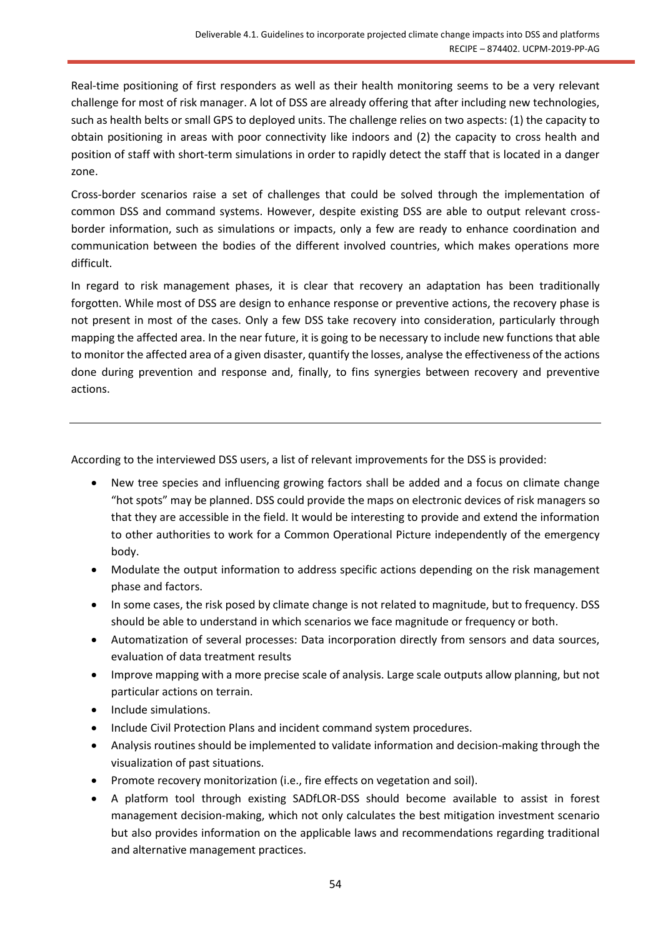Real-time positioning of first responders as well as their health monitoring seems to be a very relevant challenge for most of risk manager. A lot of DSS are already offering that after including new technologies, such as health belts or small GPS to deployed units. The challenge relies on two aspects: (1) the capacity to obtain positioning in areas with poor connectivity like indoors and (2) the capacity to cross health and position of staff with short-term simulations in order to rapidly detect the staff that is located in a danger zone.

Cross-border scenarios raise a set of challenges that could be solved through the implementation of common DSS and command systems. However, despite existing DSS are able to output relevant crossborder information, such as simulations or impacts, only a few are ready to enhance coordination and communication between the bodies of the different involved countries, which makes operations more difficult.

In regard to risk management phases, it is clear that recovery an adaptation has been traditionally forgotten. While most of DSS are design to enhance response or preventive actions, the recovery phase is not present in most of the cases. Only a few DSS take recovery into consideration, particularly through mapping the affected area. In the near future, it is going to be necessary to include new functions that able to monitor the affected area of a given disaster, quantify the losses, analyse the effectiveness of the actions done during prevention and response and, finally, to fins synergies between recovery and preventive actions.

According to the interviewed DSS users, a list of relevant improvements for the DSS is provided:

- New tree species and influencing growing factors shall be added and a focus on climate change "hot spots" may be planned. DSS could provide the maps on electronic devices of risk managers so that they are accessible in the field. It would be interesting to provide and extend the information to other authorities to work for a Common Operational Picture independently of the emergency body.
- Modulate the output information to address specific actions depending on the risk management phase and factors.
- In some cases, the risk posed by climate change is not related to magnitude, but to frequency. DSS should be able to understand in which scenarios we face magnitude or frequency or both.
- Automatization of several processes: Data incorporation directly from sensors and data sources, evaluation of data treatment results
- Improve mapping with a more precise scale of analysis. Large scale outputs allow planning, but not particular actions on terrain.
- Include simulations.
- Include Civil Protection Plans and incident command system procedures.
- Analysis routines should be implemented to validate information and decision-making through the visualization of past situations.
- Promote recovery monitorization (i.e., fire effects on vegetation and soil).
- A platform tool through existing SADfLOR-DSS should become available to assist in forest management decision-making, which not only calculates the best mitigation investment scenario but also provides information on the applicable laws and recommendations regarding traditional and alternative management practices.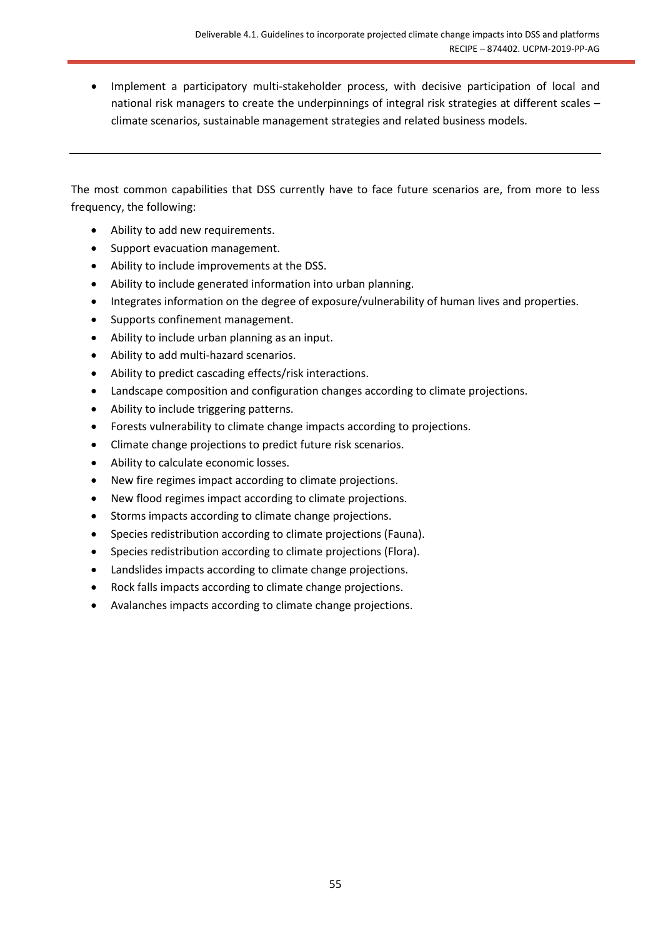• Implement a participatory multi-stakeholder process, with decisive participation of local and national risk managers to create the underpinnings of integral risk strategies at different scales – climate scenarios, sustainable management strategies and related business models.

The most common capabilities that DSS currently have to face future scenarios are, from more to less frequency, the following:

- Ability to add new requirements.
- Support evacuation management.
- Ability to include improvements at the DSS.
- Ability to include generated information into urban planning.
- Integrates information on the degree of exposure/vulnerability of human lives and properties.
- Supports confinement management.
- Ability to include urban planning as an input.
- Ability to add multi-hazard scenarios.
- Ability to predict cascading effects/risk interactions.
- Landscape composition and configuration changes according to climate projections.
- Ability to include triggering patterns.
- Forests vulnerability to climate change impacts according to projections.
- Climate change projections to predict future risk scenarios.
- Ability to calculate economic losses.
- New fire regimes impact according to climate projections.
- New flood regimes impact according to climate projections.
- Storms impacts according to climate change projections.
- Species redistribution according to climate projections (Fauna).
- Species redistribution according to climate projections (Flora).
- Landslides impacts according to climate change projections.
- Rock falls impacts according to climate change projections.
- Avalanches impacts according to climate change projections.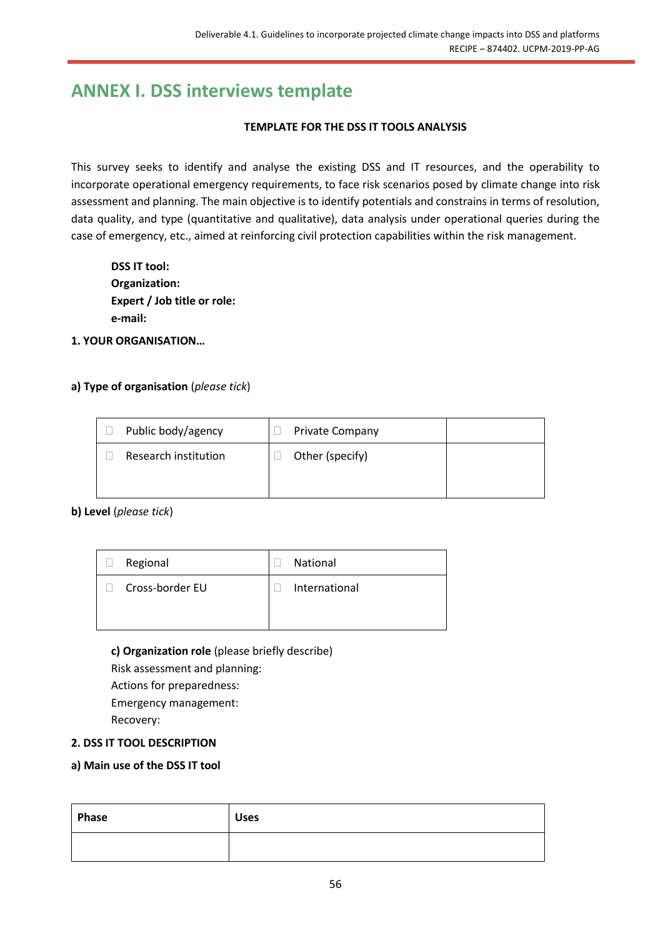# <span id="page-55-0"></span>**ANNEX I. DSS interviews template**

#### **TEMPLATE FOR THE DSS IT TOOLS ANALYSIS**

This survey seeks to identify and analyse the existing DSS and IT resources, and the operability to incorporate operational emergency requirements, to face risk scenarios posed by climate change into risk assessment and planning. The main objective is to identify potentials and constrains in terms of resolution, data quality, and type (quantitative and qualitative), data analysis under operational queries during the case of emergency, etc., aimed at reinforcing civil protection capabilities within the risk management.

| <b>DSS IT tool:</b>         |
|-----------------------------|
| Organization:               |
| Expert / Job title or role: |
| e-mail:                     |

**1. YOUR ORGANISATION…**

#### **a) Type of organisation** (*please tick*)

| Public body/agency   | <b>Private Company</b> |  |
|----------------------|------------------------|--|
| Research institution | Other (specify)        |  |
|                      |                        |  |

**b) Level** (*please tick*)

| $\Box$ | Regional        | National      |
|--------|-----------------|---------------|
|        | Cross-border EU | International |

#### **c) Organization role** (please briefly describe)

Risk assessment and planning: Actions for preparedness: Emergency management: Recovery:

#### **2. DSS IT TOOL DESCRIPTION**

#### **a) Main use of the DSS IT tool**

| Phase | <b>Uses</b> |
|-------|-------------|
|       |             |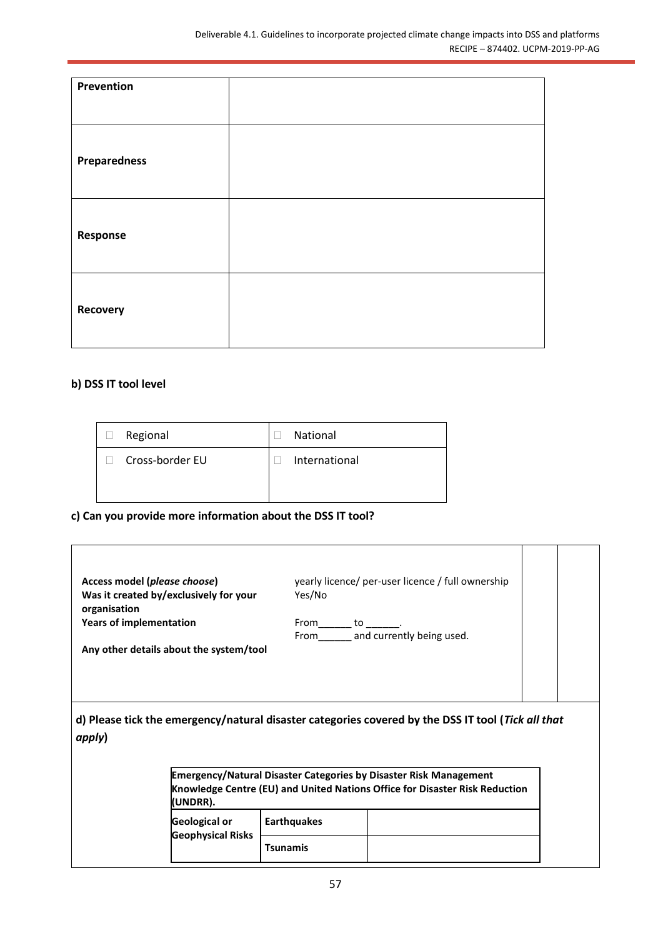| Prevention          |  |
|---------------------|--|
| <b>Preparedness</b> |  |
| Response            |  |
| Recovery            |  |

#### **b) DSS IT tool level**

| Regional        | <b>National</b> |
|-----------------|-----------------|
| Cross-border EU | International   |
|                 |                 |

**c) Can you provide more information about the DSS IT tool?**

| Access model (please choose)<br>Was it created by/exclusively for your<br>organisation<br><b>Years of implementation</b><br>Any other details about the system/tool | Yes/No<br>$From$ to __________.       | yearly licence/ per-user licence / full ownership<br>From and currently being used.                                                                     |  |
|---------------------------------------------------------------------------------------------------------------------------------------------------------------------|---------------------------------------|---------------------------------------------------------------------------------------------------------------------------------------------------------|--|
| d) Please tick the emergency/natural disaster categories covered by the DSS IT tool (Tick all that<br>apply)<br>(UNDRR).                                            |                                       | <b>Emergency/Natural Disaster Categories by Disaster Risk Management</b><br>Knowledge Centre (EU) and United Nations Office for Disaster Risk Reduction |  |
| <b>Geological or</b><br><b>Geophysical Risks</b>                                                                                                                    | <b>Earthquakes</b><br><b>Tsunamis</b> |                                                                                                                                                         |  |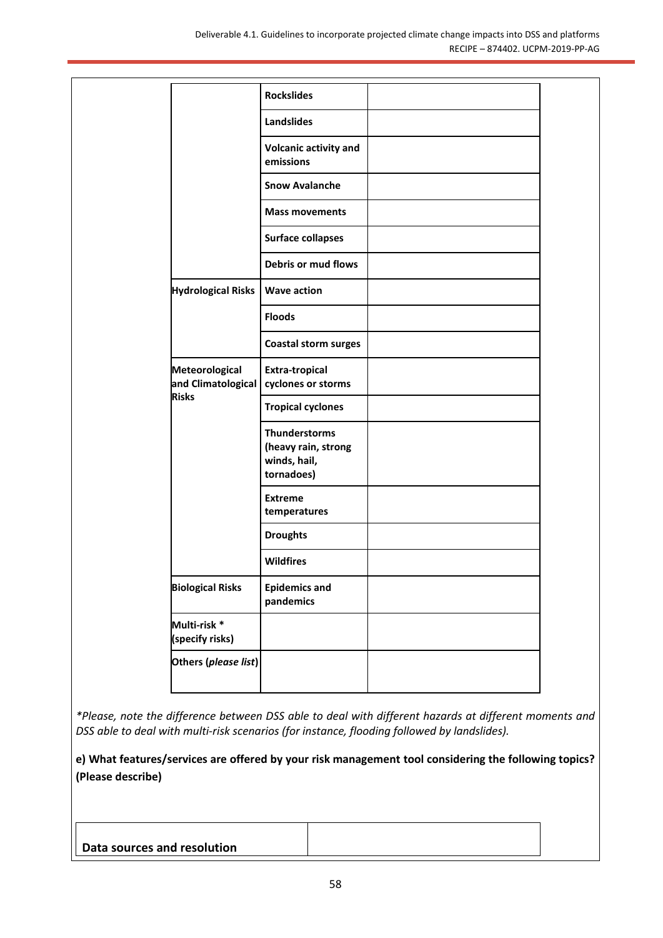|                                      | <b>Rockslides</b>                                                         |  |
|--------------------------------------|---------------------------------------------------------------------------|--|
|                                      | <b>Landslides</b>                                                         |  |
|                                      | <b>Volcanic activity and</b><br>emissions                                 |  |
|                                      | <b>Snow Avalanche</b>                                                     |  |
|                                      | <b>Mass movements</b>                                                     |  |
|                                      | <b>Surface collapses</b>                                                  |  |
|                                      | Debris or mud flows                                                       |  |
| <b>Hydrological Risks</b>            | <b>Wave action</b>                                                        |  |
|                                      | <b>Floods</b>                                                             |  |
|                                      | <b>Coastal storm surges</b>                                               |  |
| Meteorological<br>and Climatological | <b>Extra-tropical</b><br>cyclones or storms                               |  |
| <b>Risks</b>                         | <b>Tropical cyclones</b>                                                  |  |
|                                      | <b>Thunderstorms</b><br>(heavy rain, strong<br>winds, hail,<br>tornadoes) |  |
|                                      | <b>Extreme</b><br>temperatures                                            |  |
|                                      | <b>Droughts</b>                                                           |  |
|                                      | <b>Wildfires</b>                                                          |  |
| <b>Biological Risks</b>              | <b>Epidemics and</b><br>pandemics                                         |  |
| Multi-risk *<br>(specify risks)      |                                                                           |  |
|                                      | Others (please list)                                                      |  |

*\*Please, note the difference between DSS able to deal with different hazards at different moments and DSS able to deal with multi-risk scenarios (for instance, flooding followed by landslides).* 

**e) What features/services are offered by your risk management tool considering the following topics? (Please describe)** 

**Data sources and resolution**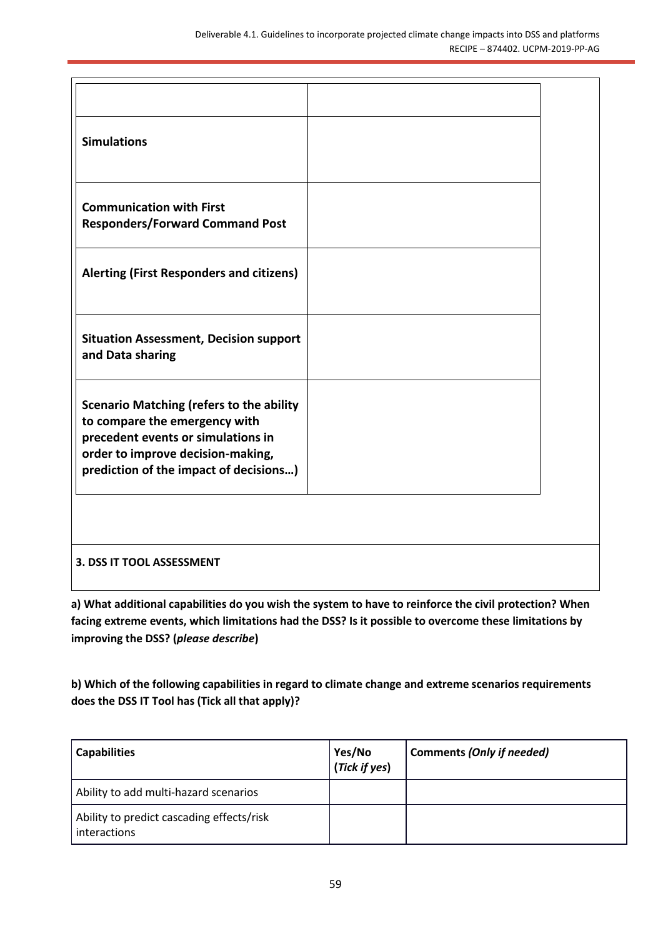| <b>Simulations</b>                                                                                                                                                                                    |  |
|-------------------------------------------------------------------------------------------------------------------------------------------------------------------------------------------------------|--|
| <b>Communication with First</b><br><b>Responders/Forward Command Post</b>                                                                                                                             |  |
| <b>Alerting (First Responders and citizens)</b>                                                                                                                                                       |  |
| <b>Situation Assessment, Decision support</b><br>and Data sharing                                                                                                                                     |  |
| <b>Scenario Matching (refers to the ability</b><br>to compare the emergency with<br>precedent events or simulations in<br>order to improve decision-making,<br>prediction of the impact of decisions) |  |
| <b>3. DSS IT TOOL ASSESSMENT</b>                                                                                                                                                                      |  |
|                                                                                                                                                                                                       |  |

**a) What additional capabilities do you wish the system to have to reinforce the civil protection? When facing extreme events, which limitations had the DSS? Is it possible to overcome these limitations by improving the DSS? (***please describe***)**

**b) Which of the following capabilities in regard to climate change and extreme scenarios requirements does the DSS IT Tool has (Tick all that apply)?**

| <b>Capabilities</b>                                       | Yes/No<br>(Tick if yes) | Comments (Only if needed) |
|-----------------------------------------------------------|-------------------------|---------------------------|
| Ability to add multi-hazard scenarios                     |                         |                           |
| Ability to predict cascading effects/risk<br>interactions |                         |                           |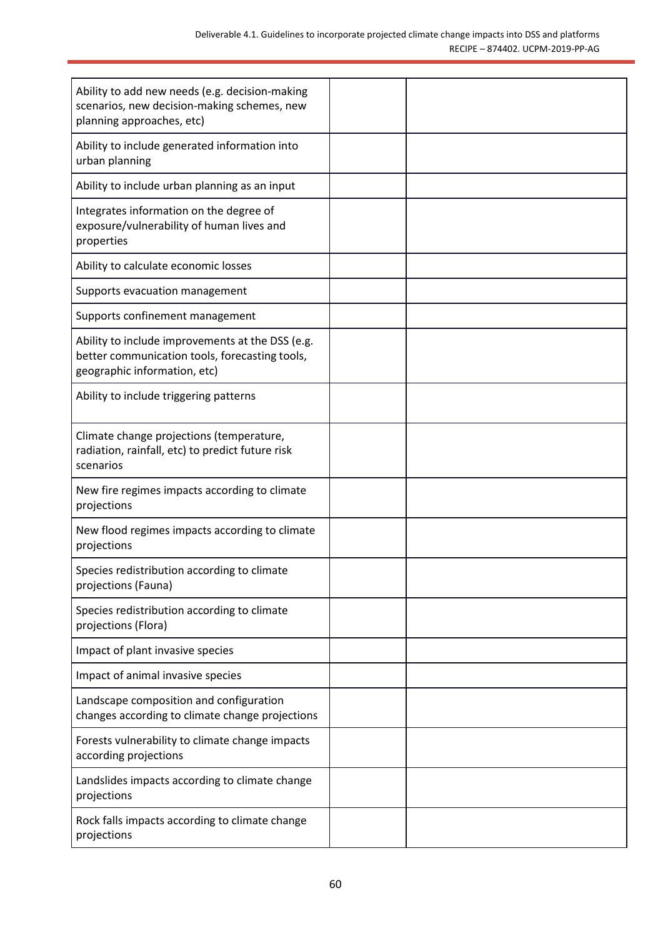| Ability to add new needs (e.g. decision-making<br>scenarios, new decision-making schemes, new<br>planning approaches, etc)         |  |
|------------------------------------------------------------------------------------------------------------------------------------|--|
| Ability to include generated information into<br>urban planning                                                                    |  |
| Ability to include urban planning as an input                                                                                      |  |
| Integrates information on the degree of<br>exposure/vulnerability of human lives and<br>properties                                 |  |
| Ability to calculate economic losses                                                                                               |  |
| Supports evacuation management                                                                                                     |  |
| Supports confinement management                                                                                                    |  |
| Ability to include improvements at the DSS (e.g.<br>better communication tools, forecasting tools,<br>geographic information, etc) |  |
| Ability to include triggering patterns                                                                                             |  |
| Climate change projections (temperature,<br>radiation, rainfall, etc) to predict future risk<br>scenarios                          |  |
| New fire regimes impacts according to climate<br>projections                                                                       |  |
| New flood regimes impacts according to climate<br>projections                                                                      |  |
| Species redistribution according to climate<br>projections (Fauna)                                                                 |  |
| Species redistribution according to climate<br>projections (Flora)                                                                 |  |
| Impact of plant invasive species                                                                                                   |  |
| Impact of animal invasive species                                                                                                  |  |
| Landscape composition and configuration<br>changes according to climate change projections                                         |  |
| Forests vulnerability to climate change impacts<br>according projections                                                           |  |
| Landslides impacts according to climate change<br>projections                                                                      |  |
| Rock falls impacts according to climate change<br>projections                                                                      |  |